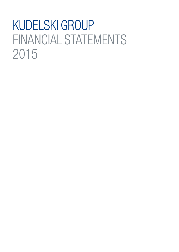# KUDELSKI GROUP FINANCIAL STATEMENTS 2015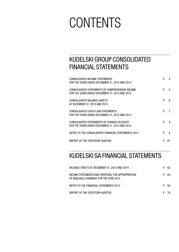# **CONTENTS**

## KUDELSKI GROUP CONSOLIDATED FINANCIAL STATEMENTS

| CONSOLIDATED INCOME STATEMENTS<br>FOR THE YEARS ENDED DECEMBER 31, 2015 AND 2014                  | P. | 4  |
|---------------------------------------------------------------------------------------------------|----|----|
| CONSOLIDATED STATEMENTS OF COMPREHENSIVE INCOME<br>FOR THE YEARS ENDED DECEMBER 31, 2015 AND 2014 | P. | 5  |
| CONSOLIDATED BALANCE SHEETS<br>AT DECEMBER 31, 2015 AND 2014                                      | P. | 6  |
| CONSOLIDATED CASH FLOW STATEMENTS<br>FOR THE YEARS ENDED DECEMBER 31, 2015 AND 2014               | P. | 7  |
| CONSOLIDATED STATEMENTS OF CHANGES IN EQUITY<br>FOR THE YEARS ENDED DECEMBER 31, 2015 AND 2014    | P. | 8  |
| NOTES TO THE CONSOLIDATED FINANCIAL STATEMENTS 2015                                               | P. | 9  |
| REPORT OF THE STATUTORY AUDITOR                                                                   | P  | 61 |

### KUDELSKI SA FINANCIAL STATEMENTS

| BALANCE SHEETS AT DECEMBER 31, 2015 AND 2014                                                | P. | 62 |
|---------------------------------------------------------------------------------------------|----|----|
| INCOME STATEMENTS AND PROPOSAL FOR APPROPRIATION<br>OF AVAILABLE EARNINGS FOR THE YEAR 2015 | P. | 63 |
| NOTES TO THE FINANCIAL STATEMENTS 2015                                                      | P. | 64 |
| REPORT OF THE STATUTORY AUDITOR                                                             |    | 70 |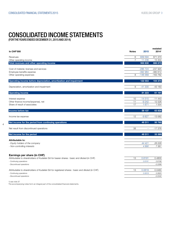### CONSOLIDATED INCOME STATEMENTS

(FOR THE YEARS ENDED DECEMBER 31, 2015 AND 2014)

| <b>In CHF'000</b>                                                                              | <b>Notes</b>   | 2015                     | restated<br>2014 <sup>1</sup> |
|------------------------------------------------------------------------------------------------|----------------|--------------------------|-------------------------------|
| Revenues                                                                                       | 6              | 939 594                  | 871 370                       |
| Other operating income                                                                         | $\overline{7}$ | 11 2 36                  | 15 304                        |
| Total revenues and other operating income                                                      |                | 950 830                  | 886 673                       |
| Cost of material, licenses and services                                                        |                | $-286724$                | -237 925                      |
| Employee benefits expense                                                                      |                | $-392984$                | $-380612$                     |
| Other operating expenses                                                                       | 8              | $-148569$                | $-163762$                     |
| Operating income before depreciation, amortization and impairment                              |                | 122 553                  | 104 374                       |
| Depreciation, amortization and impairment                                                      | 9              | $-41330$                 | $-43183$                      |
| <b>Operating income</b>                                                                        |                | 81 2 23                  | 61 191                        |
| Interest expense                                                                               | 10             | $-14515$                 | $-11443$                      |
| Other finance income/(expense), net                                                            | 11             | $-9242$                  | 12 5 26                       |
| Share of result of associates                                                                  | 17             | 1 671                    | 1 5 5 4                       |
| Income before tax                                                                              |                | 59 137                   | 63 828                        |
| Income tax expense                                                                             | 12             | $-9827$                  | $-13062$                      |
| Net income for the period from continuing operations                                           |                | 49 311                   | 50 765                        |
| Net result from discontinued operations                                                        | 38             | $\overline{\phantom{a}}$ | $-17376$                      |
| Net income for the period                                                                      |                | 49 311                   | 33 389                        |
| Attributable to:                                                                               |                |                          |                               |
| - Equity holders of the company<br>- Non-controlling interests                                 |                | 44 421<br>4890           | 26 0 28<br>7361               |
| Earnings per share (in CHF)                                                                    |                |                          |                               |
| Attributable to shareholders of Kudelski SA for bearer shares : basic and diluted (in CHF)     | 13             | 0.8191                   | 0.4800                        |
| - Continuing operations                                                                        |                | 0.8191                   | 0.8198                        |
| - Discontinued operations                                                                      |                |                          | $-0.3398$                     |
| Attributable to shareholders of Kudelski SA for registered shares : basic and diluted (in CHF) | 13             | 0.0819                   | 0.0480                        |
| - Continuing operations                                                                        |                | 0.0819                   | 0.0820                        |
| - Discontinued operations                                                                      |                |                          | $-0.0340$                     |

1) see note 37

4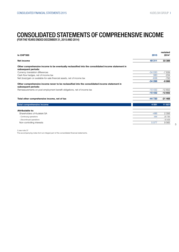### CONSOLIDATED STATEMENTS OF COMPREHENSIVE INCOME

(FOR THE YEARS ENDED DECEMBER 31, 2015 AND 2014)

| <b>In CHF'000</b>                                                                                                         | 2015     | restated<br>20141 |
|---------------------------------------------------------------------------------------------------------------------------|----------|-------------------|
| Net income                                                                                                                | 49 311   | 33 389            |
|                                                                                                                           |          |                   |
| Other comprehensive income to be eventually reclassified into the consolidated income statement in<br>subsequent periods: |          |                   |
| Currency translation differences                                                                                          | $-34030$ | $-7839$           |
| Cash flow hedges, net of income tax                                                                                       | 380      | $-234$            |
| Net (loss)/gain on available-for-sale financial assets, net of income tax                                                 | $-638$   | $-793$            |
|                                                                                                                           | $-34288$ | $-8866$           |
| Other comprehensive income never to be reclassified into the consolidated income statement in<br>subsequent periods:      |          |                   |
| Remeasurements on post employment benefit obligations, net of income tax                                                  | $-10432$ | $-12602$          |
|                                                                                                                           | $-10432$ | $-12602$          |
| Total other comprehensive income, net of tax                                                                              | $-44720$ | $-21468$          |
| Total comprehensive income                                                                                                | 4 5 9 1  | 11 921            |
| Attributable to:                                                                                                          |          |                   |
| Shareholders of Kudelski SA                                                                                               | $-486$   | 2 3 5 6           |
| - Continuing operations                                                                                                   | $-886$   | 20 795            |
| - Discontinued operations                                                                                                 |          | $-18439$          |
| Non-controlling interests                                                                                                 | 5077     | 9565              |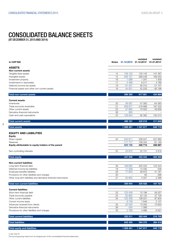### CONSOLIDATED BALANCE SHEETS

(AT DECEMBER 31, 2015 AND 2014)

| <b>In CHF'000</b>                                                | <b>Notes</b> |                          | restated<br>31.12.2015 31.12.2014 | restated<br>01.01.2014 |
|------------------------------------------------------------------|--------------|--------------------------|-----------------------------------|------------------------|
| <b>ASSETS</b>                                                    |              |                          |                                   |                        |
| <b>Non-current assets</b>                                        |              |                          |                                   |                        |
| Tangible fixed assets                                            | 14           | 139 120                  | 133 145                           | 147 487                |
| Intangible assets                                                | 15           | 349 127                  | 368 549                           | 169 250                |
| Investment property<br>Investments in associates                 | 16<br>17     | 1 0 9 6<br>4 4 9 9       | 1 3 4 7                           | 1 4 5 9<br>4768        |
| Deferred income tax assets                                       | 18           | 61 407                   | 6217<br>56 310                    | 51 707                 |
| Financial assets and other non-current assets                    | 19           | 44 051                   | 52 233                            | 60 198                 |
| <b>Total non-current assets</b>                                  |              | 599 300                  | 617801                            | 434 869                |
| <b>Current assets</b>                                            |              |                          |                                   |                        |
| Inventories                                                      | 20           | 48 087                   | 47 083                            | 64 383                 |
| Trade accounts receivable                                        | 21           | 256 977                  | 219 998                           | 197 233                |
| Other current assets                                             | 22           | 47 892                   | 70 553                            | 49 959                 |
| Derivative financial instruments                                 | 36           | 365                      | $\overline{\phantom{m}}$          |                        |
| Cash and cash equivalents                                        | 23           | 136 840                  | 92 382                            | 100 273                |
| <b>Total current assets</b>                                      |              | 490 161                  | 430 016                           | 411 848                |
| <b>Total assets</b>                                              |              | 1 089 461                | 1 047 817                         | 846 718                |
|                                                                  |              |                          |                                   |                        |
| <b>EQUITY AND LIABILITIES</b><br>Equity                          |              |                          |                                   |                        |
| Share capital                                                    | 24           | 540 911                  | 539 047                           | 537 882                |
| Reserves                                                         |              | $-117777$                | $-108334$                         | $-81195$               |
| Equity attributable to equity holders of the parent              |              | 423 135                  | 430 713                           | 456 687                |
| Non-controlling interests                                        | 25           | 23 872                   | 22 731                            | 5618                   |
| <b>Total equity</b>                                              |              | 447 006                  | 453 444                           | 462 305                |
| <b>Non-current liabilities</b>                                   |              |                          |                                   |                        |
| Long-term financial debt                                         | 26           | 199 660                  | 255 223                           | 123 444                |
| Deferred income tax liabilities                                  | 18           | 11 509                   | 13 4 30                           | 506                    |
| Employee benefits liabilities                                    | 29           | 77823                    | 58 873                            | 41 181                 |
| Provisions for other liabilities and charges                     | 30           | $\overline{\phantom{0}}$ | 65                                | 288                    |
| Other long-term liabilities and derivative financial instruments | 31           | 20 952                   | 3 3 3 7                           | 2 2 8 8                |
| <b>Total non-current liabilities</b>                             |              | 309 944                  | 330 928                           | 167 707                |
| <b>Current liabilities</b>                                       |              |                          |                                   |                        |
| Short-term financial debt                                        | 32           | 123 459                  | 75 796                            | 59 257                 |
| Trade accounts payable                                           | 33           | 50 662                   | 52 134                            | 37 729                 |
| Other current liabilities<br>Current income taxes                | 34           | 123 409<br>9739          | 108 531<br>7846                   | 97 904<br>2 1 3 7      |
| Advances received from clients                                   | 35           | 22 040                   | 13 0 55                           | 13 6 20                |
| Derivative financial instruments                                 | 36           | 434                      | 1 0 8 6                           |                        |
| Provisions for other liabilities and charges                     | 30           | 2768                     | 4 9 9 6                           | 6 0 5 7                |
| <b>Total current liabilities</b>                                 |              | 332 511                  | 263 444                           | 216 705                |
| <b>Total liabilities</b>                                         |              | 642 455                  | 594 372                           | 384 412                |
| <b>Total equity and liabilities</b>                              |              | 1 089 461                | 1 047 817                         | 846 718                |
|                                                                  |              |                          |                                   |                        |

1) see note 37

6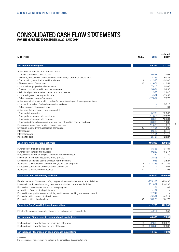### CONSOLIDATED CASH FLOW STATEMENTS

(FOR THE YEARS ENDED DECEMBER 31, 2015 AND 2014)

| In CHF'000                                                                                                              | <b>Notes</b> | 2015                     | restated<br>20141 |
|-------------------------------------------------------------------------------------------------------------------------|--------------|--------------------------|-------------------|
| Net income for the year                                                                                                 |              | 49 311                   | 33 389            |
| Adjustments for net income non-cash items:                                                                              |              |                          |                   |
| - Current and deferred income tax                                                                                       |              | 9827                     | 13 063            |
| - Interests, allocation of transaction costs and foreign exchange differences                                           |              | 23 383                   | 6028              |
| - Depreciation, amortization and impairment                                                                             | 9            | 41 330                   | 45 206            |
| - Share of result of associates                                                                                         | 17           | $-1671$                  | $-1554$           |
| - Non-cash employee benefits expense                                                                                    |              | 7410                     | 5 0 6 6           |
| - Deferred cost allocated to income statement                                                                           |              | 9084                     | 9690              |
| - Additional provisions net of unused amounts reversed                                                                  |              | 558                      | 2946              |
| - Non-cash government grant income                                                                                      |              | $-902$<br>$-17357$       | -7 658<br>7576    |
| - Other non cash income/expenses<br>Adjustments for items for which cash effects are investing or financing cash flows: |              |                          |                   |
| - Net result on sales of subsidiaries and operations                                                                    |              | $\overline{\phantom{0}}$ | 5 3 1 5           |
| - Other non operating cash items                                                                                        |              | 19                       | 91                |
| Adjustements for change in working capital:                                                                             |              |                          |                   |
| - Change in inventories                                                                                                 |              | 5789                     | 12 866            |
| - Change in trade accounts receivable                                                                                   |              | $-31616$                 | $-17976$          |
| - Change in trade accounts payable                                                                                      |              | $-3386$                  | 10 981            |
| - Change in deferred costs and other net current working capital headings                                               |              | 23 080                   | 1 2 3 5           |
| Government grant from previous periods received                                                                         |              | 11 520                   | 916               |
| Dividends received from associated companies                                                                            | 17           | 1 1 9 1                  | 1905              |
| Interest paid                                                                                                           |              | $-9527$                  | -8 412            |
| Interest received                                                                                                       |              | 1 1 3 1                  | 1417              |
| Income tax paid                                                                                                         |              | $-12787$                 | $-12827$          |
| Cash flow from operating activities                                                                                     |              | 106 387                  | 109 263           |
| Purchases of intangible fixed assets                                                                                    |              | $-13358$                 | $-13184$          |
| Purchases of tangible fixed assets                                                                                      |              | $-19280$                 | $-16217$          |
| Proceeds from sales of tangible and intangible fixed assets                                                             |              | 144                      | 339               |
| Investment in financial assets and loans granted                                                                        |              | $-2808$                  | -4 140            |
| Divestment of financial assets and loan reimbursement                                                                   |              | 1985                     | 2 5 2 7           |
| Acquisition of subsidiaries, cash outflow (net of cash acquired)                                                        | 4            | $-12148$                 | $-211286$         |
| Disposal of subsidiaries and operations, cash inflow                                                                    | 5            | $\overline{\phantom{0}}$ | 3461              |
| Acquisition of associated companies                                                                                     | 17           | $\equiv$                 | $-2193$           |
| Cash flow used in investing activities                                                                                  |              | $-45465$                 | $-240693$         |
| Reimbursement of bank overdrafts, long term loans and other non-current liabilities                                     |              | $-205$ 103               | -75 437           |
| Increase in bank overdrafts, long term loans and other non-current liabilities                                          |              | 201 862                  | 219 235           |
| Proceeds from employee share purchase program                                                                           |              | 61                       | 63                |
| Acquisition of non controlling-interests                                                                                |              | $-187$                   |                   |
| Proceed from a partial sale of subsidiary and loan not resulting in a loss of control                                   |              | 12741                    |                   |
| Dividends paid to non-controlling interests                                                                             |              | $-5399$                  | -4 711            |
| Dividends paid to shareholders                                                                                          | 40           | $-16225$                 | $-16170$          |
| Cash flow from/(used in) financing activities                                                                           |              | $-12250$                 | 122 980           |
| Effect of foreign exchange rate changes on cash and cash equivalents                                                    |              | $-4214$                  | 559               |
| Net increase / (decrease) in cash and cash equivalents                                                                  |              | 44 458                   | $-7891$           |
|                                                                                                                         |              |                          |                   |
| Cash and cash equivalents at the beginning of the year                                                                  | 23           | 92 382                   | 100 273           |
| Cash and cash equivalents at the end of the year                                                                        | 23           | 136 840                  | 92 382            |
| Net increase / (decrease) in cash and cash equivalents                                                                  |              | 44 458                   | $-7891$           |

1) see note 37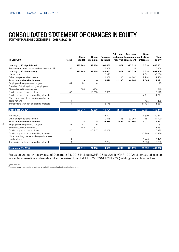### CONSOLIDATED STATEMENT OF CHANGES IN EQUITY

(FOR THE YEARS ENDED DECEMBER 31, 2015 AND 2014)

| In CHF'000                                    | <b>Notes</b>   | <b>Share</b><br>capital | <b>Share</b><br>premium | Retained<br>earnings | <b>Fair value</b> | Currency<br>and other translation controlling<br>reserves adjustment | Non-<br>interests | <b>Total</b><br>equity |
|-----------------------------------------------|----------------|-------------------------|-------------------------|----------------------|-------------------|----------------------------------------------------------------------|-------------------|------------------------|
| January 1, 2014 published                     |                | 537882                  | 43758                   | $-61460$             | $-1577$           | $-77720$                                                             | 5618              | 446 501                |
| Restatement due to an amendment on IAS 19R    | 37             |                         |                         | 15 808               |                   | $-4$                                                                 |                   | 15 804                 |
| January 1, 2014 (restated)                    |                | 537882                  | 43758                   | -45 652              | $-1577$           | -77 724                                                              | 5618              | 462 305                |
| Net income                                    |                |                         |                         | 26 0 28              |                   |                                                                      | 7 3 6 1           | 33 389                 |
| Other comprehensive income                    |                |                         |                         | $-12602$             | $-1190$           | $-9880$                                                              | 2 2 0 4           | $-21468$               |
| Total comprehensive income                    |                | -                       | -                       | 13 4 26              | $-1190$           | $-9880$                                                              | 9565              | 11 921                 |
| Employee share purchase program               | 41             | 81                      | 14                      |                      |                   |                                                                      |                   | 95                     |
| Exercise of stock options by employees        |                | $\overline{1}$          |                         |                      |                   |                                                                      |                   | $\mathbf{1}$           |
| Shares issued for employees                   |                | 1 0 8 3                 | $-164$                  |                      |                   |                                                                      |                   | 919                    |
| Dividends paid to shareholders                | 40             |                         | $-10780$                | $-5390$              |                   |                                                                      |                   | $-16170$               |
| Dividends paid to non-controlling interests   |                |                         |                         |                      |                   |                                                                      | $-4711$           | $-4711$                |
| Non-controlling interests arising on business |                |                         |                         |                      |                   |                                                                      |                   |                        |
| combinations                                  | 4              |                         |                         |                      |                   |                                                                      | 465               | 465                    |
| Transactions with non-controlling interests   | 4              |                         |                         | $-13175$             |                   |                                                                      | 11 794            | $-1.381$               |
| December 31, 2014                             |                | 539 047                 | 32 8 28                 | $-50791$             | $-2767$           | $-87604$                                                             | 22 731            | 453 444                |
| Net income                                    |                |                         |                         | 44 421               |                   |                                                                      | 4890              | 49 311                 |
| Other comprehensive income                    |                |                         |                         | $-10445$             | $-495$            | -33 967                                                              | 187               | $-44720$               |
| Total comprehensive income                    |                | -                       | -                       | 33 976               | -495              | -33 967                                                              | 5 0 7 7           | 4591                   |
| Employee share purchase program               | 41             | 81                      | 6                       |                      |                   |                                                                      |                   | 87                     |
| Shares issued for employees                   |                | 1783                    | $-522$                  |                      |                   |                                                                      |                   | 1 2 6 1                |
| Dividends paid to shareholders                | 40             |                         | $-10817$                | $-5408$              |                   |                                                                      |                   | $-16225$               |
| Dividends paid to non-controlling interests   |                |                         |                         |                      |                   |                                                                      | $-5399$           | $-5399$                |
| Non-controlling interests arising on business |                |                         |                         |                      |                   |                                                                      |                   |                        |
| combinations                                  | 4              |                         |                         |                      |                   |                                                                      | 3449              | 3449                   |
| Transactions with non-controlling interests   | $\overline{4}$ |                         |                         | 7 7 8 4              |                   |                                                                      | $-1986$           | 5798                   |
| December 31, 2015                             |                | 540 911                 | 21 495                  | $-14439$             | $-3262$           | $-121571$                                                            | 23 872            | 447 006                |

Fair value and other reserves as of December 31, 2015 include kCHF -2 640 (2014: kCHF -2002) of unrealized loss on available-for-sale financial assets and an unrealized loss of kCHF -622 (2014: kCHF -765) relating to cash flow hedges.

1) see note 37

8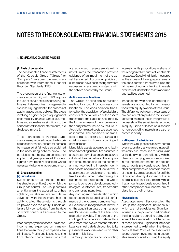#### 1. SIGNIFICANT ACCOUNTING POLICIES

#### (A) Basis of preparation

The consolidated financial statements of the Kudelski Group ("Group" or "Company") have been prepared in accordance with International Financial Reporting Standards (IFRS).

The preparation of the financial statements in conformity with IFRS requires the use of certain critical accounting estimates. It also requires management to exercise its judgement in the process of applying accounting policies. The areas involving a higher degree of judgement or complexity, or areas where assumptions and estimates are significant to the consolidated financial statements, are disclosed in note 2.

These consolidated financial statements were prepared under the historical cost convention, except for items to be measured at fair value as explained in the accounting policies below. The policies set out below are consistently applied to all years presented. Prior year figures have been reclassified where necessary to better enable comparison.

#### (B) Group accounting (a) Subsidiaries

Subsidiaries are all entities (including structured entities) over which the Group has control. The Group controls an entity when it is exposed to, or has rights to, variable returns from its involvement with the entity and has the ability to affect these returns through its power over the entity. Subsidiaries are fully consolidated from the date on which control is transferred to the Group.

Inter-company transactions, balances, income and expenses on transactions between Group companies are eliminated. Profits and losses resulting from inter-company transactions that are recognised in assets are also eliminated unless the transaction provides evidence of an impairment of the asset transferred. Accounting policies of subsidiaries have been changed where necessary to ensure consistency with the policies adopted by the Group.

#### (b) Business combinations

The Group applies the acquisition method to account for business combinations. The consideration transferred for the acquisition of a subsidiary consists of the fair values of the assets transferred, the liabilities assumed by the former owners of the acquiree and the equity interest issued by the Group. Acquisition-related costs are expensed as incurred. The consideration transferred includes the fair value of any asset or liability resulting from any contingent consideration.

Identifiable assets acquired and liabilities and contingent liabilities assumed in a business combination are measured initially at their fair value at the acquisition date, irrespective of the extent of any non-controlling interests. Identified assets acquired include fair value adjustments on tangible and intangible fixed assets. When determining the purchase price allocation, the Group primarily considers development technologies, customer lists, trademarks and brands as intangibles.

Any contingent consideration which depends on the future financial performance of the acquired company ("earn out clause") is recognized at fair value on the acquisition date using management's best estimate of the final consideration payable. The portion of the contingent consideration deferred to a date more than twelve months after the balance sheet date is discounted to its present value and disclosed within other long term liabilities.

The Group recognizes non-controlling

interests as its proportionate share of the recognized amounts of identifiable net assets. Goodwill is initially measured as the excess of the aggregate value of the consideration transferred plus the fair value of non-controlling interests over the net identifiable assets acquired and liabilities assumed.

Transactions with non-controlling interests are accounted for as transactions with equity owners of the Group. The difference between the fair value of any consideration paid and the relevant acquired share of the carrying value of net assets of the subsidiary is recorded in equity. Gains or losses on disposals to non-controlling interests are also recorded in equity.

9

#### (c) Disposal of subsidiaries

When the Group ceases to have control over a subsidiary, any retained interest in the entity is re-measured to its fair value at the date when control is lost, with the change in carrying amount recognized in the income statement. In addition, any amounts previously recognized in other comprehensive income in respect of that entity are accounted for as if the Group had directly disposed of the related assets or liabilities. This may mean that amounts previously recognized in other comprehensive income are reclassified to profit or loss.

#### (d) Associates

Associates are entities over which the Group has significant influence but which are not subsidiaries. Significant influence is the power to participate in the financial and operating policy decisions of the associate but not the control of those policies. Significant influence is presumed to exist when the Group holds at least 20% of the associate's voting power. Investments in associates are accounted for using the equity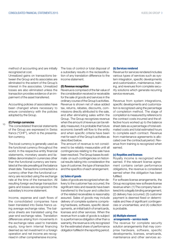method of accounting and are initially recognized at cost.

Unrealized gains on transactions between the Group and its associates are eliminated to the extent of the Group's interest in the associates. Unrealized losses are also eliminated unless the transaction provides evidence of an impairment of the asset transferred.

Accounting policies of associates have been changed where necessary to ensure consistency with the policies adopted by the Group.

#### $10$ (C) Foreign currencies

The consolidated financial statements of the Group are expressed in Swiss francs ("CHF"), which is the presentation currency.

The local currency is generally used as the functional currency throughout the world. In the respective entity financial statements, monetary assets and liabilities denominated in currencies other than the functional currency are translated at the rate prevailing at the balance sheet date. Transactions contracted in a currency other than the functional currency are recorded using the exchange rate at the time of the transaction. All resulting foreign exchange transaction gains and losses are recognized in the subsidiary's income statement.

Income, expense and cash flows of the consolidated companies have been translated into Swiss francs using average exchange rates. The balance sheets are translated using the year-end exchange rates. Translation differences arising from movements in the exchange rates used to translate equity, long-term internal financing deemed as net investment in a foreign operation and net income are recognised in other comprehensive income.

The loss of control or total disposal of a subsidiary results in the reclassification of any translation difference to the income statement.

#### (D) Revenue recognition

Revenue is comprised of the fair value of the consideration received or receivable for the sale of goods and services in the ordinary course of the Group's activities. Revenue is shown net of value added tax, returns, rebates, discounts, commissions directly attributed to the sale, and after eliminating sales within the Group. The Group recognizes revenue when the amount of revenue can be reliably measured, it is probable that future economic benefit will flow to the entity and when specific criteria have been met for each of the Group's activities as described below.

The amount of revenue is not considered to be reliably measurable until all contingencies relating to the sale have been resolved. The Group bases its estimate on such contingencies on historical results taking into consideration the type of customer, the type of transaction and the specifics of each arrangement.

#### (a) Sales of goods

Sales of goods are recognized when delivery to the customer has occurred, the significant risks and rewards have been transferred to the buyer and collection of the related receivables is reasonably assured. Sales of goods may include delivery of complete systems comprising hardware, software, specific developments, an initial batch of smartcards, licenses and other services. When the revenue from a sale of goods is subject to a performance obligation other than a warranty, the revenue is only recognized for the estimated share of performance obligation fulfilled in the reporting period.

#### (b) Services rendered

Revenue for services rendered includes various types of services such as system integration, specific developments and customization, maintenance, training, and revenues from complete security solutions which generate recurring service revenues.

Revenue from system integrations, specific developments and customization is recognized using the percentage of completion method. The stage of completion is measured by reference to the contract costs incurred and the effective hours worked up to the balance sheet date as a percentage of total estimated costs and total estimated hours to complete each contract. Revenue from maintenance agreements is allocated over the contractual period. Revenue from training is recognized when earned.

#### (c) Royalties and licenses

Royalty income is recognized when earned. If the relevant license agreement contains certain performance obligations, the revenue is considered earned when the obligation has been fulfilled.

For software license arrangements, the Group recognizes new software license revenue when: (1) The company has entered into a legally binding arrangement; (2) delivery has occurred; (3) customer payment is deemed fixed or determinable and free of significant contingencies or uncertainties; and (4) collection is probable.

#### (d) Multiple element arrangements – service mode

The revenue for complete security solution arrangements that may comprise hardware, software, specific developments, licenses, smartcards, maintenance and other services ac-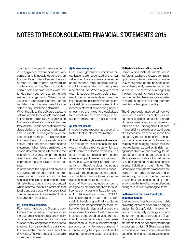cording to the specific arrangements is recognized when contractually earned, and is usually dependent on the client's number of subscribers or number of smartcards delivered or made available. The Group considers certain sales of smartcards with extended payment terms to be multiple element arrangements. When the fair value of a particular element cannot be determined, the revenue is fully allocated to any undelivered elements.

When the title to the delivered assets is not transferred, these assets made available to clients are initially recognized on the balance sheet at cost under tangible fixed assets. Cost in connection with the depreciation of the assets made available to clients is recognized over the shorter of the duration of the contract or the useful lives of those assets, and is shown under depreciation in the income statement. When title is transferred, the cost is deferred and is allocated to the cost of material on a straight line basis over the shorter of the duration of the contract or the useful lives of those assets.

In both cases the capitalised amounts are subject to periodic impairment reviews. Other costs (such as maintenance, services and security efforts) relating to those contracts are recognized when incurred. When it is probable that total contract costs will exceed total contract revenue, the estimated loss is recognized immediately.

#### (e) Payment to customers

Payments made by the Group to customers to enter into or to renew existing customer relationships are initially recorded under deferred costs and are subsequently recognized to the income statement on a straight-line basis over the term of the contract, as a reduction of revenue. They are subject to periodic impairment reviews.

#### (f) Government grants

Grants from governments or similar organizations are recognized at their fair value when there is a reasonable assurance that the Group complies with all conditions associated with their grants receipt and use. Where a government grant is subject to audit before payment, the fair value is determined using management's best estimate of the audit risk. Grants are recognized in the income statement as operating income unless they are linked to a capitalized fixed asset, in which case they are deducted from the cost of the fixed asset.

#### (g) Interest income

Interest income is recognized according to the effective interest rate method.

#### (E) Cost of material, licenses and services

The cost of material, licenses and services includes direct costs which are attributable to selected revenues. The cost of material includes only the cost of materials paid to external suppliers in connection with recognized sales transactions. It therefore does not include other direct and indirect costs associated with the manufacturing process, such as labor costs, utilities or depreciation of manufacturing assets.

Cost of licenses includes amounts charged by external suppliers for sublicenses on a per-unit basis for each unit of delivered product (e.g. CODEC licenses charged on each set-top-box sold). It therefore specifically excludes licenses paid independently of the number of units sold, deployed or used in a development process. Cost of services includes outsourced services that are directly connected to a recognized sales transaction, such as subcontracting a portion of a maintenance agreement or outsourcing the implementation of a revenue-generating customer solution.

#### (F) Derivative financial instruments

Derivative financial instruments, including foreign exchange forward contracts, options and interest rate swaps, are initially recognized on the balance sheet and subsequently re-measured at their fair value. The method of recognizing the resulting gain or loss is dependent on whether the derivative is designated to hedge a specific risk and therefore qualifies for hedge accounting.

The Group designates certain derivatives which qualify as hedges for accounting purposes as either a hedge of the fair value of recognized assets or liabilities or an unrecognized firm commitment (fair value hedge), or as a hedge of a forecasted transaction (cash flow hedge). At the inception of the transaction the Group documents the relationship between hedging instruments and hedged items, as well as its risk management objective and strategy for undertaking various hedge transactions. This process includes linking all derivatives designated as hedges to specific assets, liabilities or cash flows. The Group also documents its assessment, both at the hedge inception and on an ongoing basis, of whether the derivatives that are used in hedging transactions are highly effective in offsetting changes in fair value of hedged items.

11

#### (a) Derivatives that do not qualify for hedge accounting

Certain derivatives transactions, while providing effective economic hedging under the Group's risk management policy, do not qualify for hedge accounting under the specific rules of IAS 39. Changes in the fair value of derivative instruments that do not qualify for hedge accounting under IAS 39 are recognized immediately in the income statement as part of other finance income/(expense), net.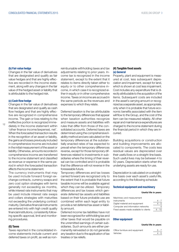#### (b) Fair value hedge

Changes in the fair value of derivatives that are designated and qualify as fair value hedges and that are highly effective are recorded in the income statement, along with any changes in the fair value of the hedged asset or liability that is attributable to the hedged risk.

#### (c) Cash flow hedge

12

Changes in the fair value of derivatives that are designated and qualify as cash flow hedges and that are highly effective are recognized in comprehensive income. The gain or loss relating to the ineffective portion is recognized imme-

diately in the income statement within 'other finance income/(expense), net'. When the forecasted transaction results in the recognition of an asset or liability, the gains and losses previously included in comprehensive income are included in the initial measurement of the asset or liability. Otherwise, amounts recorded in comprehensive income are transferred to the income statement and classified as revenue or expense in the same period in which the forecasted transaction affects the income statement.

The currency instruments that may be used include forward foreign exchange contracts, currency swaps and zero cost option strategies with terms generally not exceeding six months, while interest rate instruments that may be used include interest rate swaps and collars strategies with maturities not exceeding the underlying contract maturity. Derivative financial instruments are entered into with high credit quality financial institutions, consistently following specific approval, limit and monitoring procedures.

#### (G) Taxes

Taxes reported in the consolidated income statements include current and deferred taxes on profit, as well as non-

reimbursable withholding taxes and tax adjustments relating to prior years. Income tax is recognized in the income statement, except to the extent that it relates to items directly taken either to equity or to other comprehensive income, in which case it is recognized either in equity or in other comprehensive income. Taxes on income are accrued in the same periods as the revenues and expenses to which they relate.

Deferred taxation is the tax attributable to the temporary differences that appear when taxation authorities recognize and measure assets and liabilities with rules that differ from those of the consolidated accounts. Deferred taxes are determined using the comprehensive liability method and are calculated on the temporary differences at the substantially enacted rates of tax expected to prevail when the temporary differences reverse, except for those temporary differences related to investments in subsidiaries where the timing of their reversal can be controlled and it is probable that the difference will not reverse in the foreseeable future.

Temporary differences and tax losses carried forward are recognized only to the extent that it is probable that future taxable income will be available against which they can be utilized. Temporary differences and tax losses which generate deferred tax assets and liabilities based on their future probable use are combined within each legal entity to provide a net deferred tax asset or liability amount.

Deferred income tax liabilities have not been recognized for withholding tax and other taxes that would be payable on the unremitted earnings of certain subsidiaries. Such amounts are either permanently reinvested or do not generate any taxation due to the application of tax treaties or tax reliefs.

#### (H) Tangible fixed assets (a) General

Property, plant and equipment is measured at cost, less subsequent depreciation and impairment, except for land, which is shown at cost less impairment. Cost includes any expenditure that is directly attributable to the acquisition of the items. Subsequent costs are included in the asset's carrying amount or recognized as a separate asset, as appropriate, only when it is probable that future economic benefits associated with the item will flow to the Group, and the cost of the item can be measured reliably. All other repair and maintenance expenditures are charged to the income statement during the financial period in which they are incurred.

Building acquisitions or construction and building improvements are allocated to components. The costs less residual values are depreciated over their useful lives on a straight-line basis. Such useful lives may be between 4 to 50 years. Depreciation starts when the underlying assets are ready for use.

Depreciation is calculated on a straightline basis over each asset's useful life, according to the following schedule:

#### Technical equipment and machinery

#### Useful life in years

| Machinery and measurement              |         |
|----------------------------------------|---------|
| instruments                            | $4 - 7$ |
| Digital material and equipment         | 4 - 5   |
| Computer and information networks      |         |
| Fixed assets made available to clients | 4 - 10  |
|                                        |         |

#### Other equipment

#### Useful life in years

| Office furniture and equipment | $5 - 7$ |
|--------------------------------|---------|
| <b>Vehicles</b>                | $4 - 5$ |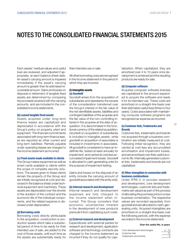Each assets' residual values and useful lives are reviewed, and adjusted if appropriate, at each balance sheet date. An asset's carrying amount is impaired immediately if the asset's carrying amount is greater than its estimated recoverable amount. Gains and losses on disposal or retirement of tangible fixed assets are determined by comparing the proceeds received with the carrying amounts, and are included in the consolidated income statements.

#### (b) Leased tangible fixed assets

Assets acquired under long-term finance leases are capitalized and depreciated in accordance with the Group's policy on property, plant and equipment. The financial commitments associated with long-term finance leases are reported as other current and long-term liabilities. Rentals payable under operating leases are charged to the income statement as incurred.

#### (c) Fixed assets made available to clients

The Group makes equipment as well as smart cards available to clients within the scope of complete security solutions. The assets given to these clients remain the property of the Group and are initially recognized at cost and disclosed in the balance sheet under technical equipment and machinery. These assets are depreciated over the shorter of the duration of the contract and the economic life of the individual components, and the related expense is disclosed under depreciation.

#### (d) Borrowing costs

Borrowing costs directly attributable to the acquisition, construction or production assets which take a substantial period of time to be ready for their intended use of sale, are added to the cost of those assets, until such time as the assets are substantially ready for their intended use or sale.

All other borrowing costs are recognised in the income statement in the period in which they are incurred.

#### (I) Intangible assets (a) Goodwill

Goodwill arises from the acquisition of subsidiaries and represents the excess of the consideration transferred over the Group's interest in the fair value of the net identifiable assets, liabilities and contingent liabilities of the acquiree and the fair value of the non-controlling interest in the acquiree at the date of acquisition. It is denominated in the functional currency of the related acquisition. Goodwill on acquisition of subsidiaries is included in intangible assets, while goodwill on acquisition of associates is included in investments in associates. All goodwill is considered to have an indefinite life, tested at least annually for impairment, and carried at cost less accumulated impairment losses. Goodwill is allocated to cash generating units for the purpose of impairment testing.

Gains and losses on the disposal of an entity include the carrying amount of goodwill associated with the entity sold.

#### (b) Internal research and development

Internal research and development expenses are fully charged to the income statement when incurred. The Group considers that economic uncertainties inherent in the development of new products preclude it from capitalizing such costs.

#### (c) External research and development

Expenditures with external parties for research and development, application software and technology contracts are charged to the income statement as incurred if they do not qualify for capitalization. When capitalized, they are amortized over 4 to 10 years once development is achieved and the resulting products are ready for sale .

#### (d) Computer software

Acquired computer software licenses are capitalized in the amount expended to acquire the software and ready it for its intended use. These costs are amortized on a straight-line basis over their estimated useful lives (three to four years). Costs associated with maintaining computer software programs are recognized as expense as incurred.

13

#### (e) Customer lists, Trademarks and **Brands**

Customer lists, trademarks and brands not acquired through a business combination are initially measured at cost. Following initial recognition, they are carried at cost less any accumulated amortisation and impairment losses, and are amortised over their useful economic life. Internally generated customer lists, trademarks and brands are not capitalised.

#### (f) Other intangibles in connection with business combinations

Under IFRS 3, in process research and development, core development technologies, customer lists and trademarks are valued as part of the process of allocating the purchase price in a new business combination. The respective values are recorded separately from goodwill and are allocated to cash-generating units. Acquired intangibles are amortized on a straight-line basis over the following periods, with the expense recorded in the income statement:

#### Over the useful life, in years

| Core development technologies | $4 - 10$ |
|-------------------------------|----------|
| Customer lists                | 10       |
| Trademarks and brands         | 5        |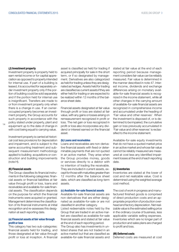#### (J) Investment property

Investment property is property held to earn rental income or for capital appreciation as opposed to property intended for internal use. If part of a building is leased, it is accounted for separately under investment property only if the portion of building could be sold separately and if the portion held for internal use is insignificant. Transfers are made to or from investment property only when there is a change in use. If an owneroccupied property becomes an investment property, the Group accounts for such property in accordance with the policy stated under property, plant and equipment up to the date of change in

with cost being equal to carrying value.

Investment property is carried at historical cost less provisions for depreciation and impairment, and is subject to the same accounting treatment and subsequent measurement methodology applied to building acquisitions or construction and building improvements (note H).

#### (K) Financial assets

14

The Group classifies its financial instruments in the following categories: financial assets or financial liabilities at fair value through profit or loss, loans and receivables and available-for-sale financial assets. The classification depends on the purpose for which the financial instruments were acquired or granted. Management determines the classification of its financial instruments at initial recognition and re-assesses this designation at each reporting date.

#### (a) Financial assets at fair value through profit or loss

This category has two sub-categories: financial assets held for trading, and those designated at fair value through profit or loss at inception. A financial

asset is classified as held for trading if acquired principally for sale in the short term, or if so designated by management. Derivatives are also categorized as held for trading unless they are designated as hedges. Assets held for trading are classified as current assets if they are either held for trading or are expected to be realized within 12 months of the balance sheet date.

Financial assets designated at fair value through profit or loss are stated at fair value, with any gains or losses arising on remeasurement recognized in profit or loss. The net gain or loss recognized in profit or loss also incorporates any dividend or interest earned on the financial asset.

#### (b) Loans and receivables

Loans and receivables are non-derivative financial assets with fixed or determinable payments that are not quoted in an active market. They arise when the Group provides money, goods or services directly to a debtor with no intention of trading the receivable. They are included in current assets, except for those with maturities greater than 12 months after the balance sheet date, which are classified as long-term assets.

#### (c) Available-for-sale financial assets

Available-for-sale financial assets are non-derivatives that are either designated as available-for-sale or are not classified in another category. Listed redeemable notes held by the

Group that are traded in an active market are classified as available-for-sale financial assets and stated at fair value at the end of each reporting period.

The Group also has investments in unlisted shares that are not traded in an active market but that are classified as available-for-sale financial assets and stated at fair value at the end of each reporting period because management considers fair value can be reliably measured. Fair value is determined in the manner described in note 47. Interest income, dividends and exchange differences arising on monetary available-for-sale financial assets is recognized in the income statement, while all other changes in the carrying amount of available-for-sale financial assets are recognized in comprehensive income and accumulated under the heading of 'Fair value and other reserves'. When the investment is disposed of, or is determined to be impaired, the cumulative gain or loss previously accumulated in 'Fair value and other reserves' is reclassified to the income statement.

Available-for-sale equity investments that do not have a quoted market price in an active market and whose fair value cannot be reliably measured are measured at cost less any identified impairment losses at the end of each reporting date.

#### (L) Inventories

Inventories are stated at the lower of cost and net realizable value. Cost is determined using the weighted average cost method.

The cost of work in progress and manufactured finished goods is comprised of direct production costs and an appropriate proportion of production overhead and factory depreciation. Net realizable value is the estimated selling price in the ordinary course of business, less applicable variable selling expenses. Inventories which are no longer part of production and sales plans are charged to profit and loss.

#### (M) Deferred costs

Deferred costs are measured at cost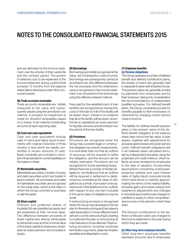and are allocated to the income statement over the shorter of their useful life and the contract period. The portion of deferred cost to be expensed in the income statement during a period that exceeds 12 months from the balance sheet date is disclosed under other noncurrent assets.

#### (N) Trade accounts receivable

Trade accounts receivable are initially measured at fair value and subsequently valued using the amortized cost method. A provision for impairment is made for doubtful receivables based on a review of all material outstanding amounts at each reporting date.

#### (O) Cash and cash equivalents

Cash and cash equivalents include cash in hand and highly liquid investments with original maturities of three months or less which are readily convertible to known amounts of cash. Bank overdrafts are included in shortterm financial debt in current liabilities on the balance sheet.

#### (P) Marketable securities

Marketable securities consists of equity and debt securities which are traded in liquid markets. All purchases and sales of marketable securities are recognized on the trade date, which is the date on which the Group commits to purchase or sell the asset.

#### (Q) Share capital

Ordinary and preferred shares of Kudelski SA are classified as equity and are presented at their nominal value. The difference between proceeds of share capital less directly attributable incremental costs and the nominal value of the share capital increase are considered as share premium and included in equity.

#### (R) Borrowings

Borrowings are initially recognized at fair value, net of transaction costs incurred. Borrowings are subsequently carried at amortized cost. Any difference between the net proceeds and the redemption value is recognized in the income statement over the period of the borrowings using the effective interest method.

Fees paid for the establishment of loan facilities are recognized as transaction costs of the loan to if all of the facility will be drawn down. If there is no evidence that all of the facility will be drawn down, the fee is capitalized as a pre-payment for liquidity services and amortized over the period of the loan facility.

#### (S) Provisions

Provisions are recognized when the Group has a present legal or constructive obligation as a result of past events, it is more likely than not that an outflow of resources will be required to settle the obligation, and the amount can be reliably estimated. Provisions are not recognized for future operating losses. Where there are a number of similar obligations, the likelihood that an outflow will be required in settlement is determined by considering the class of obligations as a whole. A provision is recognized even if the likelihood of an outflow with respect to any one item included in the same class of obligations may be small.

A restructuring provision is recognized when the Group has developed a formal plan for the restructuring and has raised a valid expectation in those affected that it will carry out the restructuring by starting to implement the plan or announcing its main features to those affected. Restructuring provisions comprise employee termination payments, lease termination penalties and dilapidation costs.

#### (T) Employee benefits (a) Pension obligations

The Group operates a number of defined benefit and defined contribution plans, the assets of which are generally held in separate trustee-administered funds. The pension plans are generally funded by payments from employees and by their employer, taking into consideration the recommendations of independent qualified actuaries. For defined benefit plans, the Group companies provide for benefits payable to their employees on retirement by charging current service costs to income.

15

The liability for defined benefit pension plans is the present value of the defined benefit obligation at the balance sheet date minus the fair value of plan assets, together with adjustments for actuarial gains/losses and past service costs. Defined benefit obligations are in all material cases calculated annually by independent actuaries using the projected unit credit method, which reflects services rendered by employees to the date of valuation, incorporates assumptions concerning employees' projected salaries and uses interest rates of highly liquid corporate bonds which have terms to maturity approximating the terms of the related liability. Actuarial gains and losses arising from experience adjustments and changes in actuarial assumptions are charged or credited to equity in other comprehensive income in the period in which they arise.

The Group's contributions to the defined contribution plans are charged to the income statement in the year during which they are made.

#### (b) Other long-term employee benefits

Other long-term employee benefits represent amounts due to employees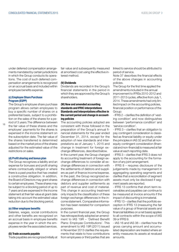under deferred compensation arrangements mandated by certain jurisdictions in which the Group conducts its operations. The cost of such deferred compensation arrangements is recognized on an accrual basis and included within employee benefits expense.

#### (c) Employee Share Purchase Program (ESPP)

The Group's employee share purchase program allows certain employees to buy a specific number of shares on a preferential basis, subject to a prohibition on the sales of the shares for a period of 3 years.The difference between

16 the fair value of these shares and the employee' payments for the shares is expensed in the income statement on the subscription date. The fair value of the shares transferred is determined based on the market price of the shares adjusted for the estimated value of the restrictions on sales.

#### (d) Profit sharing and bonus plan

The Group recognizes a liability and an expense for bonuses and profit sharing where contractually obliged or where there is a past practice that has created a constructive obligation. In addition, the Board of Directors may grant shares to certain employees. These shares may be subject to a blocking period of up to 7 years and are expensed in the income statement at their fair value at grant date taking into account the estimated value reduction due to the blocking period.

#### (e) Other employee benefits

Salaries, wages, social contributions and other benefits are recognized on an accrual basis in employee benefits expense in the year in which the employees render the associated services.

#### (U) Trade accounts payable

Trade payables are recognized initially at

fair value and subsequently measured at amortised cost using the effective interest method.

#### (V) Dividends

Dividends are recorded in the Group's financial statements in the period in which they are approved by the Group's shareholders.

#### (W) New and amended accounting standards and IFRIC interpretations Standards and Interpretations effective in the current period and change in accounting policies

The accounting policies adopted are consistent with those followed in the preparation of the Group's annual financial statements for the year ended December 31, 2014, except for the adoption of new standards and interpretations as of January 1, 2015 and change in treatment for foreign exchange differences, described below. In the current year, the Group changed its accounting treatment of foreign exchange differences to consider all exchange differences in connection with the settlements of debtors and suppliers as part of finance income/expense. In the past, the Group recognized exchange differences in connection with debtors and supplier settlements as part of revenue and cost of material. This change in accounting treatment only impacts the classification of these foreign exchange differences in the income statement. Comparative information has been restated for comparison purposes.

In the current financial year, the Group has retrospectively adopted an amendment to IAS 19R – 'Defined Benefit Plans: Employee Contributions'. This amendment to IAS 19R (2011) issued in November 2013 clarifies the requirements that relate to how contributions from employees or third parties that are linked to service should be attributed to period of service.

Note 37 describes the financial effects of the above changes in accounting policies.

The Group for the first time applied the amendments included in the annual improvement to IFRSs 2010-2012 and 2011-2013 cycles, effective from July 1, 2014. These amendments had only limited impact on the accounting policies, financial position or performance of the Group:

- IFRS 2 – clarifies the definition of 'vesting condition' and now distinguishes between 'performance condition' and 'service condition'.

- IFRS 3 – clarifies that an obligation to pay contingent consideration is classified as financial liability or equity under the principles in IAS 32 and that all nonequity contingent consideration (financial and non-financial) is measured at fair value at each reporting date.

- IFRS 3 – clarifies that IFRS 3 does not apply to the accounting for the formation of any joint arrangement.

- IFRS 8 – requires disclosure of the judgements made by management in aggregating operating segments and clarifies that a reconciliation of segment assets must only be disclosed if segment assets are reported.

- IFRS 13 confirms that short-term receivables and payables can continue to be measured at invoice amounts if the impact of discounting is immaterial.

- IFRS 13 – clarifies that the portfolio exception in IFRS 13 (measuring the fair value of a group of financial assets and financial liabilities on a net basis) applies to all contracts within the scope of IAS 39 or IFRS 9.

- IAS 16 and IAS 38 – clarifies how the gross carrying amount and accumulated depreciation are treated where an entity measures its assets at revalued amounts.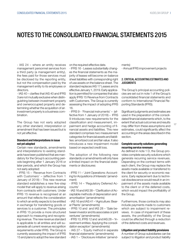- IAS 24 – where an entity receives management personnel services from a third party (a management entity), the fees paid for those services must be disclosed by the reporting entity, but not the compensation paid by the management entity to its employees or directors.

- IAS 40 – clarifies that IAS 40 and IFRS 3 are not mutually exclusive when distinguishing between investment property and owneroccupied property and determining whether the acquisition of an investment property is a business combination.

The Group has not early adopted any other standard, interpretation or amendment that has been issued but is not yet effective.

#### Standard and Interpretations in issue not yet adopted

Certain new standards, amendments and interpretations to existing standards have been published that are mandatory for the Group's accounting periods beginning after 1 January 2016 or later periods, and which the Group has not early adopted:

- IFRS 15 – 'Revenue from Contracts with Customers' – (effective from 1 January of 2018) – This new revenue standard establishes a new five-step model that will apply to revenue arising from contracts with customers. Under IFRS 15 revenue is recognised at an amount that reflects the consideration to which an entity expects to be entitled in exchange for transferring goods or services to a customer. The principles in IFRS 15 provide a more structured approach to measuring and recognising revenue. The new revenue standard is applicable to all entities and will supersede all current revenue recognition requirements under IFRS. The Group is currently assessing the impact of IFRS 15 and plans to adopt the new standard

on the required effective date.

- IFRS 16 - Leases substantially changes the financial statements as the majority of leases will become on-balance sheet liabilities with corresponding right of use assets on the balance sheet. The standard replaces IAS 17 Leases and is effective January 1, 2019. Early application is permitted for companies that also apply IFRS 15 Revenue from Contracts with Customers. The Group is currently assessing the impact of adopting IFRS 16.

- IFRS 9 - 'Financial instruments' – (effective from 1 January of 2018) – IFRS 9 intoduces new requirements for the classification and measurement, impairment and hedge accounting of financial assets and liabilities. This new standard comprises two measurement categories for financial assets and liabilities: amortized cost and fair value. It also introduces a new impairment model based on expected credit loss.

The adoption of the following new standards or amendments will only have a limited impact on the financial statements or disclosures:

- IFRS 11 – 'Joint Operations: Accounting for Acquisitions of Interests' (amendment)

- IFRS 14 – 'Regulatory Deferred Accounts'

- IAS 16 and IAS 38 – 'Clarification of Acceptable methods of depreciation and amortisation' (amendments)

- IAS 16 and IAS 41 –'Agriculture: Bearer Plants' (amendments)

- IFRS 10 and and IAS 28 – 'Sale between investor and its associates or joint ventures' (amendments)

- IFRS 10, IFRS 12 and and IAS 28 – 'Investment entities: Applying the consolidation exception' (amendments)

- IAS 27 – 'Equity method in separate financial statements' (amendments)

- IAS 1 – 'Disclosure initiative' (amend-

ments)

- Annual IFRS improvement projects

#### 2. CRITICAL ACCOUNTING ESTIMATES AND **JUDGMENTS**

The Group's principal accounting policies are set out in note 1 of the Group's consolidated financial statements and conform to International Financial Reporting Standards (IFRS).

Significant judgments and estimates are used in the preparation of the consolidated financial statements which, to the extent that actual outcomes and results may differ from these assumptions and estimates, could significantly affect the accounting in the areas described in this section.

17

#### Complete security solutions generating recurring service revenues

As defined in note 1 D, the Group provides complete security solutions which generate recurring service revenues. Depending on the contract terms with each client, the Group may replace the assets made available or transferred to the client for security or economic reasons. Early replacement due to technical obsolescence would result in an impairment of the assets made available to the client or of the deferred costs, which would impact the profitability of the Group.

Furthermore, those contracts may also include payments made to customers which are subject to impairment reviews. In case of impairment of these assets, the profitability of the Group could be affected through a reduction of the deferred costs and revenues.

#### Litigation and product liability provisions

A number of Group subsidiaries can be subject to litigation and product liability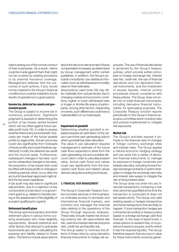claims arising out of the normal conduct of their businesses. As a result, claims could be made against them that might not be covered by existing provisions or by external insurance coverage. Management believes that the outcomes of such actions, if any, would not be material to the Group's financial condition but could be material to future results of operations in a given period.

#### Income tax, deferred tax assets and government grants

The Group is subject to income tax in numerous jurisdictions. Significant judgment is required in determining the portion of tax losses carried forward

which can be offset against future taxable profit (note 18). In order to assess whether there is any future benefit, forecasts are made of the future taxable profits by legal entity. Actual outcomes could vary significantly from forecasts of future profits and could therefore significantly modify the deferred tax asset and the income taxes. Furthermore, subsequent changes in tax laws, such as non-exhaustive changes in tax rates, the proportion of tax losses that could be offset with future profits or changes in forfeiting periods which occur after the accounts have been approved might affect the tax asset capitalized.

A tax audit may also lead to significant adjustments, due to a rejection of key components of a tax return or a government grant (e.g. related to transfer pricing or the assessment of the eligibility of a project qualifying for a grant).

### Retirement benefit plans

The Group sponsors pension and other retirement plans in various forms covering employees who meet eligibility requirements. Several statistical and other factors that attempt to anticipate future events are used in calculating the expense and liability related to these plans. The factors include assumptions about the discount rate and rate of future compensation increases, as determined by Group management within certain guidelines. In addition, the Group's actuarial consultants use statistical information such as withdrawal and mortality rates for their estimates.

Assumptions used (note 29) may differ materially from actual results due to changing market and economic conditions, higher or lower withdrawal rates or longer or shorter life spans of participants, among other factors. Depending on events, such differences could have a material effect on our total equity.

#### Impairment of goodwill

Determining whether goodwill is impaired requires an estimation of the value in use of the cash-generating units to which goodwill has been allocated.

The value in use calculation requires management's estimate of the future cash flows expected to arise from the cash-generating unit and a suitable discount rate in order to calculate present value. Actual cash flows and values could vary significantly from the forecasted cash flows and related values derived using discounting techniques.

#### 3. FINANCIAL RISK MANAGEMENT

The Group's Corporate Treasury function provides services to the business, co-ordinates access to domestic and international financial markets, and monitors and manages the financial risks relating to the operations of the Group through exposure analyses. These risks include market risk (including currency risk, fair value interest rate risk, cash flow interest rate risk and price risk), credit risk and liquidity risk.

The Group seeks to minimize the effects of these risks by using derivative financial instruments to hedge risk ex-

posures. The use of financial derivatives is governed by the Group's treasury policies, which provide written principles on foreign exchange risk, interest rate risk, credit risk, the use of financial derivatives and non-derivative financial instruments, and the investment of excess liquidity. Internal control procedures ensure compliance with these policies. The Group does not enter into or trade financial instruments, including derivative financial instruments, for speculative purposes. The Corporate Treasury function reports periodically to the Group's finance executive committee which monitors risks and policies implemented to mitigate risk exposures.

#### Market risk

The Group's activities expose it primarily to the financial risks of changes in foreign currency exchange rates and interest rates. The Group applies a natural economic hedging strategy and can enter into a variety of derivative financial instruments to manage its exposure to foreign currencies and interest rate risks, including forward foreign exchange contracts or option strategies to hedge the exchange rate risks and interest rate swaps to mitigate the risk of rising interest rates.

The Group does not enter into any financial transactions containing a risk that cannot be quantified at the time the transaction is concluded (it does not sell assets short). The Group only sells existing assets or hedges transactions and future transactions that are likely to happen. Future transaction hedges are contracted according to treasury policy based on a foreign exchange cash flow forecast. In the case of liquid funds, it writes options on assets it has, or on positions it wants to acquire, and for which it has the required liquidity. The Group therefore expects that any loss in value for these instruments would be gener-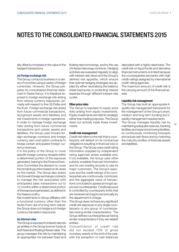ally offset by increases in the value of the hedged transactions.

#### (a) Foreign exchange risk

The Group conducts business in a variety of countries using a variety of foreign currencies. However, the Group prepares its consolidated financial statement in Swiss francs. It is therefore exposed to foreign exchange risk arising from various currency exposures, primarily with respect to the US Dollar and the Euro. Foreign exchange risk arises from future commercial transactions, recognized assets and liabilities and net investments in foreign operations. In order to manage foreign exchange risks arising from future commercial transactions and certain assets and liabilities, the Group uses forward foreign exchange contracts and foreign currency zero cost option contracts to hedge certain anticipated foreign currency revenues.

It is the policy of the Group to cover specific foreign currency receipts within a determined portion of the exposure generated, leaving to the Finance Executive Committee the decision to cover the remaining portion based on its views on the market. The Group also enters into forward foreign exchange contracts to manage the risk associated with anticipated sales transactions out to 12 months within a determined portion of the exposure generated, as defined in the treasury policy.

Net investments in Group affiliates with a functional currency other than the Swiss Franc are of a long-term nature: the Group does not hedge such foreign currency translation exposures.

#### (b) Interest rates

The Group is exposed to interest rate risk as entities in the Group borrow funds at both fixed and floating interest rates. The group manages this risk by maintaining an appropriate mix between fixed and

floating rate borrowings, and by the use of interest rate swap contracts. Hedging activities are evaluated regularly to align with interest rate views and the Group's defined risk appetite, which ensure that optimal hedging strategies are applied by either neutralizing the balance sheet exposures or protecting interest expense through different interest rate cycles.

#### Other price risks

The Group is exposed to equity price risks arising from equity investments. Equity investments are held for strategic rather than trading purposes. The Group does not actively trade these investments.

#### Credit risk management

Credit risk refers to the risk that a counterparty will default on its contractual obligations resulting in financial loss to the Group. The Group uses credit rating information supplied by independent rating agencies where available and, if not available, the Group uses other publicly available financial information and its own trading records to rate its major customers. The Group's exposure and the credit ratings of its counterparties are continuously monitored, and the aggregate value of transactions concluded is spread amongst approved counterparties. Credit exposure is controlled by counterparty limits that are reviewed and approved annually by the department in charge.

The Group does not have any significant credit risk exposure to any single counterparty or any group of counterparties having similar characteristics. The Group defines counterparties as having similar characteristics if they are related entities.

Concentration of credit risk did not exceed 10% of gross monetary assets at the end of the year, with the exception of cash balances

deposited with a highly rated bank. The credit risk on liquid funds and derivative financial instruments is limited because the counterparties are banks with high credit-ratings assigned by international credit-rating agencies.

The maximum amount of credit risk is the carrying amount of the financial assets.

#### Liquidity risk management

The Group has built an appropriate liquidity risk management framework for the management of the Group's short, medium and long-term funding and liquidity management requirements.

The Group manages liquidity risk by maintaining adequate reserves, banking facilities and reserve borrowing facilities, by continuously monitoring forecasts and actual cash flows and by matching the maturity profiles of financial assets and liabilities.

19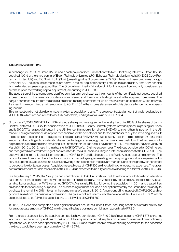#### 4. BUSINESS COMBINATIONS

In exchange for 22.5% of SmarDTV SA and a cash payment (see Transaction with Non-Controlling Interests), SmarDTV SA acquired 100% of the share capital of Eldon Technology Limited (UK), Echostar Technologies Limited (UK), DCS Copy Protection Limited (UK) and EIC Spain II S.L. (Spain), resulting in the Group owning a 77.5% interest in those companies through SmarDTV SA. The acquired companies are active in the set-top-box industry. Through this acquisition, SmarDTV benefits from extended engineering capabilities. The Group determined a fair value of nil for this acquisition and only considered as purchase price the working capital adjustment, amounting to kCHF 530.

The acquisition of these companies qualifies as a 'bargain purchase' as the amounts of the identifiable net assets acquired exceed the sum of the value of consideration transferred and the non-controlling interest in the acquired companies. The bargain purchase results from the acquisition of loss-making operations for which material restructuring costs will be incurred. As a result, we recognized a gain amounting to kCHF 4 135 in the income statement which is disclosed under 'other operating income'.

This transaction did not give rise to material external acquisition costs. The gross contractual amount of trade receivables is kCHF 1304 which are considered to be fully collectable, leading to a fair value of kCHF 1 304.

 $20$ On January 7, 2015, SKIDATA Inc., USA, signed a share purchase agreement whereby it acquired 60% of the shares of Sentry Control Systems LLC, USA, for consideration of kCHF 13999. Sentry Control Systems provides premium parking solutions and is SKIDATA's largest distributor in the US. Hence, this acquisition allows SKIDATA to strengthen its position in the US market. The agreement includes option mechanisms for the seller to sell and for the purchaser to buy the remaining shares. If the options are not exercised, the agreement stipulates that SKIDATA will subsequenty acquire the remaining 40% for a fixed amount and a contingent consideration based on the target's revenue, gross margin and free cash flow. The fixed amount to be paid for the acquisition of the remaining 40% interest is structured as four payments of USD 2 million each, payable yearly on March 31, 2016 to 2019, resulting in a transfer to SKIDATA of a 10% interest each year. The Group considered a 100% interest and recognized a deferred/contingent consideration for the 40% share resulting in a total acquisition cost of kCHF 23906. The goodwill arising from this acquisition amounts to kCHF 18449 and is allocated to the Public Access operating segment. The goodwill arises from a number of factors including expected synergies resulting from acquiring a workforce experienced in service support as well as a valuable sales knowledge and expertise in the relevant market. None of the goodwill is expected to be deductible for tax purposes. Acquisition related costs of kCHF 300 are included in other operating expenses. The gross contractual amount of trade receivables of kCHF 7046 is expected to be fully collectable leading to a fair value of kCHF 7046.

Starting January 1, 2015, the Group gained control over SKIDATA Australasia Pty Ltd without any additional consideration paid and as of that date the company is accounted for as a subsidiary. The Group initially acquired 50% interest in its Australian distributor and partner WTS (renamed SKIDATA Australasia Pty Ltd following the acquisition) in 2014 and treated it as an associate for accounting purposes. The purchase agreement included a call option whereby the Group had the ability to purchase the remaining 50% interest in the company as of January 1, 2015. A non-controlling interest of kCHF 2 095 and no goodwill arose from this business combination. The gross contractual amount of trade receivables due is kCHF 5 862, which are considered to be fully collectable, leading to a fair value of kCHF 5 862.

In 2015, SKIDATA also completed a non-significant asset deal in the United States, acquiring assets of a smaller distributor for an aggregate amount of CHF 0.5 m which qualified as a business combination according to IFRS 3.

From the date of acquisition, the acquired companies have contributed kCHF 49 216 of revenues and kCHF 1875 to the net income to the continuing operations of the Group. If the acquisitions had taken place on January 1, revenues from continuing operations would have been approximately kCHF 945 713 and the net income from continuing operations for the period for the Group would have been approximately kCHF 48 774.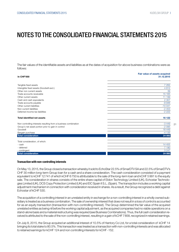The fair values of the identifiable assets and liabilities as at the dates of acquisition for above business combinations were as follows:

|                                                                 | Fair value of assets acquired |
|-----------------------------------------------------------------|-------------------------------|
| <b>In CHF'000</b>                                               | 31.12.2015                    |
|                                                                 |                               |
| Tangible fixed assets                                           | 7 2 6 2                       |
| Intangible fixed assets (Goodwill excl.)                        | 4812                          |
| Other non current assets                                        | 39                            |
| Trade accounts receivable                                       | 15 165                        |
| Other current assets                                            | 11 199                        |
| Cash and cash equivalents                                       | 2 3 0 7                       |
| Trade accounts payable                                          | $-9946$                       |
| Other current liabilities                                       | $-10041$                      |
| Non current liabilities                                         | $-2453$                       |
| Deferred income tax liabilities                                 | $-2222$                       |
| <b>Total identified net assets</b>                              | 16 122                        |
| Non controlling interests resulting from a business combination | $-3449$                       |
| Group's net asset portion prior to gain in control              | $-2095$                       |
| Goodwill                                                        | 18 4 4 9                      |
| Bargain purchase                                                | $-4135$                       |
| <b>Total consideration</b>                                      | 24 892                        |
| Total consideration, of which:                                  |                               |
| - cash                                                          | 14 4 5 5                      |
| - deferred                                                      | 7 190                         |
| - contingent                                                    | 3 2 4 7                       |
| <b>Total consideration</b>                                      | 24 892                        |

#### Transaction with non-controlling interests

On May 13, 2015, the Group closed a transaction whereby it sold to EchoStar 22.5% of SmarDTV SA and 22.5% of SmarDTV's CHF 30 million long-term Group loan for a cash and a share consideration. The cash consideration consisted of a payment equivalent to kCHF 12741 of which kCHF 6750 is attributable to the sale of the long-term loan and kCHF 5 991 to the equity sale. The consideration in shares consists of the entire share capital of Eldon Technology Limited (UK), Echostar Technologies Limited (UK), DCS Copy Protection Limited (UK) and EIC Spain II S.L. (Spain). The transaction includes a working capital adjustment mechanism in connection with consideration received in shares. As a result, the Group recognized a debt against Echostar of kCHF 530.

The acquisition of a controlling interest in an unrelated entity in exchange for a non-controlling interest in a wholly owned subsidiary is treated as a business combination. The sale of ownership interest that does not result in a loss of control is accounted for as an equity transaction (transaction with non-controlling interest). The Group determined the fair value of the acquired unrelated entities as being nil before the working capital adjustment, as the acquired companies had no viable operations on a stand-alone basis and a material restructuring was required (see Business Combinations). Thus, the full cash consideration received is attributed to the sale of the non-controlling interest, resulting in a gain of kCHF 7858, recognized in retained earnings.

On July 8, 2015, the Group acquired an additional interest of 10.5% of Hantory Co Ltd, for a total consideration of kCHF 14 bringing its total stake to 80.5%. This transaction was treated as a transaction with non-controlling interests and was allocated to retained earnings for kCHF 124 and non controlling interests for kCHF -152.

21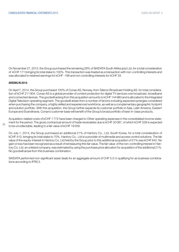On November 27, 2015, the Group purchased the remaining 28% of SKIDATA South Afrika (pty) Ltd, for a total consideration of kCHF 171 bringing its total stake to 100%. This transaction was treated as a transaction with non-controlling interests and was allocated to retained earnings for kCHF -198 and non controlling interests for kCHF 33.

#### ARISING IN 2014:

 $22$ 

On April 7, 2014, the Group purchased 100% of Conax AS, Norway, from Telenor Broadcast Holding AS, for total consideration of kCHF 211904. Conax AS is a global provider of content protection for digital TV services over broadcast, broadband and connected devices. The goodwill arising from this acquisition amounts to kCHF 144980 and is allocated to the Integrated Digital Television operating segment. The goodwill arises from a number of factors including expected synergies considered when purchasing the company, a highly skilled and experienced workforce, as well as a complementary geographic footprint and solution portfolio. With this acquisition, the Group further expands its customer portfolio in Asia, Latin America, Eastern Europe and Scandinavia. Conax's customer base will benefit of the Group's broad portfolio of best-in-class products.

Acquisition-related costs of kCHF 1772 have been charged to Other operating expenses in the consolidated income statement for the period. The gross contractual amount of trade receivables due is kCHF 20 087, of which kCHF 528 is expected to be uncollectable, leading to a fair value of kCHF 19559.

On July 1, 2014, the Group purchased an additional 21% of Hantory Co., Ltd, South Korea, for a total consideration of kCHF 410, bringing its total stake to 70%. Hantory Co., Ltd is a provider of multimedia and access control solutions. The fair value of the equity-interest in Hantory Co. Ltd held by the Group prior to this additional acquisition of 21% was kCHF 642. No gain or loss has been recognized as a result of remeasuring this fair value. The fair value of the non-controlling interest in Hantory Co. Ltd, an unlisted company, was estimated by using the purchase price allocation for acquisition of the additional 21%. No goodwill arose from this business combination.

SKIDATA performed non-significant asset deals for an aggregate amount of CHF 0.5 m qualifying for as business combinations according to IFRS 3.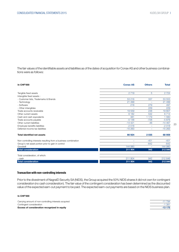The fair values of the identifiable assets and liabilities as of the dates of acquisition for Conax AS and other business combinaitions were as follows:

| <b>In CHF'000</b>                                               | <b>Conax AS</b>          | <b>Others</b> | <b>Total</b> |
|-----------------------------------------------------------------|--------------------------|---------------|--------------|
| Tangible fixed assets                                           | 2719                     | 5             | 2 7 2 4      |
| Intangible fixed assets :                                       |                          |               |              |
| - Customer lists, Trademarks & Brands                           | 53 216                   | 337           | 53 553       |
| - Technology                                                    | 21 499                   |               | 21 499       |
| - Software                                                      | 218                      | 279           | 497          |
| - Other intangibles                                             | $\overline{\phantom{0}}$ | 229           | 229          |
| Trade accounts receivable                                       | 19559                    | 248           | 19807        |
| Other current assets                                            | 6 1 8 2                  | 532           | 6714         |
| Cash and cash equivalents                                       | 381                      | 1 1 7 9       | 1 560        |
| Trade accounts payable                                          | $-5148$                  | $-728$        | $-5876$      |
| Other current liabilities                                       | $-14421$                 | $-46$         | $-14467$     |
| Employee benefits liabilities                                   | $-2018$                  | ÷             | $-2018$      |
| Deferred income tax liabilities                                 | $-15263$                 | -             | $-15263$     |
| <b>Total identified net assets</b>                              | 66924                    | 2035          | 68 959       |
| Non controlling interests resulting from a business combination | $\overline{\phantom{0}}$ | $-451$        | $-451$       |
| Group's net asset portion prior to gain in control              |                          | $-642$        | $-642$       |
| Goodwill                                                        | 144 980                  |               | 144 980      |
| <b>Total consideration</b>                                      | 211 904                  | 942           | 212 846      |
| Total consideration, of which:                                  |                          |               |              |
| - cash                                                          | 211 904                  | 942           | 212 846      |
| <b>Total consideration</b>                                      | 211 904                  | 942           | 212 846      |

#### Transaction with non-controlling interests

Prior to the divestment of NagraID Security SA (NIDS), the Group acquired the 50% NIDS shares it did not own for contingent consideration (no cash consideration). The fair value of the contingent consideration has been determined as the discounted value of the expected earn-out payment to be paid. The expected earn-out payments are based on the NIDS business plan.

#### In CHF'000

Carrying amount of non-controlling interests acquired  $\overline{1}$ Contingent consideration  $\overline{1}$  381  $\overline{3}$  381  $\overline{3}$  381  $\overline{3}$  381  $\overline{3}$  381  $\overline{3}$  381  $\overline{3}$  381  $\overline{3}$  381  $\overline{3}$  381  $\overline{3}$  381  $\overline{3}$  381  $\overline{3}$  381  $\overline{3}$  381  $\overline{3}$  381  $\overline{3}$  381  $\$ Excess of consideration recognized in equity

| -13 175  |
|----------|
| $-1.381$ |
| $-11794$ |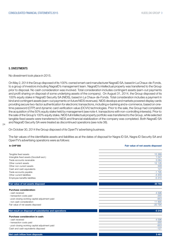#### 5. DIVESTMENTS

No divestment took place in 2015.

On May 2, 2014 the Group disposed of its 100%-owned smart card manufacturer NagraID SA, based in La Chaux-de-Fonds, to a group of investors including NagraID's management team. NagraID's intellectual property was transferred to the Group prior to disposal. No cash consideration was involved. Total consideration includes contingent assets (earn-out payments and profit sharing on disposal of some underlying assets of the company). On August 31, 2014, the Group disposed of its 100% equity stake in NagraID Security SA (NIDS), based in La Chaux-de-Fonds. Total consideration includes a payment in kind and contingent assets (earn-out payments on future NIDS revenues). NIDS develops and markets powered display cards providing secure two-factor authentication for electronic transactions, including e-banking and e-commerce, based on onetime password (OTP) and dynamic card verification value (DCVV) technologies. Prior to the sale, the Group had completed the acquisition of the 50% equity stake held by management (see note 4. transactions with non-controlling interests). Prior to the sale of the Group's 100% equity stake, NIDS full intellectual property portfolio was transferred to the Group, while selected tangible fixed assets were transferred to NIDS and financial stabilization of the company was completed. Both NagraID SA and NagraID Security SA were treated as discontinued operations (see note 38).

#### $24$

On October 30, 2014 the Group disposed of its OpenTV advertising business.

The fair values of the identifiable assets and liabilities as at the dates of disposal for Nagra ID SA, Nagra ID Security SA and OpenTV's advertising operations were as follows:

#### In CHF'000 Fair value of net assets disposed

| Tangible fixed assets                                 | 15 3 69  |
|-------------------------------------------------------|----------|
| Intangible fixed assets (Goodwill excl.)              | 1 0 4 7  |
| Trade accounts receivable                             | 3 0 8 4  |
| Other current assets                                  | 12 1 26  |
| Other non current assets                              | 349      |
| Cash and cash equivalents                             | 127      |
| Trade accounts payable                                | $-1795$  |
| Other current liabilities                             | $-4203$  |
| Employee benefits liabilities                         | $-5310$  |
|                                                       |          |
| Fair value of net assets disposed                     | 20 794   |
| <b>Purchase consideration:</b>                        |          |
| - cash received                                       | 4596     |
| - transaction costs paid                              | $-355$   |
| - post-closing working capital adjustment paid        | $-653$   |
| - non cash consideration                              | 11890    |
| Fair value of net assets disposed                     | $-20794$ |
| Net result on disposal of subsidiaries and operations | $-5316$  |
|                                                       |          |
| Purchase consideration in cash:                       |          |
| - cash received                                       | 4596     |
| - transaction costs paid                              | $-355$   |
| - post-closing working capital adjustment paid        | $-653$   |
| Cash and cash equivalents disposed                    | $-127$   |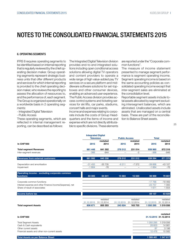#### 6. OPERATING SEGMENTS

IFRS 8 requires operating segments to be identified based on internal reporting that is regularly reviewed by the chief operating decision maker. Group operating segments represent strategic business units that offer different products and services for which internal reporting is provided to the chief operating decision maker, who reviews the reporting to assess the allocation of ressources to, and the performance of, each segment. The Group is organized operationally on a worldwide basis in 2 operating segments:

- Integrated Digital Television

- Public Access

These operating segments, which are reflected in internal management reporting, can be described as follows:

The Integrated Digital Television division provides end-to-end integrated solutions including open conditional access solutions allowing digital TV operators and content providers to operate a wide range of high value-added pay TV services on a secure platform and middleware software solutions for set-topboxes and other consumer devices, enabling an advanced user experience. The Public Access division provides access control systems and ticketing services for ski lifts, car parks, stadiums, concert halls and major events.

Income and expenses relating to corporate include the costs of Group Headquarters and the items of income and expense which are not directly attributable to specific divisions. These elements

are reported under the "Corporate common functions".

The measure of income statement presented to manage segment performance is segment operating income. Segment operating income is based on the same accounting policies as consolidated operating income except that inter-segment sales are eliminated at the consolidation level.

Reportable segment assets include total assets allocated by segment excluding intersegment balances, which are eliminated. Unallocated assets include assets that are managed on a central basis. These are part of the reconciliation to Balance Sheet assets.

|                                                          | <b>Integrated Digital</b> |            |                          |            |              |            |
|----------------------------------------------------------|---------------------------|------------|--------------------------|------------|--------------|------------|
|                                                          | <b>Television</b>         |            | <b>Public Access</b>     |            | <b>Total</b> |            |
|                                                          |                           | restated   |                          | restated   |              | restated   |
| <b>In CHF'000</b>                                        | 2015                      | 2014       | 2015                     | 2014       | 2015         | 2014       |
| <b>Total segment Revenues</b>                            | 661 448                   | 641 302    | 278 512                  | 231 014    | 939 960      | 872 316    |
| Inter-segment revenues                                   | $-366$                    | $-944$     |                          | $-2$       | $-366$       | $-946$     |
| <b>Revenues from external customers</b>                  | 661 082                   | 640 358    | 278 512                  | 231 012    | 939 594      | 871 370    |
| Depreciation and amortisation                            | $-31455$                  | $-35735$   | $-8211$                  | $-7372$    | $-39666$     | $-43107$   |
| Impairment                                               | $-1664$                   | $-76$      | $\overline{\phantom{m}}$ |            | $-1664$      | $-76$      |
| Operating income - excluding corporate common            |                           |            |                          |            |              |            |
| <b>functions</b>                                         | 83 305                    | 64 641     | 15 684                   | 15 0 20    | 98 989       | 79 661     |
| Corporate common functions                               |                           |            |                          |            | $-17766$     | $-18469$   |
| Interest expense and other Finance income/(expense), net |                           |            |                          |            | $-23757$     | 1 0 8 3    |
| Share of result of associates                            |                           |            |                          |            | 1671         | 1 5 5 4    |
| Income before tax                                        |                           |            |                          |            | 59 137       | 63 829     |
|                                                          |                           | restated   |                          | restated   |              | restated   |
|                                                          | 31.12.2015                | 31.12.2014 | 31.12.2015               | 31.12.2014 | 31.12.2015   | 31.12.2014 |
| <b>Total segment Assets</b>                              | 806 671                   | 855 353    | 243 624                  | 163703     | 1 050 295    | 1 019 056  |

| In CHF'000                                    | 31.12.2015 31.12.2014 |         |
|-----------------------------------------------|-----------------------|---------|
| <b>Total Segment Assets</b>                   | 1 050 295             | 019056  |
| Cash & Cash equivalents                       | 28 603                | 14 981  |
| Other current assets                          | -87                   | 3 1 9 8 |
| Financial assets and other non-current assets | 10 476                | 10 582  |
| <b>Total Assets as per Balance Sheet</b>      | 1 089 461 1 047 817   |         |

restated

25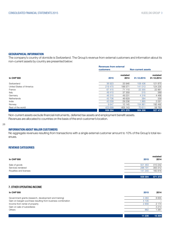#### GEOGRAPHICAL INFORMATION

The company's country of domicile is Switzerland. The Group's revenue from external customers and information about its non-current assets by country are presented below:

|                          |           | <b>Revenues from external</b> |                           |                        |
|--------------------------|-----------|-------------------------------|---------------------------|------------------------|
|                          | customers |                               | <b>Non-current assets</b> |                        |
| <b>In CHF'000</b>        | 2015      | restated<br>2014              | 31.12.2015                | restated<br>31.12.2014 |
| Switzerland              | 36 923    | 33 946                        | 108 436                   | 121 875                |
| United States of America | 219 470   | 188 571                       | 141 013                   | 124 235                |
| France                   | 67415     | 71 110                        | 22 3 5 5                  | 22 861                 |
| Italy                    | 49 410    | 37 359                        | 515                       | 389                    |
| Germany                  | 46 315    | 49 231                        | 4 3 1 6                   | 4 4 6 8                |
| Netherlands              | 43 706    | 46 629                        | 384                       | 339                    |
| India                    | 43 009    | 29 236                        | 1865                      | 2 0 5 1                |
| Norway                   | 9647      | 10 145                        | 154 861                   | 192 492                |
| Rest of the world        | 423 699   | 405 143                       | 70 611                    | 58762                  |
|                          | 939 594   | 871 370                       | 504 356                   | 527 472                |

Non-current assets exclude financial instruments, deferred tax assets and employment benefit assets. Revenues are allocated to countries on the basis of the end-customer's location.

#### 26

#### INFORMATION ABOUT MAJOR CUSTOMERS

No aggregate revenues resulting from transactions with a single external customer amount to 10% of the Group's total revenues.

#### REVENUE CATEGORIES

| <b>In CHF'000</b>      | 2015    | restated<br>2014 |
|------------------------|---------|------------------|
| Sale of goods          | 501 463 | 410 242          |
| Services rendered      | 296 791 | 300 312          |
| Royalties and licenses | 141 340 | 160 816          |
|                        | 939 594 | 871 370          |
|                        |         |                  |
|                        |         |                  |

### 7. OTHER OPERATING INCOME

| In CHF'000                                                   | 2015    | 2014    |
|--------------------------------------------------------------|---------|---------|
| Government grants (research, development and training)       | 3 3 8 3 | 8 6 5 5 |
| Gain on bargain purchase resulting from business combination | 4 1 3 5 |         |
| Income from rental of property                               | 2856    | 2 1 7 4 |
| Gain on sale of subsidiares                                  |         | 3 2 1 4 |
| Others                                                       | 862     | 1 261   |
|                                                              | 11 236  | 15 304  |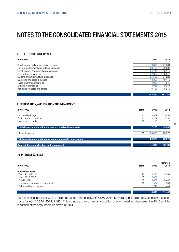#### 8. OTHER OPERATING EXPENSES

| <b>In CHF'000</b>                          | 2015    | 2014    |
|--------------------------------------------|---------|---------|
| Development and engineering expenses       | 16815   | 21 0 84 |
| Travel, entertainment and lodging expenses | 29 136  | 29 080  |
| Legal, experts and consultancy expenses    | 34 444  | 33 115  |
| Administration expenses                    | 22 687  | 23 848  |
| Building and infrastructure expenses       | 25 5 26 | 24 223  |
| Marketing and sales expenses               | 10807   | 10 178  |
| Taxes other than income tax                | 4 0 5 5 | 4678    |
| Change in provisions                       | $-4035$ | 9 2 7 7 |
| Insurance, vehicles and others             | 9 1 3 5 | 8 2 7 9 |
|                                            | 148 569 | 163 762 |

#### 9. DEPRECIATION, AMORTIZATION AND IMPAIRMENT

| <b>In CHF'000</b>                                            | <b>Note</b> |    | 2015    | 2014   |
|--------------------------------------------------------------|-------------|----|---------|--------|
| Land and buildings                                           |             | 14 | 3869    | 3694   |
| Equipment and machines                                       |             | 14 | 13 277  | 15 398 |
| Investment property                                          |             | 16 | 115     | 113    |
| Total depreciation and impairment of tangible fixed assets   |             |    | 17 260  | 19 205 |
| Intangible assets                                            |             | 15 | 24 0 70 | 23 978 |
| Total amortization and impairment on intangible fixed assets |             |    | 24 070  | 23 978 |
| Depreciation, amortization and impairment                    |             |    | 41 330  | 43 183 |

#### 10. INTEREST EXPENSE

| <b>In CHF'000</b>                      | <b>Note</b> | 2015    | restated<br>2014         |
|----------------------------------------|-------------|---------|--------------------------|
| Interest expense:                      |             |         |                          |
| - Bond 2011-2016                       | 28          | 3 7 9 1 | 3581                     |
| - Bond 2015-2022                       | 28          | 2462    | $\overline{\phantom{0}}$ |
| - Credit facility                      | 27          | 5 5 6 0 | 5 4 4 0                  |
| - Net interest expense on pension plan | 29          | 954     | 981                      |
| - Other and bank charges               |             | 1749    | 1441                     |
|                                        |             | 14 5 15 | 11 443                   |

Total interest expense related to the credit facility amount to kCHF 5 560 (2014: 5440) and include amortization of transaction costs for kCHF 2874 (2014: 1483). This include extraordinary amortization due to the full reimbursement in 2015 and the reduction of the amount drawn down in 2014.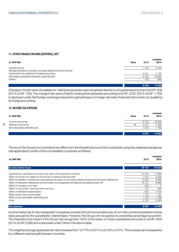-9 242 12 526

### 11. OTHER FINANCE INCOME/(EXPENSE), NET

| In CHF'000                                                          | <b>Note</b> | 2015    | restated<br>2014 |
|---------------------------------------------------------------------|-------------|---------|------------------|
| Interest income                                                     |             | 403     | 2 1 3 2          |
| Net gains/(losses) on foreign exchange related derivative financial |             |         |                  |
| instruments not qualifying for hedge accounting                     |             | $-2051$ | $-1702$          |
| Net foreign exchange transaction gains/(losses)                     |             | $-9053$ | 13 052           |
| <b>Others</b>                                                       |             | 459     | $-956$           |
|                                                                     |             |         |                  |

Changes in the fair value of available-for- sale financial assets were recognized directly in comprehensive income for kCHF -638 (2014: kCHF -793). The change in fair value of held for trading financial assets amounting to kCHF -2 051 (2014: kCHF -1702) is disclosed under Net foreign exchange transaction gains/(losses) on foreign derivative financial instruments not qualifying for hedge accounting.

#### 12. INCOME TAX EXPENSE

28

| In CHF'000                    | <b>Note</b> | 2015     | restated<br>2014 |
|-------------------------------|-------------|----------|------------------|
| Current income tax            |             | $-13738$ | $-12904$         |
| Deferred income tax           | 18          | 5 3 3 1  | 630              |
| Non refundable witholding tax |             | $-1420$  | $-1788$          |
|                               |             | $-9827$  | $-13062$         |

The tax on the Group's income before tax differs from the theoretical amount that would arise using the weighted average tax rate applicable to profits of the consolidated companies as follows:

| <b>In CHF'000</b>                                                                                                  | 2015     | restated<br>2014 |
|--------------------------------------------------------------------------------------------------------------------|----------|------------------|
| Income before taxes                                                                                                | 59 137   | 63 828           |
| Expected tax calculated at domestic tax rates in the respective countries                                          | $-13338$ | $-11983$         |
| Effect of income not subject to income tax or taxed at reduced rates                                               | 1 381    | 2 3 5 9          |
| Effect of utilization of previously unrecognized tax asset on tax losses carried forward and temporary differences | 15 636   | 6 5 8 0          |
| Effect of temporary differences and tax losses not recognized and deferred tax assets written-off                  | $-16721$ | $-8966$          |
| Effect of changes in tax rates                                                                                     | 949      | $-7$             |
| Efffect of associates' result reported net of tax                                                                  | 415      | 322              |
| Effect of disallowed expenditures                                                                                  | $-667$   | $-1814$          |
| Effect of prior year income taxes                                                                                  | 1 144    | $-157$           |
| Effect of non-refundable withholding tax                                                                           | $-1420$  | -1788            |
| Other                                                                                                              | 2 7 9 2  | 2 3 9 3          |
| Tax expense                                                                                                        | $-9827$  | $-13062$         |

Income before tax for tax-transparent companies includes the full income before tax of non-fully-owned subsidiaries whose taxes are paid by the subsidiaries' shareholders. However, the Group only recognizes its ownership percentage tax portion. The theoretical tax impact if the Group had recognized 100% of the taxes on these subsidiaries amounts to kCHF 2 640 (2014: kCHF 2289) and is disclosed under Other in the above table.

The weighted average applicable tax rate increased from 18.77% in 2014 to 22.55% in 2015. The increase can be explained by a different revenue split between countries.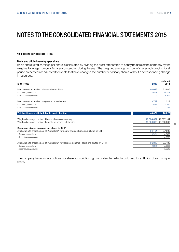#### 13. EARNINGS PER SHARE (EPS)

#### Basic and diluted earnings per share

Basic and diluted earnings per share is calculated by dividing the profit attributable to equity holders of the company by the weighted average number of shares outstanding during the year. The weighted average number of shares outstanding for all period presented are adjusted for events that have changed the number of ordinary shares without a corresponding change in resources.

| <b>In CHF'000</b>                                                                              | 2015       | restated<br>2014      |
|------------------------------------------------------------------------------------------------|------------|-----------------------|
|                                                                                                |            |                       |
| Net income attributable to bearer shareholders                                                 | 40 629     | 23 806                |
| - Continuing operations                                                                        | 40 629     | 40 661                |
| - Discontinued operations                                                                      | ä,         | $-16855$              |
| Net income attributable to registered shareholders                                             | 3792       | 2 2 2 2               |
| - Continuing operations                                                                        | 3792       | 3795                  |
| - Discontinued operations                                                                      |            | $-1573$               |
| Total net income attributable to equity holders                                                | 44 4 21    | 26 0 28               |
| Weighted average number of bearer shares outstanding                                           | 49 604 697 | 49 597 154            |
| Weighted average number of registered shares outstanding                                       |            | 46 300 000 46 300 000 |
| Basic and diluted earnings per share (in CHF)                                                  |            |                       |
| Attributable to shareholders of Kudelski SA for bearer shares : basic and diluted (in CHF)     | 0.8191     | 0.4800                |
| - Continuing operations                                                                        | 0.8191     | 0.8198                |
| - Discontinued operations                                                                      |            | $-0.3398$             |
| Attributable to shareholders of Kudelski SA for registered shares : basic and diluted (in CHF) | 0.0819     | 0.0480                |
| - Continuing operations                                                                        | 0.0819     | 0.0820                |
| - Discontinued operations                                                                      |            | $-0.0340$             |

The company has no share options nor share subscription rights outstanding which could lead to a dilution of earnings per share.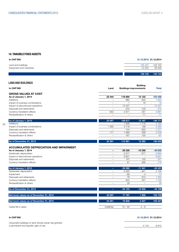#### 14. TANGIBLE FIXED ASSETS

30

| In CHF'000             | 31.12.2015 31.12.2014 |         |
|------------------------|-----------------------|---------|
| Land and buildings     | 105 427               | 102 740 |
| Equipment and machines | 33 693                | 30 405  |
|                        | 139 120               | 133 145 |

LAND AND BUILDINGS In CHF'000 Land Buildings Building Buildings improvements Total GROSS VALUES AT COST As of January 1, 2014<br>As of January 1, 2014 Additions – 985 840 1 825 Impact of business combinations and the state of business combinations and the state of the state of the state of the state of the state of the state of the state of the state of the state of the state of the state of the Impact of discontinued operations and retirements and retirements of discontinued operations and retirements of  $\frac{12427}{-} \frac{12427}{-} \frac{12427}{-} \frac{12427}{-} \frac{12427}{-} \frac{1247}{-} \frac{12477}{-} \frac{12477}{-} \frac{12477}{-} \frac{12477}{-}$ Disposals and retirements –  $-243$  -243  $-243$  -243  $-243$ Currency translation effects 653 2 671 3 67 3 681 Reclassification & others – – -11 -11

| As of January 1, 2015           | 23 097                   | 109877   | 13 197 | 146 171 |
|---------------------------------|--------------------------|----------|--------|---------|
| Additions                       | $\overline{\phantom{m}}$ | 646      | 119    | 2 7 6 5 |
| Impact of business combinations | 365                      | 3 7 1 9  | 198    | 5 2 8 2 |
| Disposals and retirements       | $\qquad \qquad \qquad$   | $-144$   | $-933$ | $-1077$ |
| Currency translation effects    | $-171$                   | $-1.969$ | $-399$ | $-2539$ |
| Reclassification & others       |                          | $-167$   | 100    | $-67$   |

| As of December 31, 2015                        | 24 291 | 112 961  | 13 28 2                        | 150 535  |
|------------------------------------------------|--------|----------|--------------------------------|----------|
| <b>ACCUMULATED DEPRECIATION AND IMPAIRMENT</b> |        |          |                                |          |
| As of January 1, 2014                          |        | $-39328$ | $-10298$                       | $-49626$ |
| Systematic depreciation                        |        | $-2817$  | $-877$                         | $-3694$  |
| Impact of discontinued operations              |        | 9821     | $\qquad \qquad \longleftarrow$ | 9 8 21   |
| Disposals and retirements                      |        | 147      | 100                            | 247      |
| Currency translation effects                   |        | 87       | $-266$                         | $-179$   |
| As of January 1, 2015                          | -      | $-32090$ | $-11$ 341                      | $-43431$ |
| Systematic depreciation                        |        | $-2955$  | $-841$                         | $-3796$  |

| As of December 31, 2015      | -                        | $-34153$ | $-10956$                 | $-45108$ |
|------------------------------|--------------------------|----------|--------------------------|----------|
| Reclassification & others    |                          | 39       | $\overline{\phantom{m}}$ | 39       |
| Currency translation effects |                          | 844      | 257                      | 100      |
| Disposals and retirements    |                          | 78       | 974                      | 052      |
| Impairment                   |                          | -69      | -4                       | $-73$    |
| Systematic depreciation      | $\overline{\phantom{0}}$ | -2 900   | -841                     | -3790    |

| Net book values as of December 31, 2014 | 23 097     | 77 787    | 1856    | 102 740 |
|-----------------------------------------|------------|-----------|---------|---------|
| Net book values as of December 31, 2015 | 24 291     | 78 809    | 2 3 2 7 | 105 427 |
| Useful life in years                    | Indefinite | $10 - 50$ | $4 - 8$ |         |

| <b>In CHF'000</b>                                                                            | 31.12.2015 31.12.2014 |      |
|----------------------------------------------------------------------------------------------|-----------------------|------|
| Corporate buildings on land whose owner has granted<br>a permanent and specific right of use | 6 708                 | 6912 |
|                                                                                              |                       |      |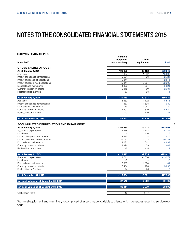#### EQUIPMENT AND MACHINES

| <b>In CHF'000</b>                                                       | <b>Technical</b><br>equipment<br>and machinery | <b>Other</b><br>equipment | <b>Total</b>   |
|-------------------------------------------------------------------------|------------------------------------------------|---------------------------|----------------|
| <b>GROSS VALUES AT COST</b>                                             |                                                |                           |                |
| As of January 1, 2014                                                   | 193 428                                        | 13 122                    | 206 549        |
| Additions                                                               | 12 377                                         | 1 3 2 2                   | 13 6 9 9       |
| Impact of business combinations                                         | 2 6 9 1                                        | 33                        | 2 7 2 4        |
| Impact of disposal of operations                                        | $-2841$                                        |                           | $-2841$        |
| Impact of discontinued operations                                       | -49 844                                        | $-3061$                   | $-52905$       |
| Disposals and retirements                                               | $-4420$                                        | $-601$                    | $-5021$        |
| Currency translation effects                                            | $-2315$                                        | $-69$                     | $-2384$        |
| Reclassification & others                                               | $-57$                                          | 68                        | 11             |
| As of January 1, 2015                                                   | 149 019                                        | 10814                     | 159 832        |
| <b>Additions</b>                                                        | 15 3 8 3                                       | 1 1 3 2                   | 16515          |
| Impact of business combinations                                         | 387                                            | 1 5 9 3                   | 1980           |
| Disposals and retirements                                               | $-10179$                                       | $-1051$                   | $-11230$       |
| Currency translation effects                                            | $-4891$                                        | $-639$                    | $-5530$        |
| Reclassification & others                                               | 149                                            | $-119$                    | 31             |
| As of December 31, 2015                                                 | 149 867                                        | 11730                     | 161 598        |
|                                                                         |                                                |                           |                |
| <b>ACCUMULATED DEPRECIATION AND IMPAIRMENT</b><br>As of January 1, 2014 | -152 980                                       | -9913                     | $-162893$      |
| Systematic depreciation                                                 | $-14278$                                       | $-1104$                   | $-15382$       |
| Impairment                                                              | $\equiv$                                       | $-16$                     | $-16$          |
| Impact of disposal of operations                                        | 2517                                           |                           | 2517           |
| Impact of discontinued operations                                       | 36 720                                         | 2 4 1 3                   | 39 133         |
| Disposals and retirements                                               | 4 2 3 1                                        | 601                       | 4 8 3 2        |
| Currency translation effects                                            | 2 3 2 4                                        | 79                        | 2 4 0 3        |
| Reclassification & others                                               | $-7$                                           | $-15$                     | $-22$          |
| As of January 1, 2015                                                   | $-121473$                                      | $-7955$                   | $-129428$      |
| Systematic depreciation                                                 | $-11741$                                       | $-1530$                   | $-13271$       |
| Impairment                                                              | $-6$                                           | $\equiv$                  | $-6$           |
| Disposals and retirements                                               | 10 0 36                                        | 1 0 6 4                   | 11 101         |
| Currency translation effects                                            | 3 4 0 4                                        | 293                       | 3696           |
| Reclassification & others                                               | $-74$                                          | 76                        | $\overline{2}$ |
| As of December 31, 2015                                                 | $-119854$                                      | $-8051$                   | $-127905$      |
| Net book values as of December 31, 2014                                 | 27 546                                         | 2859                      | 30 405         |
| Net book values as of December 31, 2015                                 | 30 014                                         | 3 6 7 9                   | 33 693         |
| Useful life in years                                                    | $4 - 10$                                       | $4 - 7$                   |                |

Technical equipment and machinery is comprised of assets made available to clients which generates recurring service revenue.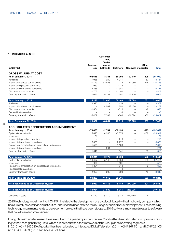#### 15. INTANGIBLE ASSETS

32

| <b>In CHF'000</b>                                    | Technol-<br>ogy | lists,<br>Trade-<br>marks<br>& Brands | <b>Software</b> | <b>Goodwill intangibles</b> | Other               | <b>Total</b> |
|------------------------------------------------------|-----------------|---------------------------------------|-----------------|-----------------------------|---------------------|--------------|
| <b>GROSS VALUES AT COST</b>                          |                 |                                       |                 |                             |                     |              |
| As of January 1, 2014                                | 102 616         | 3 3 8 1                               | 66 098          | 129 419                     | 395                 | 301 909      |
| Additions                                            | 7936            | 240                                   | 4 9 4 1         |                             | 67                  | 13 184       |
| Impact of business combinations                      | 21 779          | 53 553                                | 218             | 144 980                     | 228                 | 220 758      |
| Impact of disposal of operations                     | $-959$          | $\equiv$                              | $-218$          | $\overline{\phantom{m}}$    | $\qquad \qquad -$   | $-1177$      |
| Impact of discontinued operations                    | $-3366$         | $\equiv$                              | $-2381$         | $\equiv$                    | $\equiv$            | $-5747$      |
| Disposals and retirements                            | $-1702$         | $\equiv$                              | $-1100$         |                             |                     | $-2802$      |
| Currency translation effects                         | $-1076$         | $-5288$                               | 551             | $-2300$                     | 41                  | $-8072$      |
| As of January 1, 2015                                | 125 228         | 51886                                 | 68 109          | 272 099                     | 731                 | 518 053      |
| Additions                                            | 9920            | $\equiv$                              | 3 4 3 9         | $\equiv$                    | $\equiv$            | 13 3 5 9     |
| Impact of business combinations                      |                 | 4562                                  | 250             | 18 450                      | $\equiv$            | 23 26 2      |
| Disposals and retirements                            | $-1.384$        | $\equiv$                              | $-310$          | $\equiv$                    | -2                  | $-1696$      |
| Reclassification & others                            |                 |                                       | $-8$            |                             | $\bar{\phantom{0}}$ | $-8$         |
| Currency translation effects                         | $-5457$         | $-7597$                               | $-864$          | $-21624$                    | $-60$               | $-35602$     |
| As of December 31, 2015                              | 128 307         | 48 851                                | 70 616          | 268 925                     | 669                 | 517 368      |
| <b>ACCUMULATED DEPRECIATION AND IMPAIRMENT</b>       |                 |                                       |                 |                             |                     |              |
| As of January 1, 2014                                | -70 403         | $-2731$                               | $-59130$        | $\overline{\phantom{a}}$    | $-395$              | $-132659$    |
| Systematic amortization                              | $-15698$        | $-4243$                               | $-3874$         | $\overline{\phantom{0}}$    | $-102$              | $-23917$     |
| Impairment                                           | -61             | $\equiv$                              |                 | $\overline{\phantom{a}}$    | $\equiv$            | -61          |
| Impact of disposal of operations                     | $\overline{a}$  | $\overline{\phantom{a}}$              | 210             | $\overline{\phantom{a}}$    | $\qquad \qquad -$   | 210          |
| Impact of discontinued operations                    | 3 3 6 6         | $\overline{\phantom{0}}$              | 2 2 7 2         | $\overline{\phantom{0}}$    | $\equiv$            | 5 6 38       |
| Recovery of amortization on disposal and retirements | 1 5 9 6         | $\qquad \qquad -$                     | 1 1 0 3         | $\overline{\phantom{m}}$    | $\equiv$            | 2699         |
| Impact of discontinued operations                    | $\overline{a}$  | 201                                   | $\equiv$        | $\overline{\phantom{a}}$    | $\equiv$            | 201          |
| Currency translation effects                         | $-1041$         | $\equiv$                              | $-541$          | $\sim$                      | -33                 | $-1615$      |
| As of January 1, 2015                                | $-82241$        | $-6773$                               | $-5990$         | $\equiv$                    | $-530$              | $-149504$    |
| Systematic amortization                              | $-14497$        | $-5142$                               | $-2659$         | $\qquad \qquad -$           | $-186$              | $-22484$     |
| Impairment                                           | $-994$          | $\equiv$                              | $-591$          | $\equiv$                    | $\equiv$            | $-1586$      |
| Recovery of amortization on disposal and retirements | 1 3 8 4         | $\equiv$                              | 310             | $\overline{\phantom{0}}$    | $\overline{2}$      | 1 6 9 5      |
| Reclassification & others                            |                 | $\overline{\phantom{0}}$              | -8              | $\overline{\phantom{a}}$    | $\equiv$            | -8           |
| Currency translation effects                         | 2 0 9 6         | 903                                   | 603             |                             | 45                  | 3646         |
| As of December 31, 2015                              | $-94253$        | $-11013$                              | $-62305$        |                             | $-669$              | $-168240$    |
| Net book values as of December 31, 2014              | 42 987          | 45 113                                | 8 1 4 9         | 272 099                     | 201                 | 368 549      |
| Net book values as of December 31, 2015              | 34 054          | 37 839                                | 8 3 1 1         | 268 925                     | ÷                   | 349 127      |
| Useful life in years                                 | $4 - 10$        | $5 - 10$                              | $3 - 4$         | Indefinite                  | 4                   |              |

Customer

2015 technology Impairment for kCHF 541 relates to the development of a product initiated with a third-party company which has currently severe financial difficulties, and uncertainties exist on the re-usage of such product development. The remaining technology impairments relate to development projects that have been stopped. 2015 software impairment relates to software that have been decommissioned.

Intangibles with indefinite useful lives are subject to a yearly impairment review. Goodwill has been allocated for impairment testing to their cash generating units, which are defined within the framework of the Group as its operating segments. In 2015, kCHF 246520 of goodwill has been allocated to Integrated Digital Television (2014: kCHF 267701) and kCHF 22405 (2014: kCHF 4398) to Public Access Solutions.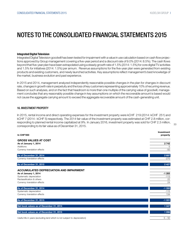#### Integrated Digital Television

Integrated Digital Television goodwill has been tested for impairment with a value in use calculation based on cash flow projections approved by Group management covering a five-year period and a discount rate of 9.0% (2014: 8.5%). The cash flows beyond that five-year plan have been extrapolated using a steady growth rate of 1.5% (2014: 1.5%) for core digital TV activities and 1.5% for initiatives (2014: 1.5%) per annum. Revenue assumptions for the five-year plan were generated from existing products and existing customers, and newly launched activities. Key assumptions reflect management's best knowledge of the market, business evolution and past experience.

In 2015 and 2014, management analyzed independently reasonable possible changes in the plan for changes in discount rate, changes in growth rate in perpetuity and the loss of key customers representing approximately 10% of recurring revenue. Based on such analyses, and on the fact that headroom is more than one multiple of the carrying value of goodwill, management concludes that any reasonably possible change in key assumptions on which the recoverable amount is based would not cause the aggregate carrying amount to exceed the aggregate recoverable amount of the cash-generating unit.

#### 16. INVESTMENT PROPERTY

In 2015, rental income and direct operating expenses for the investment property were kCHF 219 (2014: kCHF 251) and kCHF 7 (2014 : kCHF 5) respectively. The 2014 fair value of the investment property was estimated at CHF 2.8 million, corresponding to planned rental income capitalized at 9%. In January 2016, investment property was sold for CHF 2.3 million, corresponding to its fair value as of December 31, 2015.

| <b>In CHF'000</b>                                                          | 1110030110111<br>property |
|----------------------------------------------------------------------------|---------------------------|
| <b>GROSS VALUES AT COST</b>                                                |                           |
| As of January 1, 2014<br>Additions                                         | 2742<br>5                 |
| Currency translation effects                                               | $-50$                     |
| As of December 31, 2014                                                    | 2 697                     |
| Currency translation effects                                               | $-270$                    |
| As of December 31, 2015                                                    | 2 4 2 7                   |
| <b>ACCUMULATED DEPRECIATION AND IMPAIRMENT</b>                             |                           |
| As of January 1, 2014                                                      | $-1283$                   |
| Systematic depreciation                                                    | $-113$                    |
| Reclassification & others                                                  | 22                        |
| Currency translation effects                                               | 24                        |
| As of December 31, 2014                                                    | $-1350$                   |
| Systematic depreciation                                                    | $-115$                    |
| Currency translation effects                                               | 134                       |
| As of December 31, 2015                                                    | $-1331$                   |
| Net book values as of December 31, 2014                                    | 1 3 4 7                   |
| Net book values as of December 31, 2015                                    | 1096                      |
| Useful life in years (excluding land which is not subject to depreciation) | $5 - 50$                  |

 $22$ 

Investment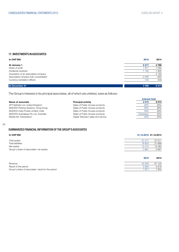#### 17. INVESTMENTS IN ASSOCIATES

| <b>In CHF'000</b>                     | 2015                     | 2014    |
|---------------------------------------|--------------------------|---------|
| At January 1                          | 6 217                    | 4 7 6 8 |
| Share of profit                       | 671                      | 554     |
| Dividends received                    | $-1190$                  | $-1905$ |
| Acquisition of an associated company  | $\overline{\phantom{0}}$ | 2 1 9 3 |
| Associated company fully consolidated | $-2095$                  | $-642$  |
| Currency translation effects          | $-104$                   | 249     |
| At December 31                        | 4 4 9 9                  | 6 217   |

The Group's interests in its principal associates, all of which are unlisted, were as follows:

|                                        |                                      | <b>Interest held</b> |      |  |
|----------------------------------------|--------------------------------------|----------------------|------|--|
| Name of associate                      | <b>Principal activity</b>            | 2015                 | 2014 |  |
| APT-SkiData Ltd, United Kingdom        | Sales of Public Access products      | 26%                  | 26%  |  |
| SKIDATA Parking Systems, Hong-Kong     | Sales of Public Access products      | 26%                  | 26%  |  |
| SKIDATA India Private Limited, India   | Sales of Public Access products      | 49%                  | 49%  |  |
| SKIDATA Australasia Pty Ltd, Australia | Sales of Public Access products      | Subsidiary           | 50%  |  |
| iWedia SA, Switzerland                 | Digital Television sales and service | 40%                  | 40%  |  |

34

#### SUMMARIZED FINANCIAL INFORMATION OF THE GROUP'S ASSOCIATES

#### In CHF'000 31.12.2015 31.12.2014

| Total assets                            | 31 217 | 37 071  |
|-----------------------------------------|--------|---------|
| <b>Total liabilities</b>                | 18 803 | 21 688  |
| Net assets                              | 12414  | 15 383  |
| Group's share of associates' net assets | 3981   | 5 6 6 7 |
|                                         |        |         |

|                                                    | 2015   | 2014   |
|----------------------------------------------------|--------|--------|
| Revenue                                            | 40 228 | 67 125 |
| Result of the period                               | 5994   | 5619   |
| Group's share of associates' result for the period | 1671   | 554    |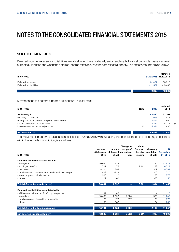#### 18. DEFERRED INCOME TAXES

Deferred income tax assets and liabilities are offset when there is a legally enforceable right to offset current tax assets against current tax liabilities and when the deferred income taxes relate to the same fiscal authority. The offset amounts are as follows:

| <b>In CHF'000</b>        | restated<br>31.12.2015 31.12.2014 |
|--------------------------|-----------------------------------|
| Deferred tax assets      | 56 310<br>61 407                  |
| Deferred tax liabilities | -13 430<br>$-11509$               |
|                          | 42 880<br>49 898                  |

Movement on the deferred income tax account is as follows:

| <b>In CHF'000</b>                             | <b>Note</b> | 2015    | restated<br>2014 |
|-----------------------------------------------|-------------|---------|------------------|
| At January 1                                  |             | 42 880  | 51 201           |
| Exchange differences                          |             | 098     | 1511             |
| Recognized against other comprehensive income |             | 2811    | 3650             |
| Impact of business combinations               |             | $-2222$ | $-15112$         |
| Income statement (expense)/income             | 12          | 5 3 3 1 | 1 630            |
| At December 31                                |             | 49 898  | 42 880           |

The movement in deferred tax assets and liabilities during 2015, without taking into consideration the offsetting of balances within the same tax jurisdiction, is as follows:

| <b>In CHF'000</b>                                        | restated<br>At January<br>1, 2015 | <b>Income</b><br>effect | Change in<br>scope of<br>statement consolida-<br>tion | Other<br>Compre-<br>income | Currency<br>hensive translation December<br>effects | At<br>31, 2015 |
|----------------------------------------------------------|-----------------------------------|-------------------------|-------------------------------------------------------|----------------------------|-----------------------------------------------------|----------------|
| Deferred tax assets associated with                      |                                   |                         |                                                       |                            |                                                     |                |
| - intangibles                                            | 30 934                            | 438                     |                                                       |                            | 40                                                  | 31 412         |
| - employee benefits                                      | 12721                             | 1475                    |                                                       | 2811                       | $-288$                                              | 16719          |
| - tax losses                                             | 8 3 0 4                           | 1794                    |                                                       |                            | $-307$                                              | 9791           |
| - provisions and other elements tax deductible when paid | 2828                              | $-813$                  |                                                       |                            | $-306$                                              | 1710           |
| - inter-company profit elimination                       | 903                               | $\Omega$                |                                                       |                            | $-130$                                              | 1 7 7 3        |
| - others                                                 | $-29$                             | 102                     |                                                       |                            | $-23$                                               | 50             |
| Total deferred tax assets (gross)                        | 56 661                            | 2997                    | ٠                                                     | 2811                       | $-1014$                                             | 61 455         |
| Deferred tax liabilities associated with                 |                                   |                         |                                                       |                            |                                                     |                |
| - affiliates and allowances for Group companies          | $-39$                             | 45                      |                                                       |                            | -                                                   | 6              |
| - intangibles                                            | $-13482$                          | 2096                    | $-1825$                                               |                            | 1965                                                | $-11245$       |
| - provisions & accelerated tax depreciation              | $-125$                            | $-176$                  | $-397$                                                |                            | 123                                                 | $-575$         |
| - others                                                 | $-135$                            | 368                     |                                                       |                            | 24                                                  | 257            |
| Total deferred tax liabilities (gross)                   | $-13781$                          | 2 3 3 4                 | $-2222$                                               | ۰.                         | 2 1 1 2                                             | $-11557$       |
| Net deferred tax asset/(liability)                       | 42 880                            | 5 3 3 1                 | $-2222$                                               | 2811                       | 1098                                                | 49 898         |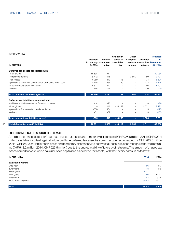#### And for 2014:

36

| <b>In CHF'000</b>                                        | restated<br>At January<br>1, 2014 | <b>Income</b><br>effect | Change in<br>scope of<br>statement consolida-<br>tion | Other<br>Compre-<br>income | Currency<br>effects | restated<br>At<br>hensive translation December<br>31, 2014 |
|----------------------------------------------------------|-----------------------------------|-------------------------|-------------------------------------------------------|----------------------------|---------------------|------------------------------------------------------------|
| Deferred tax assets associated with                      |                                   |                         |                                                       |                            |                     |                                                            |
| - intangibles                                            | 31 838                            | $-911$                  |                                                       |                            | 7                   | 30 934                                                     |
| - employee benefits                                      | 8712                              | 448                     |                                                       | 3 6 5 0                    | $-89$               | 12721                                                      |
| - tax losses                                             | 7 2 6 9                           | 843                     | 118                                                   | $\overline{\phantom{0}}$   | 74                  | 8 3 0 4                                                    |
| - provisions and other elements tax deductible when paid | 2 1 7 5                           | 656                     | 29                                                    | $\overline{\phantom{m}}$   | $-32$               | 2828                                                       |
| - inter-company profit elimination                       | 627                               | 220                     | $\overline{\phantom{0}}$                              | $\qquad \qquad -$          | 56                  | 1 903                                                      |
| - others                                                 | 145                               | $-144$                  |                                                       | $\overline{\phantom{0}}$   | -30                 | $-29$                                                      |
| Total deferred tax assets (gross)                        | 51 766                            | 1 1 1 2                 | 147                                                   | 3 6 5 0                    | $-14$               | 56 661                                                     |
| Deferred tax liabilities associated with                 |                                   |                         |                                                       |                            |                     |                                                            |
| - affiliates and allowances for Group companies          | $-14$                             | $-25$                   | $\overline{\phantom{0}}$                              | $\overline{\phantom{0}}$   |                     | $-39$                                                      |
| - intangibles                                            |                                   | 246                     | $-15259$                                              | $\overline{\phantom{m}}$   | 531                 | $-13482$                                                   |
| - provisions & accelerated tax depreciation              | $-500$                            | 384                     |                                                       | ÷.                         | -9                  | $-125$                                                     |
| - others                                                 | $-51$                             | $-87$                   |                                                       |                            | 3                   | $-135$                                                     |
| Total deferred tax liabilities (gross)                   | $-565$                            | 518                     | $-15259$                                              | -                          | 1 5 2 5             | $-13781$                                                   |
| Net deferred tax asset/(liability)                       | 51 201                            | 1 6 3 0                 | $-15112$                                              | 3 6 5 0                    | 1511                | 42 880                                                     |

### UNRECOGNIZED TAX LOSSES CARRIED FORWARD

At the balance sheet date, the Group has unused tax losses and temporary differences of CHF 926.6 million (2014: CHF 909.4 million) available for offset against future profits. A deferred tax asset has been recognized in respect of CHF 283.5 million (2014: CHF 282.5 million) of such losses and temporary differences. No deferred tax asset has been recognized for the remaining CHF 643.2 million (2014: CHF 626.9 million) due to the unpredictability of future profit streams. The amount of unused tax losses carried forward which have not been capitalized as deferred tax assets, with their expiry dates, is as follows:

| In CHF million            | 2015  | 2014  |
|---------------------------|-------|-------|
| <b>Expiration within:</b> |       |       |
| One year                  | 3.6   | 8.7   |
| Two years                 | 1.3   | 3.6   |
| Three years               | 61.1  | 1.3   |
| Four years                | 32.6  | 112.3 |
| Five years                | 36.4  | 33.8  |
| More than five years      | 508.2 | 467.2 |
| <b>Total</b>              | 643.2 | 626.9 |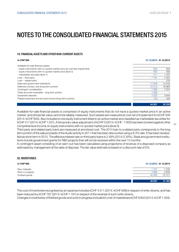#### 19. FINANCIAL ASSETS AND OTHER NON-CURRENT ASSETS

| In CHF'000                                                                 | 31.12.2015 31.12.2014 |         |
|----------------------------------------------------------------------------|-----------------------|---------|
| Available-for-sale financial assets:                                       |                       |         |
| - equity instruments with no quoted market price (at cost less impairment) | 500                   | 834     |
| - equity instruments with no quoted market price (level 3)                 | 400                   | 400     |
| - marketable securities (level 1)                                          | 417                   | 1 2 3 7 |
| Loan $-$ third party                                                       | 7 1 9 1               | 5481    |
| $Loan$ – related party                                                     |                       | 576     |
| State and government institutions                                          | 11 646                | 13 4 42 |
| Deferred contract cost (long term portion)                                 | 10513                 | 18963   |
| Contingent consideration                                                   | 7 3 8 3               | 7031    |
| Trade accounts receivable - long-term portion                              | 1938                  |         |
| Guarantee deposits                                                         | 3 3 2 0               | 3844    |
| Prepaid expenses and accrued income (long-term portion)                    | 743                   | 425     |
|                                                                            | 44 051                | 52 233  |

Available-for-sale financial assets is comprised of equity instruments that do not have a quoted market price in an active market, and whose fair value cannot be reliably measured. Such assets are measured at cost net of impairment for kCHF 500 (2014: kCHF 834). Also included is one equity instrument listed in an active market and classified as marketable securities for kCHF 417 (2014: kCHF 1237). A temporary value adjustment of kCHF 0 (2014: kCHF -1000) has been booked against other comprehensive income on equity instruments with no quoted market price (level 3).

Third party and related party loans are measured at amortized cost. The 2014 loan to a related party corresponds to the long term portion of the sale proceeds of the Audio activity in 2011 that has been discounted using a 9.3% rate. It has been reclassified as short term in 2015. The effective interest rate on third party loans is 2.49% (2014:2.30%). State and government institutions include government grants for R&D projects that will not be received within the next 12 months.

A contingent asset consisting of an earn-out has been calculated using projections of revenue of a disposed company as estimated by management at the date of disposal. The fair value estimate is based on a discount rate of 5%.

#### 20. INVENTORIES

| In CHF'000       |         | 31.12.2015 31.12.2014 |
|------------------|---------|-----------------------|
| Raw materials    | 1727    | 7 2 3 2               |
| Work in progress | 4 3 6 0 | 2634                  |
| Finished goods   | 42 000  | 37 217                |
|                  | 48 087  | 47 083                |

The cost of inventories recognised as an expense includes kCHF 4 311 (2014: kCHF 906) in respect of write-downs, and has been reduced by kCHF 787 (2014: kCHF 1191) in respect of the reversal of such write-downs.

Changes in inventories of finished goods and work in progress included in cost of material are kCHF 6833 (2014: kCHF 1334).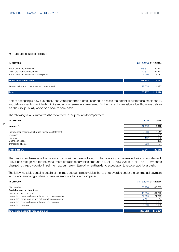#### 21. TRADE ACCOUNTS RECEIVABLE

38

| <b>In CHF'000</b>                            |          | 31.12.2015 31.12.2014 |
|----------------------------------------------|----------|-----------------------|
| Trade accounts receivable                    | 245 517  | 229 511               |
| Less: provision for impairment               | $-20811$ | $-22512$              |
| Trade accounts receivable related parties    | 3596     | 8072                  |
| Trade receivables - net                      | 228 302  | 215 071               |
| Amounts due from customers for contract work | 28 675   | 4 9 2 7               |
| Total                                        | 256 977  | 219 998               |

Before accepting a new customer, the Group performs a credit scoring to assess the potential customer's credit quality and defines specific credit limits. Limits and scoring are regularly reviewed. Furthermore, for low value added business deliveries, the Group usually works on a back to back basis.

The following table summarizes the movement in the provision for impairment:

| In CHF'000                                           | 2015     | 2014      |
|------------------------------------------------------|----------|-----------|
| January 1,                                           | $-22512$ | $-19312$  |
| Provision for impairment charged to income statement | $-2753$  | $-7811$   |
| Utilization                                          | 944      | 951       |
| Reversal                                             | 3 1 5 2  | 3 1 2 0   |
| Change in scope<br>Translation effects               | 358      | 456<br>84 |
|                                                      |          |           |
| December 31,                                         | $-20811$ | $-22512$  |

The creation and release of the provision for impairment are included in other operating expenses in the income statement. Provisions recognized for the impairment of trade receivables amount to kCHF -2 753 (2014: kCHF -7 811). Amounts charged to the provision for impairment account are written-off when there is no expectation to recover additional cash.

The following table contains details of the trade accounts receivables that are not overdue under the contractual payment terms, and an ageing analysis of overdue amounts that are not impaired:

| In CHF'000                                            | 31.12.2015 31.12.2014 |         |
|-------------------------------------------------------|-----------------------|---------|
| Not overdue                                           | 133 788               | 143 383 |
| Past due and not impaired:                            |                       |         |
| - not more than one month                             | 49 234                | 34 072  |
| - more than one month and not more than three months  | 22 609                | 21 210  |
| - more than three months and not more than six months | 7451                  | 3 2 4 7 |
| - more than six months and not more than one year     | 9 2 3 1               | 9 1 6 4 |
| - more than one year                                  | 5989                  | 3995    |
|                                                       |                       |         |
| Total trade accounts receivable, net                  | 228 302               | 215 071 |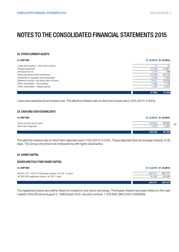#### 22. OTHER CURRENT ASSETS

| <b>In CHF'000</b>                           |          | 31.12.2015 31.12.2014 |
|---------------------------------------------|----------|-----------------------|
| Loans third parties – short term portion    | 15       | 37                    |
| Prepaid expenses                            | 12 4 8 3 | 16951                 |
| Accrued income                              | 1 2 1 6  | 796                   |
| State and government institutions           | 18 3 66  | 33 510                |
| Advances to suppliers and employees         | 2 5 6 9  | 4 2 6 3               |
| Deferred contract cost (short term portion) | 9941     | 10 433                |
| Other receivables - third parties           | 968      | 1748                  |
| Other receivables - related parties         | 333      | 2815                  |
|                                             |          |                       |
|                                             | 47 892   | 70 553                |

Loans are measured at amortized cost. The effective interest rate on short term loans was 2.32% (2014: 4.94%).

#### 23. CASH AND CASH EQUIVALENTS

| In CHF'000                                      |                 | 31.12.2015 31.12.2014 |  |
|-------------------------------------------------|-----------------|-----------------------|--|
| Cash at bank and in hand<br>Short term deposits | 130 964<br>5876 | 88 995<br>3 3 8 7     |  |
|                                                 | 136 840         | 92 382                |  |

The effective interest rate on short term deposits was 0.70% (2014: 0.54%). These deposits have an average maturity of 30 days. The Group only enters into transactions with highly rated banks.

#### 24. SHARE CAPITAL

#### ISSUED AND FULLY PAID SHARE CAPITAL

| In CHF'000                                            | 31.12.2015 31.12.2014 |         |
|-------------------------------------------------------|-----------------------|---------|
| 49'461'147 / 49'274'709 bearer shares, at CHF 10 each | 494 611               | 492 747 |
| 46'300'000 registered shares, at CHF 1 each           | 46 300                | 46 300  |
|                                                       | 540 911               | 539 047 |

The registered shares are neither listed nor traded on any stock exchange. The bearer shares have been listed on the main market of the SIX since August 2, 1999 (ticker: KUD, security number: 1 226 836; ISIN CH0012268360).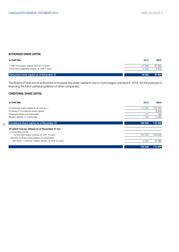#### AUTHORIZED SHARE CAPITAL

| In CHF'000                                        | 2015   | 2014   |
|---------------------------------------------------|--------|--------|
| 3'768'164 bearer shares, at CHF 10 each           | 37 682 | 37 682 |
| 3'200'000 registered shares, at CHF 1 each        | 3.200  | 3 200  |
| <b>Authorized share capital as of December 31</b> | 40 882 | 40 882 |

The Board of Directors is authorized to increase the share capital in one or more stages until April 8, 2016, for the purpose of financing the full or partial acquisition of other companies.

### CONDITIONAL SHARE CAPITAL

| <b>In CHF'000</b>                                  | 2015                     | 2014    |
|----------------------------------------------------|--------------------------|---------|
| Conditional share capital as of January 1          | 110 390                  | 103 555 |
| Increase of conditional share capital              | $\overline{\phantom{0}}$ | 8 0 0 0 |
| Employee share purchase plan                       | $-81$                    | $-82$   |
| Shares allotted to employees                       | $-1783$                  | $-1083$ |
| <b>Conditional share capital as of December 31</b> | 108 526                  | 110 390 |
| Of which may be utilized as of December 31 for:    |                          |         |
| - Convertible bonds:                               |                          |         |
| 10'000'000 bearer shares, at CHF 10 each           | 100 000                  | 100 000 |
| - Options or share subscriptions to employees:     |                          |         |
| 852'609 / 1'039'047 bearer shares, at CHF 10 each  | 8526                     | 10 390  |
|                                                    | 108 526                  | 110 390 |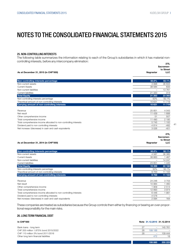#### 25. NON-CONTROLLING INTERESTS

The following table summarizes the information relating to each of the Group's subsidiaries in which it has material noncontrolling interests, before any intercompany elimination: **275** 

|                                                                   |           | .<br>Sacramen-          |
|-------------------------------------------------------------------|-----------|-------------------------|
| As at December 31, 2015 (in CHF'000)                              | Nagrastar | to Street<br><b>LLC</b> |
| Non-controlling interests percentage                              | 50.0%     | 50.1%                   |
| Non-current assets                                                | 3998      | 36 834                  |
| <b>Current Assets</b>                                             | 38 5 84   | 633                     |
| Non-current liabilities                                           |           | 13761                   |
| <b>Current liabilities</b>                                        | 21 3 20   | 314                     |
| <b>Total Equity</b>                                               | 21 263    | 23 392                  |
| Non-controlling interests percentage                              | 50%       | 50.1%                   |
| Theoritical amount of non-controlling interests                   | 10 631    | 11 719                  |
| Carrying amount of non-controlling interests                      | 10 631    | 11719                   |
| Revenue                                                           | 25 851    | 4 0 4 3                 |
| Net result                                                        | 11 439    | 1 6 8 8                 |
| Other comprehensive income                                        | 51        | 507                     |
| Total comprehensive income                                        | 11 490    | 2 1 9 5                 |
| Total comprehensive income allocated to non-controlling interests | 5745      | 1 100                   |
| Dividend paid to non controlling interests                        | $-4814$   | $-482$                  |
| Net increase /(decrease) in cash and cash equivalents             | 3026      | $-401$                  |
|                                                                   |           | 275,                    |
|                                                                   |           | Sacramen-               |
|                                                                   |           | to Street               |
| As at December 31, 2014 (in CHF'000)                              | Nagrastar | <b>LLC</b>              |
| Non-controlling interests percentage                              | 50.0%     | 50.1%                   |
| Non-current assets                                                | 4587      | 36 385                  |
| <b>Current Assets</b>                                             | 38 663    | 1 4 6 7                 |
| Non-current liabilities                                           | $\equiv$  | 14 247                  |
| <b>Current liabilities</b>                                        | 23 851    | 1 4 4 5                 |
| <b>Total Equity</b>                                               | 19 399    | 22 160                  |
| Non-controlling interests percentage                              | 50%       | 50.1%                   |
| Theoritical amount of non-controlling interests                   | 9700      | 11 102                  |
| Carrying amount of non-controlling interests                      | 9700      | 11 102                  |
| D <sub>Q</sub>                                                    | QA QAG    | 2.702                   |

| Revenue                                                           | 24 246   | 3 7 0 3 |
|-------------------------------------------------------------------|----------|---------|
| Net result                                                        | 10 984   | 460     |
| Other comprehensive income                                        | 1 909    | 2514    |
| Total comprehensive income                                        | 12 893   | 3974    |
| Total comprehensive income allocated to non-controlling interests | 6446     | 991     |
| Dividend paid to non controlling interests                        | $-4.578$ |         |
| Net increase /(decrease) in cash and cash equivalents             | 2 0 9 4  | 164     |
|                                                                   |          |         |

These companies are treated as subsidiaries because the Group controls them either by financing or bearing an over-proportional responsibility for the main risks.

#### 26. LONG TERM FINANCIAL DEBT

#### In CHF'000 Note 31.12.2015 31.12.2014

| Bank loans - long term                |    |                          | 145 761                        |
|---------------------------------------|----|--------------------------|--------------------------------|
| CHF 200 million 1.875% bond 2015/2022 | 28 | 199 188                  | $\qquad \qquad \longleftarrow$ |
| CHF 110 million 3% bond 2011/2016     | 28 | $\overline{\phantom{a}}$ | 109 444                        |
| Other long term financial liabilities |    | 472                      | 18                             |

199 660 255 223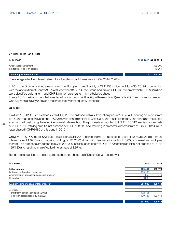#### 27. LONG TERM BANK LOANS

| In CHF'000                                                | 31.12.2015 31.12.2014 |
|-----------------------------------------------------------|-----------------------|
| Credit facility agreement<br>Mortgage - long term portion | 132 000<br>-<br>13761 |
| Total long term bank loans                                | 145 761<br>-          |

The average effective interest rate on total long term bank loans was 2.49% (2014: 2.28%).

In 2014, the Group obtained a new committed long term credit facility of CHF 235 million until June 30, 2019 in connection with the acquisition of Conax AS. As of December 31, 2014, the Group had drawn CHF 165 million of which CHF 132 million were classified as long term and CHF 33 million as short term in the balance sheet.

In early 2015, the Group decided to replace this long term credit facility with a new bond (see note 28). The outstanding amount was fully repaid in May 2015 and the credit facility consequently cancelled.

#### 28. BONDS

On June 16, 2011 Kudelski SA issued a CHF 110 million bond with a subscription price of 100.284%, bearing an interest rate of 3% and maturing on December 16, 2016, with denominations of CHF 5 000 and multiples thereof. The bonds are measured at amortized cost using the effective interest rate method. The proceeds amounted to kCHF 110 312 less issuance costs of kCHF 1 786 totaling an initial net proceed of kCHF 108 526 and resulting in an effective interest rate of 3.32%. The Group repurchased kCHF 6980 of this bond in 2015.

On May 12, 2015 Kudelski SA issued an additional CHF 200 million bond with a subscription price of 100%, bearing an annual interest rate of 1.875% and maturing on August 12, 2022 at par, with denominations of CHF 5'000.- nominal and multiples thereof. The proceeds amounted to kCHF 200'000 less issuance costs of kCHF 870 totaling an initial net proceed of kCHF 199'130 and resulting in an effective interest rate of 1.97%.

Bonds are recognized in the consolidated balance sheets as of December 31, as follows:

| <b>In CHF'000</b>                              | 2015    | 2014    |
|------------------------------------------------|---------|---------|
| <b>Initial balance</b>                         | 109 444 | 109 174 |
| Net proceed from bond issuance                 | 199 130 |         |
| Amortization of transaction costs less premium | 355     | 270     |
| Repurchase                                     | $-6980$ |         |
| <b>Liability component as of December 31</b>   | 301 949 | 109 444 |
| of which:                                      |         |         |
| - short term portion (bond 2011/2016)          | 102 761 |         |
| - long term portion (bond 2015/2022)           | 199 188 | 109 444 |
|                                                | 301 949 | 109 444 |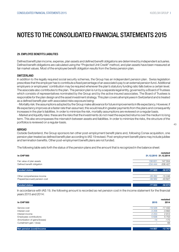#### 29. EMPLOYEE BENEFITS LIABILITIES

Defined benefit plan income, expense, plan assets and defined benefit obligations are determined by independent actuaries. Defined benefit obligations are calculated using the "Projected Unit Credit" method, and plan assets have been measured at fair market values. Most of the employee benefit obligation results from the Swiss pension plan.

#### **SWITZERLAND**

In addition to the legally required social security schemes, the Group has an independent pension plan. Swiss legislation prescribes that the employer has to contribute a fixed percentage of an associate's pay to an external pension fund. Additional employers or employees' contribution may be required whenever the plan's statutory funding ratio falls below a certain level. The associate also contributes to the plan. The pension plan is run by a separate legal entity, governed by a Board of Trustees which consists of representatives nominated by the Group and by the active insured associates. The Board of Trustees is responsible for the plan design and the asset investment strategy. This plan covers all employees in Switzerland and is treated as a defined benefit plan with associated risks exposure being:

 - Mortality risk: the assumptions adopted by the Group make allowance for future improvements in life expectancy. However, if life expectancy improves at a faster rate than assumed, this would result in greater payments from the plans and consequently increases in the plan's liabilities. In order to minimize the risk, mortality assumptions are reviewed on a regular basis.

 - Market and liquidity risks: these are the risks that the investments do not meet the expected returns over the medium to long term. This also encompasses the mismatch between assets and liabilities. In order to minimize the risks, the structure of the portfolios is reviewed on a regular-basis.

#### ABROAD

Outside Switzerland, the Group sponsors ten other post-employment benefit plans and, following Conax acquisition, one pension plan treated as defined benefit plan according to IAS 19 revised. Post-employment benefit plans may include jubilee and termination benefits. Other post-employment benefit plans are not funded.

The following table sets forth the status of the pension plans and the amount that is recognized in the balance sheet:

| <b>In CHF'000</b>              | restated<br>31.12.2015 31.12.2014 |
|--------------------------------|-----------------------------------|
| Fair value of plan assets      | 147 554<br>156 621                |
| Defined benefit obligation     | $-234444$<br>$-206427$            |
| <b>Funded status</b>           | $-58873$<br>$-77823$              |
| Other comprehensive income     | $-15246$<br>$-28262$              |
| Prepaid/(accrued) pension cost | $-43627$<br>$-49562$              |
| <b>Funded status</b>           | $-58873$<br>$-77823$              |

In accordance with IAS 19, the following amount is recorded as net pension cost in the income statement for the financial years 2015 and 2014:

|                                |          | restated |
|--------------------------------|----------|----------|
| <b>In CHF'000</b>              | 2015     | 2014     |
| Service cost                   | $-19528$ | $-17432$ |
| Interest cost                  | $-3206$  | $-3893$  |
| Interest income                | 2 2 5 3  | 2912     |
| Employees contributions        | 5638     | 5753     |
| Amortization of gains/(losses) | $-14$    | $-175$   |
| Curtailment gain / (loss)      |          | 68       |
|                                |          |          |

Net pension (cost)/income -14 857 -12 767

43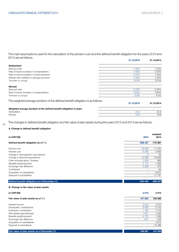The main assumptions used for the calculation of the pension cost and the defined benefit obligation for the years 2015 and 2014 are as follows: 31.12.2015 31.12.2014

|                                                                                 | <u> 91.14.4019</u> | <b>01.14.4017</b> |
|---------------------------------------------------------------------------------|--------------------|-------------------|
| <b>Switzerland</b>                                                              |                    |                   |
| Discount rate                                                                   | 1.00%              | 1.50%             |
| Rate of future increase in compensations                                        | 1.50%              | 2.00%             |
| Rate of future increase in current pensions                                     | 0.75%              | 1.00%             |
| Interest rate credited on savings accounts                                      | 1.00%              | 1.50%             |
| Turnover (on average)                                                           | 10.0%              | 10.0%             |
| <b>Abroad</b>                                                                   |                    |                   |
| Discount rate                                                                   | 2.23%              | 2.25%             |
| Rate of future increase in compensations                                        | 2.63%              | 2.83%             |
| Turnover (on average)                                                           | 5.8%               | 8.0%              |
| The weighted average duration of the defined benefit obligation is as follows : |                    |                   |
|                                                                                 | 31.12.2015         | 31.12.2014        |
| Weighted average duration of the defined benefit obligation in years            |                    |                   |
| Switzerland                                                                     | 24.4               | 22.9              |
| Abroad                                                                          | 15.6               | 16.9              |
|                                                                                 |                    |                   |

The changes in defined benefit obligation and fair value of plan assets during the years 2015 and 2014 are as follows:

#### A. Change in defined benefit obligation

44

| <b>In CHF'000</b>                             | 2015      | restated<br>2014 |
|-----------------------------------------------|-----------|------------------|
| Defined benefit obligation as of 1.1.         | $-206427$ | $-175551$        |
| Service cost                                  | $-19528$  | $-17432$         |
| Interest cost                                 | $-3206$   | $-3893$          |
| Change in demographic assumptions             | $-8$      | 30               |
| Change in financial assumptions               | $-100089$ | $-19926$         |
| Other actuarial gains / (losses)              | $-1509$   | $-690$           |
| Benefits (paid)/received                      | 4 1 1 5   | $-1069$          |
| Exchange rate difference                      | 2 2 0 9   | 915              |
| Curtailment                                   |           | 68               |
| Acquisition of subsidiaries                   | ÷         | $-6647$          |
| Disposal of subsidiaires                      | -         | 17797            |
| Defined benefit obligation as of December 31, | $-234444$ | $-206$ 427       |
| B. Change in fair value of plan assets        |           |                  |
| <b>In CHF'000</b>                             | 2015      | 2014             |
| Fair value of plan assets as of 1.1.          | 147 554   | 134 400          |
| Interest income                               | 2 2 5 3   | 2912             |

| Interest income             | -2 253  | 2912     |
|-----------------------------|---------|----------|
| Employees' contributions    | 5 6 3 8 | 5753     |
| Employer's contribution     | 7782    | 7578     |
| Plan assets gains/(losses)  | $-1651$ | 4 200    |
| Benefits (paid)/received    | $-4115$ | 1069     |
| Exchange rate difference    | $-841$  | $-546$   |
| Acquisition of subsidiaries |         | 4675     |
| Disposal of subsidiaires    |         | $-12486$ |
|                             |         |          |

Fair value of plan assets as of December 31, 156 621 147 554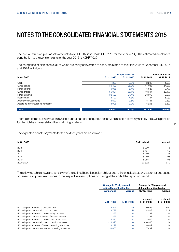The actual return on plan assets amounts to kCHF 602 in 2015 (kCHF 7112 for the year 2014). The estimated employer's contribution to the pension plans for the year 2016 is kCHF 7039.

The categories of plan assets, all of which are easily convertible to cash, are stated at their fair value at December 31, 2015 and 2014 as follows:

|                                  |            | <b>Proportion in %</b> |            | <b>Proportion in %</b> |
|----------------------------------|------------|------------------------|------------|------------------------|
| <b>In CHF'000</b>                | 31.12.2015 | 31.12.2015             | 31.12.2014 | 31.12.2014             |
| Cash                             | 205        | 0.8%                   | 2 2 9 3    | 1.6%                   |
| Swiss bonds                      | 39 4 9 2   | 25.2%                  | 41 083     | 27.9%                  |
| Foreign bonds                    | 9986       | 6.4%                   | 15828      | 10.7%                  |
| Swiss shares                     | 55 001     | 35.1%                  | 43 304     | 29.4%                  |
| Foreign shares                   | 33 5 25    | 21.4%                  | 28 973     | 19.6%                  |
| Real estates                     | 6792       | 4.3%                   | 7437       | 5.0%                   |
| Alternative investments          | 5 6 22     | 3.6%                   | 3431       | 2.3%                   |
| Assets held by insurance company | 4 9 9 8    | 3.2%                   | 5 2 0 5    | 3.5%                   |
| <b>Total</b>                     | 156 621    | 100.0%                 | 147 554    | 100.0%                 |

There is no complete information available about quoted/not quoted assets.The assets are mainly held by the Swiss pension fund which has no asset-liabilities matching strategy.

The expected benefit payments for the next ten years are as follows :

| <b>In CHF'000</b> | Switzerland | Abroad |
|-------------------|-------------|--------|
| 2015              | 6929        | 145    |
| 2016              | 6 7 0 1     | 59     |
| 2017              | 6460        | 88     |
| 2018              | 6 2 8 9     | 96     |
| 2019              | 6 0 5 5     | 108    |
| 2020-2024         | 27 322      | 1 940  |

The following table shows the sensitivity of the defined benefit pension obligations to the principal actuarial assumptions based on reasonably possible changes to the respective assumptions occurring at the end of the reporting period:

|                                                        |                    | Change in 2015 year-end<br>defined benefit obligation |                               | Change in 2014 year-end<br>defined benefit obligation |
|--------------------------------------------------------|--------------------|-------------------------------------------------------|-------------------------------|-------------------------------------------------------|
|                                                        | <b>Switzerland</b> | <b>Abroad</b>                                         | <b>Switzerland</b>            | <b>Abroad</b>                                         |
|                                                        | <b>In CHF'000</b>  | <b>In CHF'000</b>                                     | restated<br><b>In CHF'000</b> | restated<br><b>In CHF'000</b>                         |
| 50 basis point increase in discount rate               | $-24295$           | $-1217$                                               | $-20656$                      | $-1650$                                               |
| 50 basis point decrease in discount rate               | 28 7 9 7           | 241                                                   | 24 508                        | 1521                                                  |
| 50 basis point increase in rate of salary increase     | 273                | n/a                                                   | 187                           | n/a                                                   |
| 50 basis point decrease in rate of salary increase     | $-297$             | n/a                                                   | $-187$                        | n/a                                                   |
| 50 basis point increase in rate of pension increase    | 15 4 80            | n/a                                                   | 12 009                        | n/a                                                   |
| 50 basis point decrease in rate of pension increase    | $-13995$           | n/a                                                   | $-10960$                      | n/a                                                   |
| 50 basis point increase of interest in saving accounts | 9 1 9 2            | n/a                                                   | 8 0 0 9                       | n/a                                                   |
| 50 basis point decrease of interest in saving accounts | $-8606$            | n/a                                                   | $-7492$                       | n/a                                                   |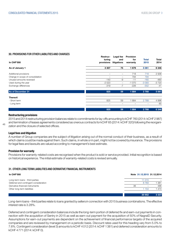#### 30. PROVISIONS FOR OTHER LIABILITIES AND CHARGES

| <b>In CHF'000</b>                | Restruc-<br>turing<br>provisions | Legal fee<br>and<br>litigations | <b>Provision</b><br>for<br>warranty | <b>Total</b><br>2015 | Total<br>2014 |
|----------------------------------|----------------------------------|---------------------------------|-------------------------------------|----------------------|---------------|
| As of January 1                  | 3 3 0 7                          | 75                              | 1679                                | 5 0 6 1              | 6 3 4 6       |
| Additional provisions            |                                  | $\qquad \qquad -$               | 718                                 | 718                  | 2936          |
| Change in scope of consolidation |                                  | -                               | 794                                 | 794                  |               |
| Unused amounts reversed          | $-140$                           | -9                              | $-11$                               | $-160$               | $-460$        |
| Used during the year             | $-2023$                          | $\overline{\phantom{m}}$        | $-1070$                             | $-3093$              | $-3720$       |
| Exchange differences             | $-319$                           | -7                              | $-226$                              | $-552$               | -41           |
| As of December 31                | 825                              | 59                              | 1884                                | 2768                 | 5 0 61        |
| Thereof:                         |                                  |                                 |                                     |                      |               |
| - Short term                     | 825                              | 59                              | 884                                 | 2768                 | 4 9 9 6       |
| - Long term                      | -                                | -                               |                                     | -                    | 65            |
|                                  | 825                              | 59                              | 1884                                | 2768                 | 6 3 4 6       |

#### Restructuring provisions

2015 and 2014 restructuring provision balances relate to commitments for lay-offs amounting to kCHF 760 (2014: kCHF 2987) and termination of leases agreements considered as onerous contracts for kCHF 65 (2014: kCHF 320) following the reorganization and the closure of selected offices.

#### Legal fees and litigation

 $\overline{AB}$ 

A number of Group companies are the subject of litigation arising out of the normal conduct of their business, as a result of which claims could be made against them. Such claims, in whole or in part, might not be covered by insurance. The provisions for legal fees and lawsuits are valued according to management's best estimate.

#### Provision for warranty

Provisions for warranty-related costs are recognised when the product is sold or service provided. Initial recognition is based on historical experience. The initial estimate of warranty-related costs is revised annually.

#### 31. OTHER LONG TERM LIABILITIES AND DERIVATIVE FINANCIAL INSTRUMENTS

| In CHF'000                            |    | Note 31.12.2015 31.12.2014 |         |
|---------------------------------------|----|----------------------------|---------|
| Long-term loans - third parties       |    | 11 0 15                    |         |
| Deferred and contingent consideration |    | 8783                       | 381     |
| Derivative financial instruments      | 36 | $\overline{\phantom{a}}$   | 486     |
| Other long-term liabilities           |    | 1 154                      | 470     |
|                                       |    |                            |         |
|                                       |    | 20 952                     | 3 3 3 7 |

Long-term loans – third parties relate to loans granted by sellers in connection with 2015 business combinations. The effective interest rate is 3.28%.

Deferred and contingent consideration balances include the long-term portion of deferred fix and earn-out payments in connection with the acquisition of Sentry in 2015 as well as earn-out payment for the acquisition of 50% of NagraID Security. Assumptions for earn-out payments are dependent on the achievement of financial performance targets of the acquired companies and are reviewed by management on a periodic basis. Discount rates used for this heading vary from 5.0% to 7.6%. Contingent consideration (level 3) amounts to kCHF 4012 (2014: kCHF 1381) and deferred consideration amounts to kCHF 4771 (2014: kCHF 0).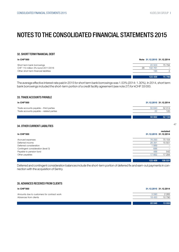#### 32. SHORT TERM FINANCIAL DEBT

| <b>In CHF'000</b> |  |
|-------------------|--|
|                   |  |

| In CHF'000                             |    | Note 31.12.2015 31.12.2014 |          |
|----------------------------------------|----|----------------------------|----------|
| Short term bank borrowings             |    | 20 503                     | 75 794   |
| CHF 110 million 3% bond 2011/2016      | 28 | 102 761                    |          |
| Other short term financial liabilities |    | 195                        | $\Omega$ |
|                                        |    |                            |          |
|                                        |    | 123 459                    | 75 796   |

The average effective interest rate paid in 2015 for short term bank borrowings was 1.53% (2014: 1.30%). In 2014, short term bank borrowings included the short-term portion of a credit facility agreement (see note 27) for kCHF 33 000.

#### 33. TRADE ACCOUNTS PAYABLE

| <b>In CHF'000</b>                        |        | 31.12.2015 31.12.2014 |
|------------------------------------------|--------|-----------------------|
| Trade accounts payable – third parties   | 50 640 | 52 014                |
| Trade accounts payable - related parties | 22     | 120                   |
|                                          | 50 662 | 52 134                |

#### 34. OTHER CURRENT LIABILITIES

| In CHF'000                         |         | restated<br>31.12.2015 31.12.2014 |
|------------------------------------|---------|-----------------------------------|
| Accrued expenses                   | 76 293  | 75 154                            |
| Deferred income                    | 26 391  | 15 551                            |
| Deferred consideration             | 889     |                                   |
| Contingent consideration (level 3) | 686     |                                   |
| Payable to pension fund            | 488     | 542                               |
| Other payables                     | 17 662  | 17 284                            |
|                                    | 123 409 | 108 531                           |

Deferred and contingent consideration balances include the short-term portion of deferred fix and earn-out payments in connection with the acquisition of Sentry.

#### 35. ADVANCES RECEIVED FROM CLIENTS

| In CHF'000                                 | 31.12.2015 31.12.2014 |         |
|--------------------------------------------|-----------------------|---------|
| Amounts due to customers for contract work | 3590                  | 2 2 6 5 |
| Advances from clients                      | 18 450                | 10 790  |
|                                            | 22 040                | 13 055  |

47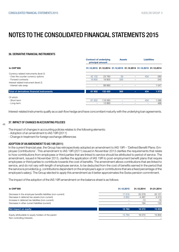#### 36. DERIVATIVE FINANCIAL INSTRUMENTS

|                                                               |        | <b>Contract of underlying</b><br>principal amount |     |   | <b>Liabilities</b> |                                                                   |
|---------------------------------------------------------------|--------|---------------------------------------------------|-----|---|--------------------|-------------------------------------------------------------------|
| <b>In CHF'000</b>                                             |        |                                                   |     |   |                    | 31.12.2015 31.12.2014 31.12.2015 31.12.2014 31.12.2015 31.12.2014 |
| Currency related instruments (level 2)                        |        |                                                   |     |   |                    |                                                                   |
| - Over the counter currency options                           | 42 132 | 23 760                                            | 39  |   | 434                | 280                                                               |
| - Forward contracts                                           | 19 800 | 19800                                             | 326 |   |                    | 245                                                               |
| Interest related instrument (level 2)<br>- Interest rate swap |        | 88 860                                            |     |   |                    | 1 0 4 7                                                           |
| Total of derivatives financial instruments                    | 61 932 | 132 420                                           | 365 | - | 434                | 1572                                                              |
| Of which:                                                     |        |                                                   |     |   |                    |                                                                   |
| - Short-term                                                  | 61 932 | 118 560                                           |     | - | 434                | 086                                                               |
| - Long-term                                                   |        | 13860                                             |     |   |                    | 486                                                               |

Interest-related instruments qualify as a cash flow hedge and have concomitant maturity with the underlying loan agreements.

#### $\overline{AB}$ 37. IMPACT OF CHANGES IN ACCOUNTING POLICIES

The impact of changes in accounting policies relates to the following elements:

- Adoption of an amendment to IAS 19R (2011)

- Change in treatment for foreign exchange differences

#### ADOPTION OF AN AMENDMENT TO IAS 19R (2011)

In the current financial year, the Group has retrospectively adopted an amendment to IAS 19R – 'Defined Benefit Plans: Employee Contributions'. This amendment to IAS 19R (2011) issued in November 2013 clarifies the requirements that relate to how contributions from employees or third parties that are linked to service should be attributed to period of service. The amendment, issued in November 2013, clarifies the application of IAS 19R to post-employment benefit plans that require employees or third parties to contribute towards the cost of benefits. The amendment allows contributions that are linked to service, and do not vary with length of employee service, to be deducted from the cost of benefits earned in the period that the service is provided (e.g. contributions dependent on the employee's age or contributions that are a fixed percentage of the employee's salary). The Group elected to apply this amendment as it better approximates the Swiss pension commitment.

The impact of the adoption of the IAS 19R amendment on the balance sheet is as follows:

| <b>In CHF'000</b>                                           | 31.12.2015 | 31.12.2014 | 01.01.2014 |
|-------------------------------------------------------------|------------|------------|------------|
| Decrease in the employee benefits liabilities (non-current) | 17616      | 20 378     | 20 101     |
| Decrease in deferred tax assets (non-current)               | $-3852$    | -4 487     | $-4410$    |
| Increase in deferred tax liabilities (non-current)          |            | $-13$      | $-16$      |
| Decrease in other current liabilities (current)             |            | 194        | 130        |
| Net impact on equity                                        | 13764      | 16 072     | 15 804     |
| Equity attributable to equity holders of the parent         | 13764      | 16 072     | 15 804     |
| Non controlling interests                                   |            |            |            |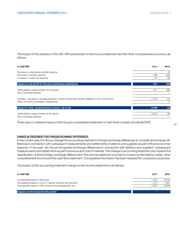The impact of the adoption of the IAS 19R amendment on the income statement and the other comprehensive income is as follows:

| <b>In CHF'000</b>                                                                               | 2015    | 2014  |
|-------------------------------------------------------------------------------------------------|---------|-------|
| Decrease in employees benefits expense                                                          |         | -9    |
| Decrease in interest expense                                                                    | 308     | 424   |
| Increase in current tax expense                                                                 | $-67$   | $-89$ |
| Impact on net profit for the year (continuing operations)                                       | 241     | 326   |
| Attributable to equity holders of the parent                                                    | 241     | 326   |
| Non controlling interests                                                                       |         |       |
| Increase / decrease in remeasurements on post-employment benefit obligations, net of income tax | $-2549$ | -61   |
| Effect of currency translation adjustments                                                      |         | 3     |
| Impact in other comprehensive income, net of tax                                                | $-2549$ | $-58$ |
| Attributable to equity holders of the parent                                                    | $-2549$ | $-58$ |
| Non controlling interests                                                                       |         |       |

There was no material impact on the Group's consolidated statement of cash flows or basic and diluted EPS.

49

#### CHANGE IN TREATMENT FOR FOREIGN EXCHANGE DIFFERENCES

In the current year, the Group changed its accounting treatment of foreign exchange differences to consider all exchange differences in connection with subsequent measurements and settlements of debtors and suppliers as part of finance income/ expense. In the past, the Group recognized exchange differences in connection with debtors and suppliers' subsequent measurements and settlements as part of revenue and cost of material. This change in accounting treatment only impacts the classification of these foreign exchange differences in the income statement and had no impact on the balance sheet, other comprehensive income and the cash flow statement. Comparative information has been restated for comparison purposes.

The impact of this accounting treatment change on the income statement is as follows:

| In CHF'000                                                     | 2015    | 2014   |
|----------------------------------------------------------------|---------|--------|
| Increase/(decrease) in Revenues                                | 1852    | -8 445 |
| Decrease/(increase) in Cost of material, licences and services | 1415    | 567    |
| Increase/(decrease) in Other finance income/(expense), net     | $-3267$ | 6878   |
| Impact on net income for the period                            |         |        |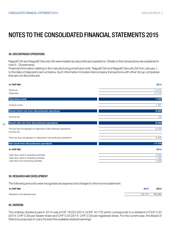#### 38. DISCONTINUED OPERATIONS

NagraID SA and NagraID Security SA were treated as discontinued operations. Details of the transactions are explained in note 5 - Divestments.

Financial information relating to the manufacturing smartcard units' NagraID SA and NagraID Security SA from January 1, to the date of disposal is set out below. Such information includes intercompany transactions with other Group companies that are not discontinued.

| <b>In CHF'000</b>                                                                                                       | 2014                          |
|-------------------------------------------------------------------------------------------------------------------------|-------------------------------|
| Revenue<br>Expenses                                                                                                     | 14 015<br>$-21573$            |
| <b>Operating result</b>                                                                                                 | $-7558$                       |
| Finance costs                                                                                                           | $-1267$                       |
| Result before tax from discontinued operations                                                                          | $-8825$                       |
| Income tax                                                                                                              | $-23$                         |
| Result after tax from discontinued operations                                                                           | $-8848$                       |
| Pre-tax loss recognised on disposal of discontinued operations<br>Income tax                                            | $-8528$                       |
| Post-tax loss recognised on disposal of discontinued operations                                                         | $-8528$                       |
| Net result from discontinued operations                                                                                 | $-17376$                      |
| <b>In CHF'000</b>                                                                                                       | 2014                          |
| Cash flow used in operating activities<br>Cash flow used in investing activities<br>Cash flow from financing activities | $-3850$<br>$-1160$<br>3 0 2 9 |

#### 39. RESEARCH AND DEVELOPMENT

The following amounts were recognized as expense and charged to the income statement:

| <b>In CHF'000</b>        | 2015    | 2014    |
|--------------------------|---------|---------|
| Research and development | 192 578 | 195 363 |

#### 40. DIVIDEND

50

The ordinary dividend paid in 2015 was kCHF 16225 (2014: kCHF 16170) which corresponds to a dividend of CHF 0.30 (2014: CHF 0.30) per bearer share and CHF 0.03 (2014: CHF 0.03) per registered share. For the current year, the Board of Directors proposes to carry forward the available retained earnings.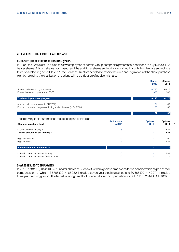### 41. EMPLOYEE SHARE PARTICIPATION PLANS

#### EMPLOYEE SHARE PURCHASE PROGRAM (ESPP)

In 2004, the Group set up a plan to allow employees of certain Group companies preferential conditions to buy Kudelski SA bearer shares. All such shares purchased, and the additional shares and options obtained through this plan, are subject to a three-year blocking period. In 2011, the Board of Directors decided to modify the rules and regulations of the share purchase plan by replacing the distribution of options with a distribution of additional shares.

|                                                                  |                               | <b>Shares</b><br>2015    | <b>Shares</b><br>2014  |
|------------------------------------------------------------------|-------------------------------|--------------------------|------------------------|
| Shares underwritten by employees                                 |                               | 6790                     | 6815                   |
| Bonus shares and options from ESPP                               |                               | 358                      | 1 363                  |
| Total employee share program                                     |                               | 8 1 4 8                  | 8 178                  |
| Amount paid by employee (In CHF'000)                             |                               | 61                       | 62                     |
| Booked corporate charges (excluding social charges) (In CHF'000) |                               | 26                       | 33                     |
|                                                                  |                               | 87                       | 95                     |
| The following table summarizes the options part of this plan:    |                               |                          |                        |
|                                                                  |                               |                          |                        |
| Changes in options held                                          | <b>Strike price</b><br>in CHF | <b>Options</b><br>2015   | <b>Options</b><br>2014 |
| In circulation on January 1                                      | 15                            | $\overline{\phantom{0}}$ | 584                    |
| Total in circulation on January 1                                |                               |                          | 584                    |
| Rights exercised                                                 | 15                            |                          | $-50$                  |
| Rights forfeited                                                 | 15                            |                          | $-534$                 |
| In circulation on December 31                                    |                               | $-$                      |                        |
| - of which exercisable as of January 1                           | 15                            |                          | 584                    |

#### SHARES ISSUED TO EMPLOYEES

In 2015, 178290 (2014: 108251) bearer shares of Kudelski SA were given to employees for no consideration as part of their compensation, of which 138705 (2014: 65980) include a seven-year blocking period and 39585 (2014: 42271) include a three year blocking period. The fair value recognized for this equity based compensation is kCHF 1 261 (2014: kCHF 919)

51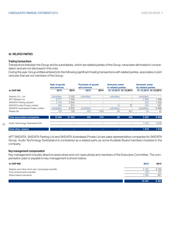#### 42. RELATED PARTIES

#### Trading transactions

Transactions between the Group and its subsidiaries, which are related parties of the Group, have been eliminated in consolidation and are not disclosed in this note.

During the year, Group entities entered into the following significant trading transactions with related parties, associates or joint ventures that are not members of the Group:

|                                     | Sale of goods<br>and services |         | <b>Purchase of goods</b><br>and services |      | <b>Amounts owed</b><br>to related parties |     | <b>Amounts owed</b><br>by related parties |                       |
|-------------------------------------|-------------------------------|---------|------------------------------------------|------|-------------------------------------------|-----|-------------------------------------------|-----------------------|
| <b>In CHF'000</b>                   | 2015                          | 2014    | 2015                                     | 2014 | 31.12.2015 31.12.2014                     |     |                                           | 31.12.2015 31.12.2014 |
| Hantory Co., Ltd                    | subsidiary                    | 2 0 3 2 | subsidiary                               | -    | subsidiary                                | -   | subsidiary                                |                       |
| APT-Skidata Ltd                     | 9377                          | 7449    |                                          |      |                                           |     | 2 0 6 2                                   | 1499                  |
| <b>SKIDATA Parking System</b>       | 3 1 6 3                       | 2854    |                                          |      |                                           | -   | 922                                       | 1559                  |
| SKIDATA India Private Limited       | 309                           | 674     |                                          |      | 10                                        | 87  | 205                                       | 297                   |
| SKIDATA Australasia Private Limited | subsidiary                    | 8 2 0 5 | subsidiary                               |      | subsidiary                                | -   | subsidiary                                | 6496                  |
| iWedia SA                           | 155                           | 138     | 403                                      | 618  | 88                                        | 421 | 34                                        | 42                    |
| <b>Total associated companies</b>   | 13 004                        | 21 352  | 403                                      | 618  | 98                                        | 508 | 3 2 2 3                                   | 9893                  |
| Audio Technology Switzerland SA     |                               |         |                                          |      |                                           |     | 1619                                      | 1619                  |
| Total other related                 |                               |         |                                          |      |                                           | -   | 1619                                      | 1619                  |

APT SKIDATA, SKIDATA Parking Ltd and SKIDATA Australasia Private Ltd are sales representative companies for SKIDATA Group. Audio Technology Switzerland is considered as a related party as some Kudelski Board members invested in the company.

#### Key management compensation

52

Key management includes directors (executives and non-executives) and members of the Executive Committee. The compensation paid or payable to key management is shown below:

| <b>In CHF'000</b>                                | 2015    | 2014    |
|--------------------------------------------------|---------|---------|
| Salaries and other short-term employees benefits | 9 1 6 2 | 8 1 8 2 |
| Post-employments benefits                        | 105     | 101     |
| Share-based payments                             | 1 0 6 4 | 981     |
|                                                  | 10 331  | 9 2 64  |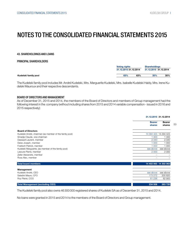53

### NOTES TO THE CONSOLIDATED FINANCIAL STATEMENTS 2015

#### 43. SHAREHOLDINGS AND LOANS

#### PRINCIPAL SHAREHOLDERS

|                      | <b>Voting rights</b><br>31.12.2015 31.12.2014 |     | <b>Shareholdings</b><br>31.12.2015 31.12.2014 |     |
|----------------------|-----------------------------------------------|-----|-----------------------------------------------|-----|
| Kudelski family pool | 63%                                           | 63% | 35%                                           | 35% |

The Kudelski family pool includes Mr. André Kudelski, Mrs. Marguerite Kudelski, Mrs. Isabelle Kudelski Haldy, Mrs. Irene Kudelski Mauroux and their respective descendants.

#### BOARD OF DIRECTORS AND MANAGEMENT

As of December 31, 2015 and 2014, the members of the Board of Directors and members of Group management had the following interest in the company (without including shares from 2015 and 2014 variable compensation - issued in 2016 and 2015 respectively):

|                                                         | 31.12.2015 31.12.2014   |                         |
|---------------------------------------------------------|-------------------------|-------------------------|
|                                                         | <b>Bearer</b><br>shares | <b>Bearer</b><br>shares |
| <b>Board of Directors</b>                               |                         |                         |
| Kudelski André, chairman (as member of the family pool) | 14 394 423 14 294 423   |                         |
| Smadja Claude, vice chairman                            | 1 300                   | 1 300                   |
| Dassault Laurent, member                                | 2 3 4 0                 | 2 3 4 0                 |
| Deiss Joseph, member                                    | 1 0 0 0                 | 1 0 0 0                 |
| Foetisch Patrick, member                                | 1 0 0 0                 | 1 0 0 0                 |
| Kudelski Marguerite, (as member of the family pool)     | see above               | see above               |
| Lescure Pierre, member                                  | 2 0 0 0                 | 2 0 0 0                 |
| Zeller Alexandre, member                                |                         |                         |
| Ross Alec, member                                       |                         |                         |
| <b>Total board members</b>                              | 14 402 063 14 302 063   |                         |
| Management                                              |                         |                         |
| Kudelski André, CEO                                     | see above               | see above               |
| Saladini Mauro, CFO                                     | 173 272                 | 200 820                 |
| Roy Pierre, COO                                         | 61 236                  | 62 900                  |
| <b>Total Management (excluding CEO)</b>                 | 234 508                 | 263 720                 |

The Kudelski family pool also owns 46300000 registered shares of Kudelski SA as of December 31, 2015 and 2014.

No loans were granted in 2015 and 2014 to the members of the Board of Directors and Group management.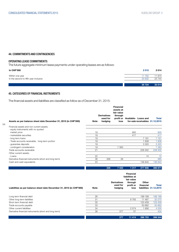#### 44. COMMITMENTS AND CONTINGENCIES

#### OPERATING LEASE COMMITMENTS

The future aggregate minimum lease payments under operating leases are as follows:

| <b>In CHF'000</b>                                        | 2015            | 2014             |
|----------------------------------------------------------|-----------------|------------------|
| Within one year<br>In the second to fifth year inclusive | 11792<br>23 932 | 11 870<br>23 744 |
|                                                          | 35 7 24         | 35 614           |

### 45. CATEGORIES OF FINANCIAL INSTRUMENTS

54

The financial assets and liabilities are classified as follow as of December 31, 2015:

| Assets as per balance sheet date December 31, 2015 (in CHF'000) | Note | <b>Derivatives</b><br>used for<br>hedging | <b>Financial</b><br>assets at<br>fair value<br>through<br>loss | profit or Available- Loans and<br>for-sale receivables 31.12.2015 | Total   |
|-----------------------------------------------------------------|------|-------------------------------------------|----------------------------------------------------------------|-------------------------------------------------------------------|---------|
| Financial assets and non current assets:                        |      |                                           |                                                                |                                                                   |         |
| - equity instruments with no quoted<br>market price             | 19   |                                           |                                                                | 900                                                               | 900     |
| - marketable securities                                         | 19   |                                           |                                                                | 417                                                               | 417     |
| - long term loans                                               | 19   |                                           |                                                                | 7 1 9 1                                                           | 7 191   |
| - Trade accounts receivable - long-term portion                 | 19   |                                           |                                                                | 1938                                                              | 1938    |
| - guarantee deposits                                            | 19   |                                           |                                                                | 3 3 2 0                                                           | 3 3 2 0 |
| - contingent consideration                                      | 19   |                                           | 7 3 8 3                                                        |                                                                   | 7 3 8 3 |
| Trade accounts receivable                                       | 21   |                                           |                                                                | 228 302                                                           | 228 302 |
| Other current assets:                                           |      |                                           |                                                                |                                                                   |         |
| - Loans                                                         | 22   |                                           |                                                                | 15                                                                | 15      |
| Derivative financial instruments (short and long term)          | 36   | 326                                       | 39                                                             |                                                                   | 365     |
| Cash and cash equivalents                                       | 23   |                                           |                                                                | 136 840                                                           | 136 840 |
|                                                                 |      |                                           |                                                                |                                                                   |         |

326 7 422 1 317 377 606 386 671

|                                                                      |             | liabilities at                            |                              |                    |                                 |
|----------------------------------------------------------------------|-------------|-------------------------------------------|------------------------------|--------------------|---------------------------------|
| Liabilities as per balance sheet date December 31, 2015 (in CHF'000) | <b>Note</b> | <b>Derivatives</b><br>used for<br>hedging | through<br>profit or<br>loss | Other<br>financial | Total<br>liabilities 31.12.2015 |
| Long term financial debt                                             | 26          |                                           |                              | 199 189            | 199 189                         |
| Other long term liabilities                                          | 31          |                                           | 8783                         | 11 487             | 20 270                          |
| Short term financial debt                                            | 32          |                                           |                              | 123 459            | 123 459                         |
| Trade accounts payable                                               | 33          |                                           |                              | 50 662             | 50 662                          |
| Other current liabilities                                            | 34          |                                           | 2574                         | 1956               | 4 5 3 0                         |
| Derivative financial instruments (short and long term)               | 36          | 377                                       | 57                           |                    | 434                             |
|                                                                      |             | 377                                       | 11414                        | 386 753            | 398 544                         |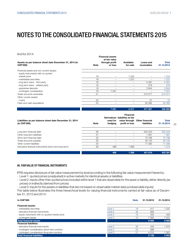And for 2014:

| Assets as per balance sheet date December 31, 2014 (in<br><b>CHF'000)</b> | <b>Note</b> | <b>Financial assets</b><br>at fair value<br>through profit<br>or loss | Available-<br>for-sale | Loans and<br>receivables | Total<br>31.12.2014 |
|---------------------------------------------------------------------------|-------------|-----------------------------------------------------------------------|------------------------|--------------------------|---------------------|
| Financial assets and non current assets:                                  |             |                                                                       |                        |                          |                     |
| - equity instruments with no quoted                                       |             |                                                                       |                        |                          |                     |
| market price                                                              | 19          | -                                                                     | 234                    | -                        | 1 234               |
| - marketable securities                                                   | 19          | $-$                                                                   | 237                    | -                        | 1237                |
| - long term loans - third party                                           | 19          |                                                                       |                        | 5481                     | 5 4 8 1             |
| - long term loans - related party                                         | 19          | -                                                                     |                        | 576                      | 576                 |
| - guarantee deposits                                                      | 19          | -                                                                     |                        | 3844                     | 3844                |
| - contingent consideration                                                | 19          | 7031                                                                  |                        |                          | 7 0 31              |
| Trade accounts receivable                                                 | 21          | -                                                                     |                        | 215 071                  | 215 071             |
| Other current assets:                                                     |             |                                                                       |                        |                          |                     |
| - Loans                                                                   | 22          | -                                                                     |                        | 37                       | 37                  |
| Cash and cash equivalents                                                 | 23          | -                                                                     |                        | 92 382                   | 92 382              |
|                                                                           |             | 7031                                                                  | 2471                   | 317 391                  | 326 893             |

| Liabilities as per balance sheet date December 31, 2014<br>(in CHF'000) | <b>Note</b> | used for<br>hedging | <b>Financial</b><br>Derivatives liabilities at fair<br>profit or loss | value through Other financial<br>liabilities | <b>Total</b><br>31.12.2014 |
|-------------------------------------------------------------------------|-------------|---------------------|-----------------------------------------------------------------------|----------------------------------------------|----------------------------|
| Long term financial debt                                                | 26          | -                   | -                                                                     | 255 223                                      | 255 223                    |
| Other long term liabilities                                             | 31          |                     | -                                                                     | 381                                          | 1 3 8 1                    |
| Short term financial debt                                               | 32          |                     |                                                                       | 75 796                                       | 75 796                     |
| Trade accounts payable                                                  | 33          |                     | -                                                                     | 52 134                                       | 52 134                     |
| Other current liabilities                                               | 34          |                     |                                                                       | 17 285                                       | 17 285                     |
| Derivative financial instruments (short and long term)                  | 36          | 486                 | 086                                                                   |                                              | 1572                       |
|                                                                         |             | 486                 | 1 0 8 6                                                               | 401819                                       | 403 391                    |

#### 46. FAIR VALUE OF FINANCIAL INSTRUMENTS

IFRS requires disclosure of fair value measurement by level according to the following fair value measurement hierarchy:

- Level 1: quoted prices (unadjusted) in active markets for identical assets or liabilities
- Level 2: inputs other than quoted prices included within level 1 that are observable for the asset or liability, either directly (as prices) or indirectly (derived from prices)
- Level 3: inputs for the assets or liabilities that are not based on observable market data (unobservable inputs)

The table below illustrates the three hierarchical levels for valuing financial instruments carried at fair value as of December 31, 2015 and 2014:

| <b>In CHF'000</b>                               |         | <b>Note</b> | 31.12.2015 | 31.12.2014 |
|-------------------------------------------------|---------|-------------|------------|------------|
| <b>Financial assets:</b>                        |         |             |            |            |
| - marketable securities                         | Level 1 | 19          | 417        | 1 237      |
| - derivative financial instruments              | Level 2 | 36          | 365        |            |
| - equity instuments with no quoted market price | Level 3 | 19          | 400        | 400        |
| - contingent assets                             | Level 3 | 19          | 7 3 8 3    | 7 0 31     |
| <b>Total financial assets</b>                   |         |             | 8 5 6 5    | 8 6 6 8    |
| <b>Financial liabilities:</b>                   |         |             |            |            |
| - derivative financial instruments              | Level 2 | 36          | 434        | 572        |
| - contingent consideration (short-term portion) | Level 3 | 34          | 686        |            |
| - contingent consideration (long-term portion)  | Level 3 | 31          | 4 0 1 2    | -381       |
| <b>Total financial liabilities</b>              |         |             | 5 1 3 2    | 2953       |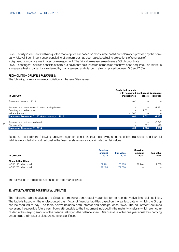Level 3 equity instruments with no quoted market price are based on discounted cash flow calculation provided by the company. A Level 3 contingent asset consisting of an earn-out has been calculated using projections of revenues of a disposed company, as estimated by management. The fair value measurement uses a 5% discount rate. Level 3 contingent liabilities consists of earn-out payments calculated on companies that have been acquired. The fair value is measured using projections reviewed by management, and discount rate comprised between 5.0 and 7.6%.

#### RECONCILIATION OF LEVEL 3 FAIR VALUES:

56

The following table shows a reconciliation for the level 3 fair values:

|                                                        | <b>Equity instruments</b><br>with no quoted Contingent Contingent |         |             |
|--------------------------------------------------------|-------------------------------------------------------------------|---------|-------------|
| <b>In CHF'000</b>                                      | market price                                                      | assets  | liabilities |
| Balance at January 1, 2014                             | 400                                                               |         |             |
| Assumed in a transaction with non-controlling interest |                                                                   |         | $-1.381$    |
| Resulting from a divestment                            |                                                                   | 7031    |             |
| Value adjustment                                       | $-1000$                                                           |         |             |
| Balance at December 31, 2014 and January 1, 2015       | 400                                                               | 7 0 3 1 | $-1381$     |
| Assumed in a business combination                      |                                                                   |         | $-3247$     |
| Discount effect                                        |                                                                   | 352     | $-70$       |
| Balance at December 31, 2015                           | 400                                                               | 7 3 8 3 | $-4698$     |

Except as detailed in the following table, management considers that the carrying amounts of financial assets and financial liabilities recorded at amortized cost in the financial statements approximate their fair values:

| In CHF'000                                             | Carrying<br>amount<br>2015 | <b>Fair value</b><br>2015 | Carrying<br>amount<br>2014 | <b>Fair value</b><br>2014 |
|--------------------------------------------------------|----------------------------|---------------------------|----------------------------|---------------------------|
| <b>Financial liabilities</b><br>- CHF 110 million bond | 102 761                    | 105 905                   | 109 444                    | 114 730                   |
| - CHF 200 million bond                                 | 199 188                    | 202 600                   | $\overline{\phantom{m}}$   |                           |

The fair values of the bonds are based on their market price.

#### 47. MATURITY ANALYSIS FOR FINANCIAL LIABILITIES

The following table analyses the Group's remaining contractual maturities for its non-derivative financial liabilities. The table is based on the undiscounted cash flows of financial liabilities based on the earliest date on which the Group can be required to pay. The table below includes both interest and principal cash flows. The adjustment columns represent the possible future cash flows attributable to the instrument included in the maturity analysis which are not included in the carrying amount of the financial liability on the balance sheet. Balances due within one year equal their carrying amounts as the impact of discounting is not significant.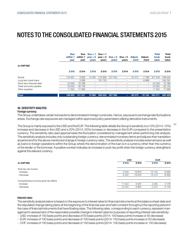|                           | <b>Due</b><br>within 1<br>year | Due<br>within 1<br>year | Due $> 1$<br><b>vears</b> | Due $> 1$<br>year $< 5$ year $< 5$<br>years | <b>vears</b> | Due $> 5$ Due $> 5$<br>years | <b>Adjust-</b><br>ment | <b>Adjust-</b><br>ment | <b>Total</b><br>book<br>value | <b>Total</b><br>book<br>value |
|---------------------------|--------------------------------|-------------------------|---------------------------|---------------------------------------------|--------------|------------------------------|------------------------|------------------------|-------------------------------|-------------------------------|
| <b>In CHF'000</b>         |                                |                         |                           |                                             |              |                              |                        |                        |                               |                               |
|                           | 2015                           | 2014                    | 2015                      | 2014                                        | 2015         | 2014                         | 2015                   | 2014                   | 2015                          | 2014                          |
| <b>Bonds</b>              | 109 881                        | 3 3 0 0                 | 15 080                    | 113 300                                     | 207 560      | $-$                          | $-30572$               | $-7156$                | 301949                        | 109 444                       |
| Long term bank loans      | $\qquad \qquad -$              | 3 0 0 6                 | $\overline{\phantom{a}}$  | 151 723                                     | ۰            |                              | -                      | $-8968$                | $\overline{\phantom{0}}$      | 145 761                       |
| Short term financial debt | 20 698                         | 75 796                  | $\overline{\phantom{0}}$  | $\overline{\phantom{m}}$                    | -            |                              | -                      | $\qquad \qquad -$      | 20 698                        | 75 796                        |
| Trade accounts payable    | 50 662                         | 52 134                  |                           |                                             |              |                              | -                      | $\qquad \qquad -$      | 50 662                        | 52 134                        |
| Other payables            | 17 662                         | 17 285                  |                           |                                             |              |                              | -                      | -                      | 17 662                        | 17 285                        |
| <b>Total</b>              | 198 903                        | 151 521                 | 15 080                    | 265 023                                     | 207 560      | ÷                            | $-30572$               | $-16124$               | 390 971                       | 400 420                       |

#### 48. SENSITIVITY ANALYSIS

#### Foreign currency

The Group undertakes certain transactions denominated in foreign currencies. Hence, exposure to exchange rate fluctuations arises. Exchange rate exposures are managed within approved policy parameters utilizing derivative instruments.

The Group is mainly exposed to the USD and the EUR. The following table details the Group's sensitivity to a 10% (2014: 10%) increase and decrease in the USD and a 20% (2014: 20%) increase or decrease in the EUR compared to the presentation currency. The sensitivity rate used approximates the fluctuation considered by management when performing risk analysis. The sensitivity analysis includes only outstanding foreign currency-denominated monetary items and adjusts their translation at period end for the above mentioned change in foreign currency rates. The sensitivity analysis includes external loans as well as loans to foreign operations within the Group where the denomination of the loan is in a currency other than the currency of the lender or the borrower. A positive number indicates an increase in post-tax profit when the foreign currency strengthens against the relevant currency.

|                                        |          | <b>USD</b> |          |         |
|----------------------------------------|----------|------------|----------|---------|
| In CHF'000                             | 2015     | 2014       | 2015     | 2014    |
| Post-tax net income                    |          |            |          |         |
| - Increase                             | 3505     | 13 615     | 15 145   | 6 5 5 5 |
| - Decrease                             | $-6945$  | $-13615$   | $-16210$ | $-6555$ |
| Comprehensive income (post-tax effect) |          |            |          |         |
| - Increase                             | 11 622   | 5407       | 3 3 8 5  | 4 1 7 6 |
| - Decrease                             | $-10354$ | $-4807$    | $-3472$  | $-4176$ |
|                                        |          |            |          |         |

#### Interest rates

The sensitivity analysis below is based on the exposure to interest rates for financial instruments at the balance sheet date and the stipulated change taking place at the beginning of the financial year and held constant throughout the reporting period in the case of financial instruments that have floating rates. The following rates, corresponding to each currency, represent management's assessment of the reasonable possible change in interest rates for purposes of reporting interest rate sensitivity:

- USD: increase of 150 basis points and decrease of 50 basis points (2014: 150 basis points increase or 50 decrease) - EUR: increase of 100 basis points and decrease of 100 basis points (2014: 150 basis points increase or 50 decrease)

- CHF: increase of 100 basis points and decrease of 100 basis points (2014: 100 basis points increase or 100 decrease)

57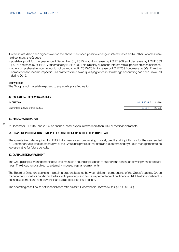If interest rates had been higher/lower on the above mentioned possible change in interest rates and all other variables were held constant, the Group's:

- post-tax profit for the year ended December 31, 2015 would increase by kCHF 969 and decrease by kCHF 833 (2014: decrease by kCHF 377 /decrease by kCHF 690). This is mainly due to the interest rate exposure on cash balances.
- other comprehensive income would not be impacted in 2015 (2014: increase by kCHF 259 / decrease by 86) . The other comprehensive income impact is 0 as an interest rate swap qualifying for cash-flow hedge accounting has been unwound during 2015.

#### Equity prices

The Group is not materially exposed to any equity price fluctuation.

#### 49. COLLATERAL RECEIVED AND GIVEN

Guarantees in favor of third parties and the state of the state of the state of the state of third parties and the state of the state of the state of the state of the state of the state of the state of the state of the sta

#### 50. RISK CONCENTRATION

58 At December 31, 2015 and 2014, no financial asset exposure was more than 10% of the financial assets.

#### 51. FINANCIAL INSTRUMENTS - UNREPRESENTATIVE RISK EXPOSURE AT REPORTING DATE

The quantative data required for IFRS 7 disclosures encompassing market, credit and liquidity risk for the year ended 31 December 2015 was representative of the Group risk profile at that date and is determined by Group management to be representative for future periods.

#### 52. CAPITAL RISK MANAGEMENT

The Group's capital management focus is to maintain a sound capital base to support the continued development of its business. The Group is not subject to externally imposed capital requirements.

The Board of Directors seeks to maintain a prudent balance between different components of the Group's capital. Group management monitors capital on the basis of operating cash flow as a percentage of net financial debt. Net financial debt is defined as current and non-current financial liabilities less liquid assets.

The operating cash flow to net financial debt ratio as at 31 December 2015 was 57.2% (2014: 45.8%).

In CHF'000 31.12.2015 31.12.2014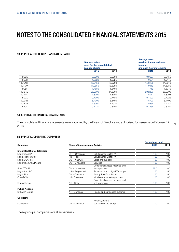#### 53. PRINCIPAL CURRENCY TRANSLATION RATES

| Year end rates | used for the consolidated |         |                                                                                         |
|----------------|---------------------------|---------|-----------------------------------------------------------------------------------------|
| 2015           | 2014                      | 2015    | 2014                                                                                    |
| 0.9900         | 0.9900                    | 0.9627  | 0.9155                                                                                  |
| 1.0820         | 1.2025                    | 1.0684  | 1.2145                                                                                  |
| 15.2450        | 15.9700                   | 15,3168 | 14.8610                                                                                 |
| 11.2650        | 13.3250                   | 11.9412 | 14.5380                                                                                 |
| 1.4680         | 1.5400                    | 1.4712  | 1.5070                                                                                  |
| 25,2000        | 37,3000                   | 29,2800 | 38,9300                                                                                 |
| 1.5000         | 1.5700                    | 1.5011  | 1.5004                                                                                  |
| 0.7000         | 0.7480                    | 0.7003  | 0.7222                                                                                  |
| 6.4000         | 8.5400                    | 7.5700  | 8.4400                                                                                  |
| 1.3360         | 1.7910                    | 1.5864  | 2.4140                                                                                  |
| 0.7230         | 0.8100                    | 0.7236  | 0.8250                                                                                  |
|                | balance sheets            |         | <b>Average rates</b><br>used for the consolidated<br>income<br>and cash flow statements |

#### 54. APPROVAL OF FINANCIAL STATEMENTS

59 The consolidated financial statements were approved by the Board of Directors and authorised for issuance on February 17, 2016.

#### 55. PRINCIPAL OPERATING COMPANIES

|                                      |                |                                        | <b>Percentage held</b> |     |
|--------------------------------------|----------------|----------------------------------------|------------------------|-----|
| Company                              |                | <b>Place of incorporation Activity</b> |                        |     |
| <b>Integrated Digital Television</b> |                |                                        |                        |     |
| Nagravision SA                       | CH - Cheseaux  | Solutions for Digital TV               | 100                    | 100 |
| Nagra France SAS                     | $FR - Paris$   | Solutions for Digital TV               | 100                    | 100 |
| Nagra USA, Inc.                      | US - Nashville | Sales and support                      | 100                    | 100 |
| Nagravision Asia Pte Ltd             | SG - Singapore | <b>Services</b>                        | 100                    | 100 |
|                                      |                | Conditional access modules and         |                        |     |
| SmarDTV SA                           | CH - Cheseaux  | set-top-boxes                          | 77.5                   | 100 |
| NagraStar LLC                        | US - Englewood | Smartcards and digital TV support      | 50                     | 50  |
| Nagra Plus                           | CH - Cheseaux  | Analog Pay-TV solutions                | 50                     | 50  |
| OpenTV Inc                           | US - Delaware  | Middleware for set-top-boxes           | 100                    | 100 |
|                                      |                | Conditional access modules and         |                        |     |
| Conax Group                          | NO - Oslo      | set-top-boxes                          | 100                    | 100 |
| <b>Public Access</b>                 |                |                                        |                        |     |
| <b>SKIDATA Group</b>                 | AT - Gartenau  | People and car access systems          | 100                    | 100 |
| Corporate                            |                |                                        |                        |     |
|                                      |                | Holding, parent                        |                        |     |
| Kudelski SA                          | CH - Cheseaux  | company of the Group                   | 100                    | 100 |

These principal companies are all subsidiaries.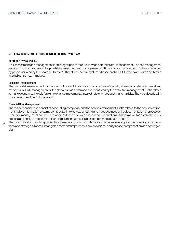#### 56. RISK ASSESSMENT DISCLOSURES REQUIRED BY SWISS LAW

#### REQUIRED BY SWISS LAW

Risk assessment and management is an integral part of the Group-wide enterprise risk management. The risk management approach is structured around a global risk assessment and management, and financial risk management. Both are governed by policies initiated by the Board of Directors. The internal control system is based on the COSO framework with a dedicated internal control team in place.

#### Global risk management

The global risk management process led to the identification and management of security, operational, strategic, asset and market risks. Daily management of the global risks is performed and monitored by the executive management. Risks related to market dynamics include foreign exchange movements, interest rate changes and financing risks. They are described in more detail in section 3 of this report.

#### Financial Risk Management

The major financial risks consist of accounting complexity and the control environment. Risks related to the control environment include information systems complexity, timely review of results and the robustness of the documentation of processes. Executive management continues to address these risks with process documentation initiatives as well as establishment of process and entity level controls. Financial risk management is described in more details in note 3.

 $60$ The most critical accounting policies to address accounting complexity include revenue recognition, accounting for acquisitions and strategic alliances, intangible assets and impairments, tax provisions, equity based compensation and contingencies.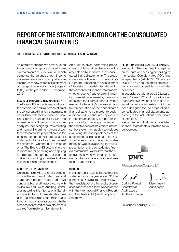### REPORT OF THE STATUTORY AUDITOR ON THE CONSOLIDATED FINANCIAL STATEMENTS

#### TO THE GENERAL MEETING OF KUDELSKI SA, CHESEAUX-SUR-LAUSANNE

As statutory auditor, we have audited the accompanying consolidated financial statements of Kudelski S.A., which comprise the balance sheet, income statement, statement of comprehensive income, cash flow statement, statement of changes in equity and notes (pages 4 to 60), for the year ended 31 December 2015.

#### BOARD OF DIRECTORS' RESPONSIBILITY

The Board of Directors is responsible for the preparation and fair presentation of the consolidated financial statements in accordance with the International Financial Reporting Standards (IFRS) and the requirements of Swiss law. This responsibility includes designing, implementing and maintaining an internal control system relevant to the preparation and fair presentation of consolidated financial statements that are free from material misstatement, whether due to fraud or error. The Board of Directors is further responsible for selecting and applying appropriate accounting policies and making accounting estimates that are reasonable in the circumstances.

#### AUDITOR'S RESPONSIBILITY

Our responsibility is to express an opinion on these consolidated financial statements based on our audit. We conducted our audit in accordance with Swiss law and Swiss Auditing Standards as well as the International Standards on Auditing. Those standards require that we plan and perform the audit to obtain reasonable assurance whether the consolidated financial statements are free from material misstatement.

An audit involves performing procedures to obtain audit evidence about the amounts and disclosures in the consolidated financial statements. The procedures selected depend on the auditor's judgment, including the assessment of the risks of material misstatement of the consolidated financial statements, whether due to fraud or error. In making those risk assessments, the auditor considers the internal control system relevant to the entity's preparation and fair presentation of the consolidated financial statements in order to design audit procedures that are appropriate in the circumstances, but not for the purpose of expressing an opinion on the effectiveness of the entity's internal control system. An audit also includes evaluating the appropriateness of the accounting policies used and the reasonableness of accounting estimates made, as well as evaluating the overall presentation of the consolidated financial statements. We believe that the audit evidence we have obtained is sufficient and appropriate to provide a basis for our audit opinion.

#### OPINION

In our opinion, the consolidated financial statements for the year ended 31 December 2015 give a true and fair view of the financial position, the results of operations and the cash flows in accordance with the International Financial Reporting Standards (IFRS) and comply with Swiss law.

### REPORT ON OTHER LEGAL REQUIREMENTS

We confirm that we meet the legal requirements on licensing according to the Auditor Oversight Act (AOA) and independence (article 728 CO and article 11 AOA) and that there are no circumstances incompatible with our independence.

In accordance with article 728a paragraph 1 item 3 CO and Swiss Auditing Standard 890, we confirm that an internal control system exists which has been designed for the preparation of consolidated financial statements according to the instructions of the Board of Directors.

61 We recommend that the consolidated financial statements submitted to you be approved.



PricewaterhouseCoopers SA

Corinne Pointet Marc Ausoni Chambettaz Audit expert Audit expert Auditor in charge

Lausanne, February 17, 2016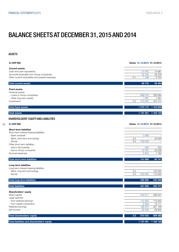## BALANCE SHEETS AT DECEMBER 31, 2015 AND 2014

#### ASSETS

62

| <b>In CHF'000</b>                                                                                                                                                                                                                                      | Notes 31.12.2015 31.12.2014                                     |                                                                |
|--------------------------------------------------------------------------------------------------------------------------------------------------------------------------------------------------------------------------------------------------------|-----------------------------------------------------------------|----------------------------------------------------------------|
| <b>Current assets</b><br>Cash and cash equivalents<br>Accounts receivable from Group companies<br>Other current receivables and prepaid expenses                                                                                                       | 31872<br>33 750<br>1 1 5 8<br>3.1                               | 14 981<br>39 7 29<br>3754                                      |
| <b>Total current assets</b>                                                                                                                                                                                                                            | 66779                                                           | 58 464                                                         |
| <b>Fixed assets</b><br>Financial assets:<br>- Loans to Group companies<br>- Other long term assets<br>Investments                                                                                                                                      | 699 578<br>1 0 8 1<br>3.2<br>370 053                            | 765 064<br>1 0 8 1<br>337 514                                  |
| <b>Total fixed assets</b>                                                                                                                                                                                                                              | 1 070 712                                                       | 1 103 659                                                      |
| <b>Total assets</b>                                                                                                                                                                                                                                    | 1 137 491                                                       | 1 162 123                                                      |
| <b>SHAREHOLDERS' EQUITY AND LIABILITIES</b>                                                                                                                                                                                                            |                                                                 |                                                                |
| <b>In CHF'000</b>                                                                                                                                                                                                                                      | Notes 31.12.2015 31.12.2014                                     |                                                                |
| <b>Short-term liabilities</b><br>Short-term interest-bearing liabilities :<br>- Bank overdraft<br>- Bank, short term borrowings<br>- Bonds<br>Other short-term liabilities :<br>- due to third parties<br>- due to Group companies<br>Accrued expenses | 3 2 6 8<br>3.3<br>3.4<br>103 020<br>403<br>12761<br>2 5 0 7     | 33 000<br>$\overline{\phantom{a}}$<br>424<br>25 5 28<br>1790   |
| <b>Total short-term liabilities</b>                                                                                                                                                                                                                    | 121 959                                                         | 60 741                                                         |
| Long-term liabilities<br>Long-term interest-bearing liabilities :<br>- Bank, long term borrowings<br>- Bonds<br><b>Total long-term liabilities</b>                                                                                                     | 3.3<br>$\overline{\phantom{a}}$<br>3.4<br>200 000<br>200 000    | 132 000<br>110 000<br>242 000                                  |
|                                                                                                                                                                                                                                                        |                                                                 |                                                                |
| <b>Total liabilities</b><br>Shareholders' equity<br>Share capital<br>Legal reserves:<br>- from retained earnings<br>- from capital contribution<br>Retained earnings<br>Net income                                                                     | 321 959<br>540 911<br>110 000<br>8 3 0 0<br>185 815<br>$-29495$ | 302 741<br>539 047<br>110 000<br>19 111<br>221 129<br>$-29905$ |
| Total shareholders' equity                                                                                                                                                                                                                             | 815 532<br>3.5                                                  | 859 382                                                        |
| Total liabilities and shareholders' equity                                                                                                                                                                                                             | 1 137 491                                                       | 1 162 123                                                      |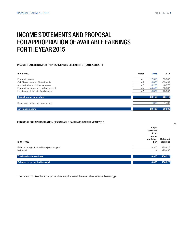### INCOME STATEMENTS AND PROPOSAL FOR APPROPRIATION OF AVAILABLE EARNINGS FOR THE YEAR 2015

#### INCOME STATEMENTS FOR THE YEARS ENDED DECEMBER 31, 2015 AND 2014

| <b>In CHF'000</b>                      | <b>Notes</b> | 2015     | 2014     |
|----------------------------------------|--------------|----------|----------|
| Financial income                       | 4.1          | 17510    | 55 587   |
| Gain/(Loss) on sale of investments     | 4.2          | 5883     | $-35499$ |
| Administrative and other expenses      | 4.3          | $-3266$  | $-6370$  |
| Financial expenses and exchange result | 4.4          | $-44453$ | $-13782$ |
| Impairment of financial fixed assets   | 4.5          | $-3832$  | $-28352$ |
| (loss)/Income before tax               |              | $-28156$ | $-28416$ |
| Direct taxes (other than income tax)   |              | $-1.338$ | $-1489$  |
| Net (loss)/income                      |              | $-29495$ | $-29905$ |

#### PROPOSAL FOR APPROPRIATION OF AVAILABLE EARNINGS FOR THE YEAR 2015

| <b>In CHF'000</b>                          | Legal<br>reserves<br>from<br>capital<br>contribu-<br>tion | Retained<br>earnings |
|--------------------------------------------|-----------------------------------------------------------|----------------------|
| Balance brought forward from previous year | 8 3 0 0                                                   | 185 815              |
| Net result                                 | -                                                         | $-29495$             |
| Total available earnings                   | 8 3 0 0                                                   | 156 320              |
| Balance to be carried forward              | 8 3 0 0                                                   | 156 320              |

The Board of Directors proposes to carry forward the available retained earnings.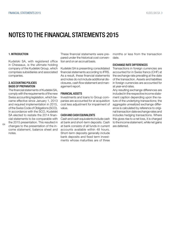### NOTES TO THE FINANCIAL STATEMENTS 2015

#### 1. INTRODUCTION

Kudelski SA, with registered office in Cheseaux, is the ultimate holding company of the Kudelski Group, which comprises subsidiaries and associated companies.

#### 2. ACCOUNTING POLICIES BASIS OF PREPARATION

 $64$ 

notes.

The financial statements of Kudelski SA, comply with the requirements of the new Swiss accounting legislation, which became effective since January 1, 2013 and required implementation in 2015, of the Swiss Code of Obligations (SCO). In accordance with the SCO, Kudelski SA elected to restate the 2014 financial statements to be comparable with the 2015 presentation. This resulted in changes to the presentation of the income statement, balance sheet and

These financial statements were prepared under the historical cost convention and on an accrual basis.

Kudelski SA is presenting consolidated financial statements according to IFRS. As a result, these financial statements and notes do not include additional disclosures, cash flow statement and management report.

#### FINANCIAL ASSETS

Investments and loans to Group companies are accounted for at acquisition cost less adjustment for impairment of value.

#### CASH AND CASH EQUIVALENTS

Cash and cash equivalents include cash at bank and short-term deposits. Cash at bank consists of all funds in current accounts available within 48 hours. Short-term deposits generally include bank deposits and fixed term investments whose maturities are of three months or less from the transaction date.

#### EXCHANGE RATE DIFFERENCES

Transactions in foreign currencies are accounted for in Swiss francs (CHF) at the exchange rate prevailing at the date of the transaction. Assets and liabilities in foreign currencies are accounted for at year-end rates.

Any resulting exchange differences are included in the respective income statement caption depending upon the nature of the underlying transactions; the aggregate unrealized exchange difference is calculated by reference to original transaction date exchange rates and includes hedging transactions. Where this gives rise to a net loss, it is charged to the income statement, while net gains are deferred.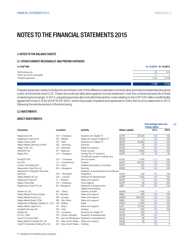65

Percentage held and

### NOTES TO THE FINANCIAL STATEMENTS 2015

#### 3. NOTES TO THE BALANCE SHEETS

### 3.1 OTHER CURRENT RECEIVABLES AND PREPAID EXPENSES

| In CHF'000                |         | 31.12.2015 31.12.2014 |
|---------------------------|---------|-----------------------|
| Withholding tax           | 66      | 310                   |
| Other accounts receivable |         |                       |
| Prepaid expenses          | 1 0 8 0 | 3440                  |
|                           |         |                       |
|                           | 1 1 5 8 | 3754                  |

Prepaid expenses mainly includes the amortized cost of the difference between nominal value and net proceeds less issuance costs of the bonds (note 3.4). These amounts are allocated against income statement over the contractual periods of their underlying borrowings. In 2014, prepaid expenses also included transaction costs relating to the CHF 235 million credit facility agreement (note 3.3) for kCHF kCHF 2874, which have been impaired and expensed in full in the income statement in 2015 following the reimbursment of the borrowing.

#### 3.2 NVESTMENTS

#### DIRECT INVESTMENTS

|                                        |                      |                                                           |               |         | voting rights |                         |
|----------------------------------------|----------------------|-----------------------------------------------------------|---------------|---------|---------------|-------------------------|
| Company                                | Location             | Activity                                                  | Share capital |         | 2015          | 2014                    |
| Nagravision SA                         | CH - Cheseaux        | Solutions for Digital TV                                  | <b>kCHF</b>   | 20 000  | 100           | 100                     |
| Nagravision Iberica SL                 | ES - Madrid          | Sales and support Digital TV                              | <b>kEUR</b>   | 3       | 100           | 100                     |
| Nagra France SAS                       | FR - Paris           | Solutions for Digital TV                                  | <b>kEUR</b>   | 32 833  | 100           | 100                     |
| Nagra Media Germany GmbH               | $DE - Ismaning$      | Services                                                  | <b>kEUR</b>   | 25      | 100           | 100                     |
| Nagra USA, Inc.                        | US - Nashville       | Sales and support                                         | <b>kUSD</b>   | 10      | 100           | 100                     |
| <b>SKIDATA AG</b>                      | AT - Salzburg        | Public access                                             | <b>kEUR</b>   | 3634    | 100           | 100                     |
| Nagra Plus                             | CH - Cheseaux        | Analog Pay-TV solutions<br>Conditional access modules and | <b>kCHF</b>   | 100     | 50            | 50                      |
| SmarDTV SA                             | CH - Cheseaux        | set-top-boxes                                             | <b>kCHF</b>   | 1 0 0 0 | 77.5          | 100                     |
| Kud SA                                 | LU - Luxembourg      | Finance                                                   | <b>kCHF</b>   | 63 531  | 100           | 100                     |
| Leman Consulting SA                    | $CH - N$ yon         | Intellectual property consulting                          | <b>kCHF</b>   | 100     | 100           | 100                     |
| Nagravision Asia Pte Ltd               | SG - Singapore       | Services                                                  | kSGD          | 100     | 100           | 100                     |
| Nagravision Shanghaï Technical         |                      | Research & development and software                       |               |         |               |                         |
| Services                               | CN - Shanghaï        | integration                                               | <b>KCNY</b>   | 100     | 100           | 100                     |
| Nagra Media UK Ltd                     | $UK - London$        | Research & development                                    | <b>KGBP</b>   | 1 0 0 0 | 100           | 100                     |
| Nagravision Italy Srl                  | IT - Bolzano         | Sales and support                                         | <b>kEUR</b>   | 10      | 100           | 100                     |
| Nagra Travel Sàrl                      | CH - Cheseaux        | Travel agency                                             | <b>kCHF</b>   | 50      | 100           | 100                     |
| Nagravision India Pvt Ltd              | IN - Bangalore       | Research & development                                    | <b>kINR</b>   | 100     | 100           | 100                     |
| Acetel Co Ltd                          | SK - Séoul           | Digital broadcasting<br>solution provider                 | <b>kKRW</b>   | 1 460   | 17            | 17                      |
| Nagra Media Private Limited            | IN - Mumbai          | Sales and support                                         | <b>kINR</b>   | 100     | 100           | 100                     |
| Nagra Media Korea LLC                  | KR - Anyang          | Sales and support                                         | <b>kKRW</b>   | 200 000 | 100           | 100                     |
| Nagra Media Brasil LTDA                | BR - São Paulo       | Sales and support                                         | <b>kBRL</b>   | 553     | 100           | 100                     |
| Nagravision (Beijing) Trading Co., Ltd | CN - Beijing         | Sales                                                     | <b>kCNY</b>   | 5 0 0 0 | 100           | 100                     |
| Nagra Media Japan K.K.                 | JP - Tokyo           | Sales and support                                         | <b>kJPY</b>   | 10 000  | 100           | 100                     |
| Kudelski Norway AS                     | NO - Oslo            | Holding                                                   | <b>kNOK</b>   | 200     | 100           | 100                     |
| iWedia SA                              | CH - Lausanne        | Solutions for Digital TV                                  | <b>kCHF</b>   | 750     | 40            | $\top$                  |
| E.D.S.I. SAS                           | FR - Cesson Sévigné  | Research & development                                    | <b>KEUR</b>   | 163     | 100           | $\overline{\top}$       |
| OpenTV Europe SAS                      |                      | FR - Issy les Moulineaux Research & development           | <b>kEUR</b>   | 38      | 100           | $\top$                  |
| Nagra Media Australia Pty Ltd          | AU - New South Wales | Sales and support                                         | <b>kAUD</b>   | 50      | 100           | $\overline{\top}$       |
| OpenTV Australia Holding Pty Ltd       | AU - New South Wales | Holding                                                   | <b>kAUD</b>   | 1       | 100           | $\overline{\mathsf{T}}$ |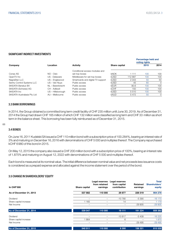Percentage held and

#### SIGNIFICANT INDIRECT INVESTMENTS

|                             |                   |                                   |               | voting rights |      |          |
|-----------------------------|-------------------|-----------------------------------|---------------|---------------|------|----------|
| Company                     | Location          | <b>Activity</b>                   | Share capital |               | 2015 | 2014     |
|                             |                   | Conditional access modules and    |               |               |      |          |
| Conax AS                    | NO - Oslo         | set-top-boxes                     | <b>kNOK</b>   | 1111          | 100  | 100      |
| OpenTV Inc                  | US - Delaware     | Middleware for set-top-boxes      | <b>kUSD</b>   | 112887        | 100  | 100      |
| NagraStar LLC               | US - Englewood    | Smartcards and digital TV support | <b>kUSD</b>   | 2043          | 50   | 50       |
| Sentry Control Systems LLC  | US - Van Nuys     | Public access                     | <b>kUSD</b>   | 45            | 60   | $\Omega$ |
| <b>SKIDATA Benelux BV</b>   | NL - Barenbrecht  | Public access                     | <b>kEUR</b>   | 90.6          | 100  | 100      |
| SKIDATA (Schweiz) AG        | CH - Adliswil     | Public access                     | <b>kCHF</b>   | 150           | 100  | 100      |
| SKIDATA Inc.                | US - Hillsborough | Public access                     | <b>kUSD</b>   | 5510          | 100  | 100      |
| SKIDATA Australasia Pty Ltd | AU - Melbourne    | Public access                     | <b>kAUD</b>   | 5472          | 50   | $\circ$  |

#### 3.3 BANK BORROWINGS

In 2014, the Group obtained a committed long term credit facility of CHF 235 million until June 30, 2019. As of December 31, 2014 the Group had drawn CHF 165 million of which CHF 132 million were classified as long term and CHF 33 million as short term in the balance sheet. This borrowing has been fully reimbursed as of December 31, 2015.

#### 66

#### 3.4 BONDS

On June 16, 2011 Kudelski SA issued a CHF 110 million bond with a subscription price of 100.284%, bearing an interest rate of 3% and maturing on December 16, 2016 with denominations of CHF 5 000 and multiples thereof. The Company repurchased kCHF 6980 of this bond in 2015.

On May 12, 2015 the company also issued a CHF 200 million bond with a subscription price of 100%, bearing an interest rate of 1.875% and maturing on August 12, 2022 with denominations of CHF 5 000 and multiples thereof.

Each bond is measured at its nominal value. The initial difference between nominal value and net proceeds less issuance costs is considered as a prepaid expense and allocated against the income statement over the period of the bond.

#### 3.5 CHANGE IN SHAREHOLDERS' EQUITY

|                         |               | Legal reserves            | Legal reserves               |                      | <b>Total</b>            |
|-------------------------|---------------|---------------------------|------------------------------|----------------------|-------------------------|
| <b>In CHF'000</b>       | Share capital | from retained<br>earnings | from capital<br>contribution | Retained<br>earnings | Shareholders'<br>equity |
| As of December 31, 2013 | 537882        | 110 000                   | 29 877                       | 226 519              | 904 278                 |
| Dividend                |               |                           | $-10780$                     | $-5390$              | $-16170$                |
| Share capital increase  | 1 1 6 5       | -                         | 14                           |                      | 1 1 7 9                 |
| Net Income              |               |                           |                              | $-29905$             | $-29905$                |
| As of December 31, 2014 | 539 047       | 110 000                   | 19 111                       | 191 224              | 859 382                 |
| Dividend                |               |                           | $-10817$                     | $-5408$              | $-16225$                |
| Share capital increase  | 1864          | -                         | 6                            |                      | 1870                    |
| Net Income              | -             | -                         |                              | $-29495$             | $-29495$                |
| As of December 31, 2015 | 540 911       | 110 000                   | 8 3 0 0                      | 156 321              | 815 532                 |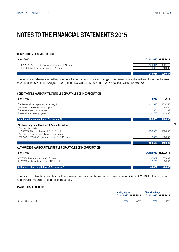### NOTES TO THE FINANCIAL STATEMENTS 2015

#### COMPOSITION OF SHARE CAPITAL

| <b>In CHF'000</b>                                     | 31.12.2015 31.12.2014 |         |
|-------------------------------------------------------|-----------------------|---------|
| 49'461'147 / 49'274'709 bearer shares, at CHF 10 each | 494 611               | 492 747 |
| 46'300'000 registered shares, at CHF 1 each           | 46 300                | 46 300  |
|                                                       |                       |         |
|                                                       | 540 911               | 539 047 |

The registered shares are neither listed nor traded on any stock exchange. The bearer shares have been listed on the main market of the SIX since 2 August 1999 (ticker: KUD, security number: 1 226 836; ISIN CH0012268360).

### CONDITIONAL SHARE CAPITAL (ARTICLE 6 OF ARTICLES OF INCORPORATION)

| <b>In CHF'000</b>                                                                                   | 2015    | 2014                  |
|-----------------------------------------------------------------------------------------------------|---------|-----------------------|
| Conditional share capital as of January 1                                                           | 110 390 | 103 555               |
| Increase of conditional share capital                                                               |         | 8 0 0 0               |
| Employee share purchase plan                                                                        | $-81$   | $-82$                 |
| Shares allotted to employees                                                                        | $-1783$ | $-1083$               |
| Conditional share capital at December 31                                                            | 108 526 | 110 390               |
| Of which may be utilized as of December 31 for:                                                     |         |                       |
| - Convertible bonds:                                                                                |         |                       |
| 10'000'000 bearer shares, at CHF 10 each                                                            | 100 000 | 100 000               |
| - Options or share subscriptions to employees:<br>852'609 / 1'039'047 bearer shares, at CHF 10 each | 8526    | 10 390                |
|                                                                                                     |         |                       |
|                                                                                                     | 108 526 | 110 390               |
| AUTHORIZED SHARE CAPITAL (ARTICLE 7 OF ARTICLES OF INCORPORATION)                                   |         |                       |
| <b>In CHF'000</b>                                                                                   |         | 31.12.2015 31.12.2014 |
| 3'768'164 bearer shares, at CHF 10 each                                                             | 37 682  | 37 682                |
| 3'200'000 registered shares, at CHF 1 each                                                          | 3 2 0 0 | 3 2 0 0               |
|                                                                                                     |         |                       |

Authorized share capital as of December 31 40 882 40 882 40 882 40 882 40 882 40 882 40 882 40 882 40 882 40 882

The Board of Directors is authorized to increase the share capital in one or more stages until April 8, 2016, for the purpose of acquiring companies or parts of companies.

#### MAJOR SHAREHOLDERS

| <b>Shareholdings</b>                           |     |
|------------------------------------------------|-----|
| 31.12.2015 31.12.2014<br>31.12.2015 31.12.2014 |     |
| 35%                                            | 35% |
|                                                | 63% |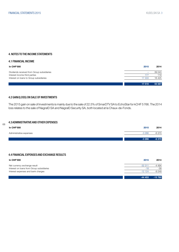#### 4. NOTES TO THE INCOME STATEMENTS

#### 4.1 FINANCIAL INCOME

| In CHF'000                                 | 2015   | 2014    |
|--------------------------------------------|--------|---------|
| Dividends received from Group subsidiaries | -      | 39 043  |
| Interest income third parties              |        | 119     |
| Interest on loans to Group subsidiaries    | 17 333 | 16 4 25 |
|                                            | 17510  | 55 587  |

#### 4.2 GAIN/(LOSS) ON SALE OF INVESTMENTS

The 2015 gain on sale of investments is mainly due to the sale of 22.5% of SmarDTV SA to EchoStar for kCHF 5766. The 2014 loss relates to the sale of NagraID SA and NagraID Security SA, both located at la Chaux-de-Fonds.

#### 4.3 ADMINISTRATIVE AND OTHER EXPENSES

| <b>In CHF'000</b>       | 2015    | 2014    |
|-------------------------|---------|---------|
| Administrative expenses | $-3266$ | $-6370$ |
|                         | $-3266$ | $-6370$ |

#### 4.4 FINANCIAL EXPENSES AND EXCHANGE RESULTS

| <b>In CHF'000</b>                         | 2015     | 2014     |
|-------------------------------------------|----------|----------|
| Net currency exchange result              | $-32311$ | -4 494   |
| Interest on loans from Group subsidiaries | $-18$    | -39      |
| Interest expenses and bank charges        | $-12124$ | $-9249$  |
|                                           | $-44453$ | $-13782$ |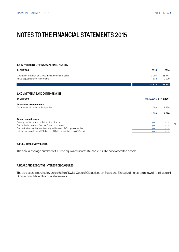### NOTES TO THE FINANCIAL STATEMENTS 2015

#### 4.5 IMPAIRMENT OF FINANCIAL FIXED ASSETS

| In CHF'000                                         | 2015    | 2014     |
|----------------------------------------------------|---------|----------|
| Change in provision on Group investments and loans | $-3000$ | $-26143$ |
| Value adjustment on investments                    | $-832$  | $-2209$  |
|                                                    | $-3832$ | $-28352$ |

### 5. COMMITMENTS AND CONTINGENCIES

#### In CHF'000 31.12.2015 31.12.2014

### Guarantee commitments Commitment in favor of third parties and the commitment in favor of third parties 1 699 1 328 1 699 1 328 Other commitments Penalty risk for non-completion of contracts p.m. p.m. Subordinated loans in favor of Group companies p.m. p.m. Support letters and guarantees signed in favor of Group companies p.m. p.m. p.m. p.m. Jointly responsible for VAT liabilities of Swiss subsidiaries (VAT Group) p.m. p.m. p.m. p.m.

#### 6. FULL-TIME EQUIVALENTS

The annual average number of full-time equivalents for 2015 and 2014 did not exceed ten people.

#### 7. BOARD AND EXECUTIVE INTEREST DISCLOSURES

The disclosures required by article 663c of Swiss Code of Obligations on Board and Executive interest are shown in the Kudelski Group consolidated financial statements.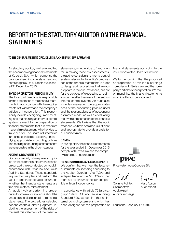### REPORT OF THE STATUTORY AUDITOR ON THE FINANCIAL **STATEMENTS**

#### TO THE GENERAL MEETING OF KUDELSKI SA, CHESEAUX-SUR-LAUSANNE

As statutory auditor, we have audited the accompanying financial statements of Kudelski S.A., which comprise the balance sheet, income statement and notes (pages 62 to 69), for the year ended 31 December 2015.

### BOARD OF DIRECTORS' RESPONSIBILITY

The Board of Directors is responsible for the preparation of the financial statements in accordance with the requirements of Swiss law and the company's articles of incorporation. This responsibility includes designing, implementing and maintaining an internal control system relevant to the preparation of financial statements that are free from material misstatement, whether due to fraud or error. The Board of Directors is

further responsible for selecting and applying appropriate accounting policies and making accounting estimates that are reasonable in the circumstances.

#### AUDITOR'S RESPONSIBILITY

70

Our responsibility is to express an opinion on these financial statements based on our audit. We conducted our audit in accordance with Swiss law and Swiss Auditing Standards. Those standards require that we plan and perform the audit to obtain reasonable assurance whether the financial statements are free from material misstatement.

An audit involves performing procedures to obtain audit evidence about the amounts and disclosures in the financial statements. The procedures selected depend on the auditor's judgment, including the assessment of the risks of material misstatement of the financial

statements, whether due to fraud or error. In making those risk assessments, the auditor considers the internal control system relevant to the entity's preparation of the financial statements in order to design audit procedures that are appropriate in the circumstances, but not for the purpose of expressing an opinion on the effectiveness of the entity's internal control system. An audit also includes evaluating the appropriateness of the accounting policies used and the reasonableness of accounting estimates made, as well as evaluating the overall presentation of the financial statements. We believe that the audit evidence we have obtained is sufficient and appropriate to provide a basis for our audit opinion.

#### OPINION

In our opinion, the financial statements for the year ended 31 December 2015 comply with Swiss law and the company's articles of incorporation.

#### REPORT ON OTHER LEGAL REQUIREMENTS

We confirm that we meet the legal requirements on licensing according to the Auditor Oversight Act (AOA) and independence (article 728 CO) and that there are no circumstances incompatible with our independence.

In accordance with article 728a paragraph 1 item 3 CO and Swiss Auditing Standard 890, we confirm that an internal control system exists which has been designed for the preparation of

financial statements according to the instructions of the Board of Directors.

We further confirm that the proposed appropriation of available earnings complies with Swiss law and the company's articles of incorporation. We recommend that the financial statements submitted to you be approved.



PricewaterhouseCoopers SA

Corinne Pointet Marc Ausoni Chambettaz Audit expert Audit expert Auditor in charge

Lausanne, February 17, 2016